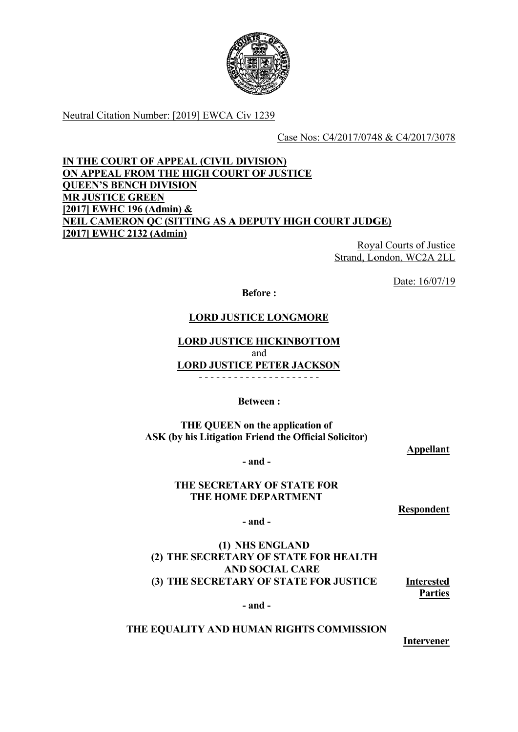

Neutral Citation Number: [2019] EWCA Civ 1239

Case Nos: C4/2017/0748 & C4/2017/3078

## **IN THE COURT OF APPEAL (CIVIL DIVISION) ON APPEAL FROM THE HIGH COURT OF JUSTICE QUEEN'S BENCH DIVISION MR JUSTICE GREEN [2017] E EWHC 196 6 (Admin) & & NEIL C CAMERON N QC (SITT TING AS A A DEPUTY Y HIGH CO OURT JUDG GE) [2017] E EWHC 213 32 (Admin)**

Royal Courts of Justice Strand, London, WC2A 2LL

Date: 16/07/19

**Before :**

## **LORD JUSTICE LONGMORE**

# **LORD JUSTICE LONGMORE<br>LORD JUSTICE HICKINBOTTOM LORD JUSTICE PETER JACKSON** and

- - - - - - - - - - - - - - - - - - - -

**Between :**

**THE QUEEN** on the application of ASK (by his Litigation Friend the Official Solicitor)

**App pellant**

**- and -** 

**THE SECRETARY OF STATE FOR THE HOME DEPARTMENT** 

**Respondent** 

**- and -** 

**(2) THE SECRETARY OF STATE FOR HEALTH (3) THE E SECRETA ARY OF ST TATE FOR R JUSTICE (1) NHS ENG LAND AND SOCIAL CARE** 

**E** Interested **P Parties**

**- and -** 

**THE EQUALITY AND HUMAN RIGHTS COMMISSION** 

**Intervener**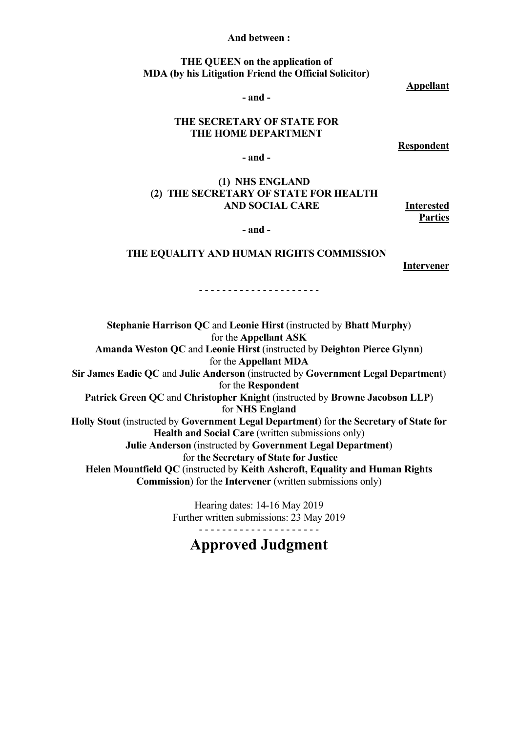#### **And between :**

 **THE QUEEN on the application of MDA (by his Litigation Friend the Official Solicitor)** 

 **Appellant**

 **- and -** 

## **THE SECRETARY OF STATE FOR THE HOME DEPARTMENT**

**Respondent**

 **- and -** 

## **(1) NHS ENGLAND (2) THE SECRETARY OF STATE FOR HEALTH AND SOCIAL CARE Interested**

**Parties**

 **- and -** 

## **THE EQUALITY AND HUMAN RIGHTS COMMISSION**

**Intervener**

- - - - - - - - - - - - - - - - - - - - -

**Stephanie Harrison QC** and **Leonie Hirst** (instructed by **Bhatt Murphy**) for the **Appellant ASK Amanda Weston QC** and **Leonie Hirst** (instructed by **Deighton Pierce Glynn**) for the **Appellant MDA Sir James Eadie QC** and **Julie Anderson** (instructed by **Government Legal Department**) for the **Respondent Patrick Green QC** and **Christopher Knight** (instructed by **Browne Jacobson LLP**) for **NHS England Holly Stout** (instructed by **Government Legal Department**) for **the Secretary of State for Health and Social Care** (written submissions only) **Julie Anderson** (instructed by **Government Legal Department**) for **the Secretary of State for Justice Helen Mountfield QC** (instructed by **Keith Ashcroft, Equality and Human Rights Commission**) for the **Intervener** (written submissions only)

> Hearing dates: 14-16 May 2019 Further written submissions: 23 May 2019 - - - - - - - - - - - - - - - - - - - - -

**Approved Judgment**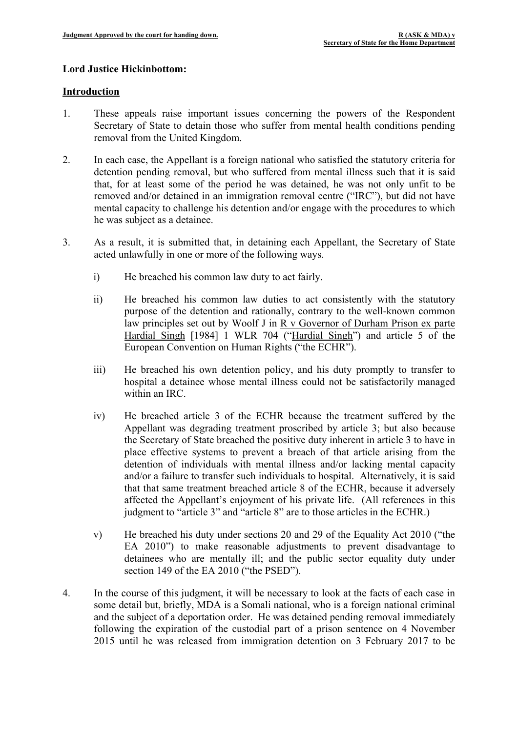## **Lord Justice Hickinbottom:**

## **Introduction**

- 1. These appeals raise important issues concerning the powers of the Respondent Secretary of State to detain those who suffer from mental health conditions pending removal from the United Kingdom.
- 2. In each case, the Appellant is a foreign national who satisfied the statutory criteria for detention pending removal, but who suffered from mental illness such that it is said that, for at least some of the period he was detained, he was not only unfit to be removed and/or detained in an immigration removal centre ("IRC"), but did not have mental capacity to challenge his detention and/or engage with the procedures to which he was subject as a detainee.
- 3. As a result, it is submitted that, in detaining each Appellant, the Secretary of State acted unlawfully in one or more of the following ways.
	- i) He breached his common law duty to act fairly.
	- ii) He breached his common law duties to act consistently with the statutory purpose of the detention and rationally, contrary to the well-known common law principles set out by Woolf J in R v Governor of Durham Prison ex parte Hardial Singh [1984] 1 WLR 704 ("Hardial Singh") and article 5 of the European Convention on Human Rights ("the ECHR").
	- iii) He breached his own detention policy, and his duty promptly to transfer to hospital a detainee whose mental illness could not be satisfactorily managed within an IRC.
	- iv) He breached article 3 of the ECHR because the treatment suffered by the Appellant was degrading treatment proscribed by article 3; but also because the Secretary of State breached the positive duty inherent in article 3 to have in place effective systems to prevent a breach of that article arising from the detention of individuals with mental illness and/or lacking mental capacity and/or a failure to transfer such individuals to hospital. Alternatively, it is said that that same treatment breached article 8 of the ECHR, because it adversely affected the Appellant's enjoyment of his private life. (All references in this judgment to "article 3" and "article 8" are to those articles in the ECHR.)
	- v) He breached his duty under sections 20 and 29 of the Equality Act 2010 ("the EA 2010") to make reasonable adjustments to prevent disadvantage to detainees who are mentally ill; and the public sector equality duty under section 149 of the EA 2010 ("the PSED").
- 4. In the course of this judgment, it will be necessary to look at the facts of each case in some detail but, briefly, MDA is a Somali national, who is a foreign national criminal and the subject of a deportation order. He was detained pending removal immediately following the expiration of the custodial part of a prison sentence on 4 November 2015 until he was released from immigration detention on 3 February 2017 to be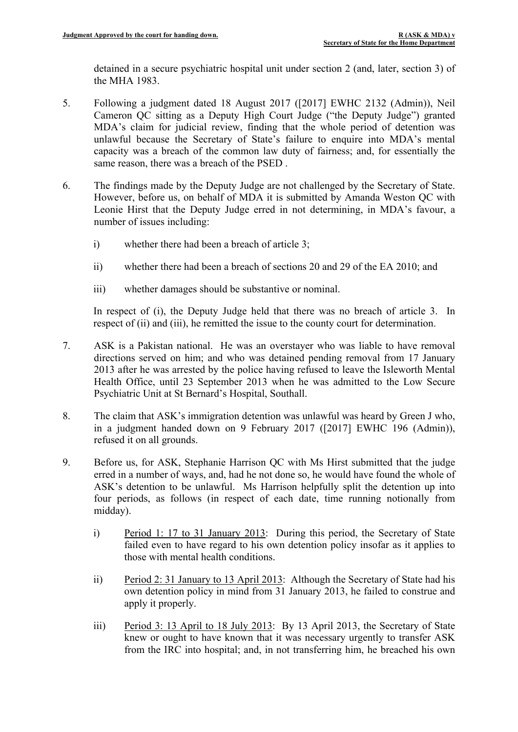detained in a secure psychiatric hospital unit under section 2 (and, later, section 3) of the MHA 1983.

- 5. Following a judgment dated 18 August 2017 ([2017] EWHC 2132 (Admin)), Neil Cameron QC sitting as a Deputy High Court Judge ("the Deputy Judge") granted MDA's claim for judicial review, finding that the whole period of detention was unlawful because the Secretary of State's failure to enquire into MDA's mental capacity was a breach of the common law duty of fairness; and, for essentially the same reason, there was a breach of the PSED .
- 6. The findings made by the Deputy Judge are not challenged by the Secretary of State. However, before us, on behalf of MDA it is submitted by Amanda Weston QC with Leonie Hirst that the Deputy Judge erred in not determining, in MDA's favour, a number of issues including:
	- i) whether there had been a breach of article 3;
	- ii) whether there had been a breach of sections 20 and 29 of the EA 2010; and
	- iii) whether damages should be substantive or nominal.

In respect of (i), the Deputy Judge held that there was no breach of article 3. In respect of (ii) and (iii), he remitted the issue to the county court for determination.

- 7. ASK is a Pakistan national. He was an overstayer who was liable to have removal directions served on him; and who was detained pending removal from 17 January 2013 after he was arrested by the police having refused to leave the Isleworth Mental Health Office, until 23 September 2013 when he was admitted to the Low Secure Psychiatric Unit at St Bernard's Hospital, Southall.
- 8. The claim that ASK's immigration detention was unlawful was heard by Green J who, in a judgment handed down on 9 February 2017 ([2017] EWHC 196 (Admin)), refused it on all grounds.
- 9. Before us, for ASK, Stephanie Harrison QC with Ms Hirst submitted that the judge erred in a number of ways, and, had he not done so, he would have found the whole of ASK's detention to be unlawful. Ms Harrison helpfully split the detention up into four periods, as follows (in respect of each date, time running notionally from midday).
	- i) Period 1: 17 to 31 January 2013: During this period, the Secretary of State failed even to have regard to his own detention policy insofar as it applies to those with mental health conditions.
	- ii) Period 2: 31 January to 13 April 2013: Although the Secretary of State had his own detention policy in mind from 31 January 2013, he failed to construe and apply it properly.
	- iii) Period 3: 13 April to 18 July 2013: By 13 April 2013, the Secretary of State knew or ought to have known that it was necessary urgently to transfer ASK from the IRC into hospital; and, in not transferring him, he breached his own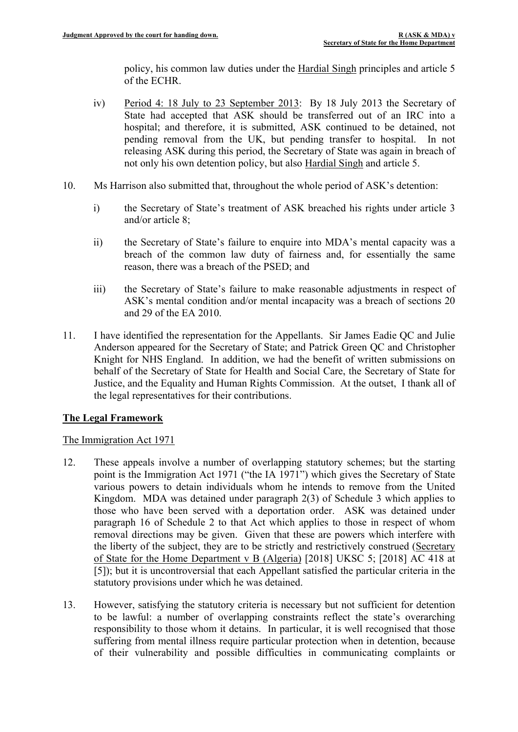policy, his common law duties under the Hardial Singh principles and article 5 of the ECHR.

- iv) Period 4: 18 July to 23 September 2013: By 18 July 2013 the Secretary of State had accepted that ASK should be transferred out of an IRC into a hospital; and therefore, it is submitted, ASK continued to be detained, not pending removal from the UK, but pending transfer to hospital. In not releasing ASK during this period, the Secretary of State was again in breach of not only his own detention policy, but also Hardial Singh and article 5.
- 10. Ms Harrison also submitted that, throughout the whole period of ASK's detention:
	- i) the Secretary of State's treatment of ASK breached his rights under article 3 and/or article 8;
	- ii) the Secretary of State's failure to enquire into MDA's mental capacity was a breach of the common law duty of fairness and, for essentially the same reason, there was a breach of the PSED; and
	- iii) the Secretary of State's failure to make reasonable adjustments in respect of ASK's mental condition and/or mental incapacity was a breach of sections 20 and 29 of the EA 2010.
- 11. I have identified the representation for the Appellants. Sir James Eadie QC and Julie Anderson appeared for the Secretary of State; and Patrick Green QC and Christopher Knight for NHS England. In addition, we had the benefit of written submissions on behalf of the Secretary of State for Health and Social Care, the Secretary of State for Justice, and the Equality and Human Rights Commission. At the outset, I thank all of the legal representatives for their contributions.

## **The Legal Framework**

#### The Immigration Act 1971

- 12. These appeals involve a number of overlapping statutory schemes; but the starting point is the Immigration Act 1971 ("the IA 1971") which gives the Secretary of State various powers to detain individuals whom he intends to remove from the United Kingdom. MDA was detained under paragraph 2(3) of Schedule 3 which applies to those who have been served with a deportation order. ASK was detained under paragraph 16 of Schedule 2 to that Act which applies to those in respect of whom removal directions may be given. Given that these are powers which interfere with the liberty of the subject, they are to be strictly and restrictively construed (Secretary of State for the Home Department v B (Algeria) [2018] UKSC 5; [2018] AC 418 at [5]); but it is uncontroversial that each Appellant satisfied the particular criteria in the statutory provisions under which he was detained.
- 13. However, satisfying the statutory criteria is necessary but not sufficient for detention to be lawful: a number of overlapping constraints reflect the state's overarching responsibility to those whom it detains. In particular, it is well recognised that those suffering from mental illness require particular protection when in detention, because of their vulnerability and possible difficulties in communicating complaints or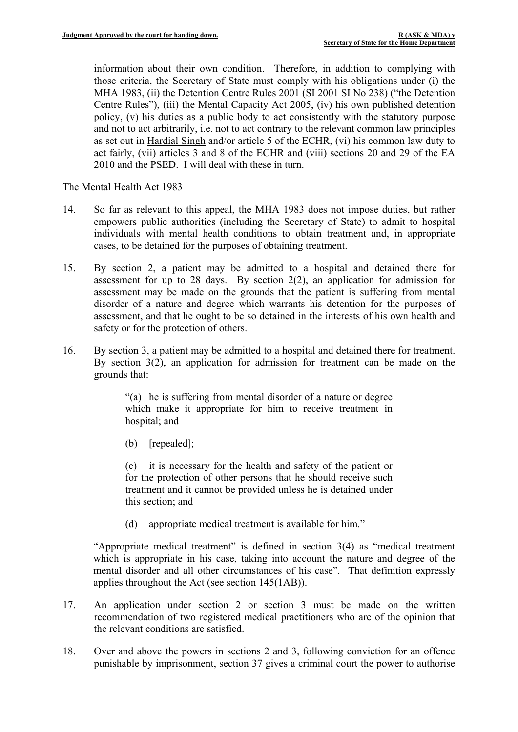information about their own condition. Therefore, in addition to complying with those criteria, the Secretary of State must comply with his obligations under (i) the MHA 1983, (ii) the Detention Centre Rules 2001 (SI 2001 SI No 238) ("the Detention Centre Rules"), (iii) the Mental Capacity Act 2005, (iv) his own published detention policy, (v) his duties as a public body to act consistently with the statutory purpose and not to act arbitrarily, i.e. not to act contrary to the relevant common law principles as set out in Hardial Singh and/or article 5 of the ECHR, (vi) his common law duty to act fairly, (vii) articles 3 and 8 of the ECHR and (viii) sections 20 and 29 of the EA 2010 and the PSED. I will deal with these in turn.

## The Mental Health Act 1983

- 14. So far as relevant to this appeal, the MHA 1983 does not impose duties, but rather empowers public authorities (including the Secretary of State) to admit to hospital individuals with mental health conditions to obtain treatment and, in appropriate cases, to be detained for the purposes of obtaining treatment.
- 15. By section 2, a patient may be admitted to a hospital and detained there for assessment for up to 28 days. By section 2(2), an application for admission for assessment may be made on the grounds that the patient is suffering from mental disorder of a nature and degree which warrants his detention for the purposes of assessment, and that he ought to be so detained in the interests of his own health and safety or for the protection of others.
- 16. By section 3, a patient may be admitted to a hospital and detained there for treatment. By section 3(2), an application for admission for treatment can be made on the grounds that:

"(a) he is suffering from mental disorder of a nature or degree which make it appropriate for him to receive treatment in hospital; and

(b) [repealed];

(c) it is necessary for the health and safety of the patient or for the protection of other persons that he should receive such treatment and it cannot be provided unless he is detained under this section; and

(d) appropriate medical treatment is available for him."

"Appropriate medical treatment" is defined in section 3(4) as "medical treatment which is appropriate in his case, taking into account the nature and degree of the mental disorder and all other circumstances of his case". That definition expressly applies throughout the Act (see section 145(1AB)).

- 17. An application under section 2 or section 3 must be made on the written recommendation of two registered medical practitioners who are of the opinion that the relevant conditions are satisfied.
- 18. Over and above the powers in sections 2 and 3, following conviction for an offence punishable by imprisonment, section 37 gives a criminal court the power to authorise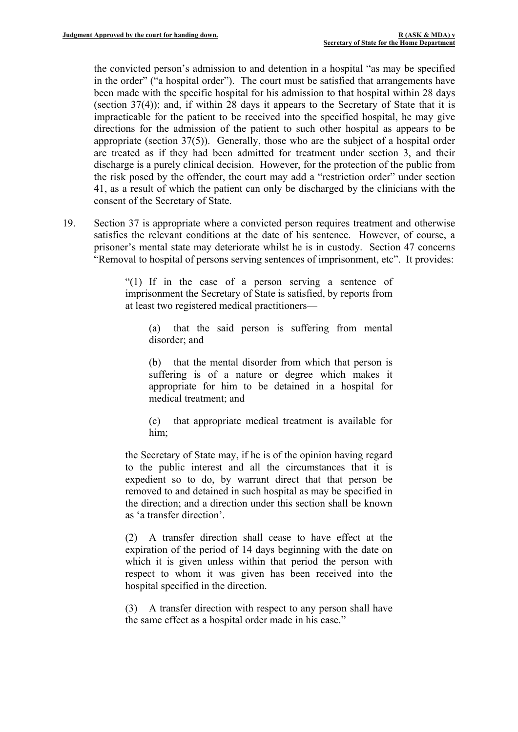the convicted person's admission to and detention in a hospital "as may be specified in the order" ("a hospital order"). The court must be satisfied that arrangements have been made with the specific hospital for his admission to that hospital within 28 days (section 37(4)); and, if within 28 days it appears to the Secretary of State that it is impracticable for the patient to be received into the specified hospital, he may give directions for the admission of the patient to such other hospital as appears to be appropriate (section 37(5)). Generally, those who are the subject of a hospital order are treated as if they had been admitted for treatment under section 3, and their discharge is a purely clinical decision. However, for the protection of the public from the risk posed by the offender, the court may add a "restriction order" under section 41, as a result of which the patient can only be discharged by the clinicians with the consent of the Secretary of State.

19. Section 37 is appropriate where a convicted person requires treatment and otherwise satisfies the relevant conditions at the date of his sentence. However, of course, a prisoner's mental state may deteriorate whilst he is in custody. Section 47 concerns "Removal to hospital of persons serving sentences of imprisonment, etc". It provides:

> "(1) If in the case of a person serving a sentence of imprisonment the Secretary of State is satisfied, by reports from at least two registered medical practitioners—

(a) that the said person is suffering from mental disorder; and

(b) that the mental disorder from which that person is suffering is of a nature or degree which makes it appropriate for him to be detained in a hospital for medical treatment; and

(c) that appropriate medical treatment is available for him;

the Secretary of State may, if he is of the opinion having regard to the public interest and all the circumstances that it is expedient so to do, by warrant direct that that person be removed to and detained in such hospital as may be specified in the direction; and a direction under this section shall be known as 'a transfer direction'.

(2) A transfer direction shall cease to have effect at the expiration of the period of 14 days beginning with the date on which it is given unless within that period the person with respect to whom it was given has been received into the hospital specified in the direction.

(3) A transfer direction with respect to any person shall have the same effect as a hospital order made in his case."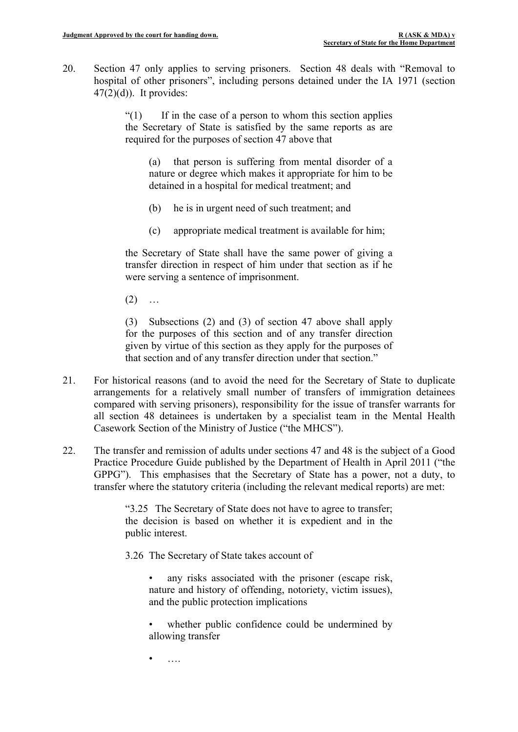20. Section 47 only applies to serving prisoners. Section 48 deals with "Removal to hospital of other prisoners", including persons detained under the IA 1971 (section  $47(2)(d)$ ). It provides:

> "(1) If in the case of a person to whom this section applies the Secretary of State is satisfied by the same reports as are required for the purposes of section 47 above that

(a) that person is suffering from mental disorder of a nature or degree which makes it appropriate for him to be detained in a hospital for medical treatment; and

- (b) he is in urgent need of such treatment; and
- (c) appropriate medical treatment is available for him;

the Secretary of State shall have the same power of giving a transfer direction in respect of him under that section as if he were serving a sentence of imprisonment.

 $(2)$  ...

(3) Subsections (2) and (3) of section 47 above shall apply for the purposes of this section and of any transfer direction given by virtue of this section as they apply for the purposes of that section and of any transfer direction under that section."

- 21. For historical reasons (and to avoid the need for the Secretary of State to duplicate arrangements for a relatively small number of transfers of immigration detainees compared with serving prisoners), responsibility for the issue of transfer warrants for all section 48 detainees is undertaken by a specialist team in the Mental Health Casework Section of the Ministry of Justice ("the MHCS").
- 22. The transfer and remission of adults under sections 47 and 48 is the subject of a Good Practice Procedure Guide published by the Department of Health in April 2011 ("the GPPG"). This emphasises that the Secretary of State has a power, not a duty, to transfer where the statutory criteria (including the relevant medical reports) are met:

"3.25 The Secretary of State does not have to agree to transfer; the decision is based on whether it is expedient and in the public interest.

3.26 The Secretary of State takes account of

any risks associated with the prisoner (escape risk, nature and history of offending, notoriety, victim issues), and the public protection implications

whether public confidence could be undermined by allowing transfer

 $\dots$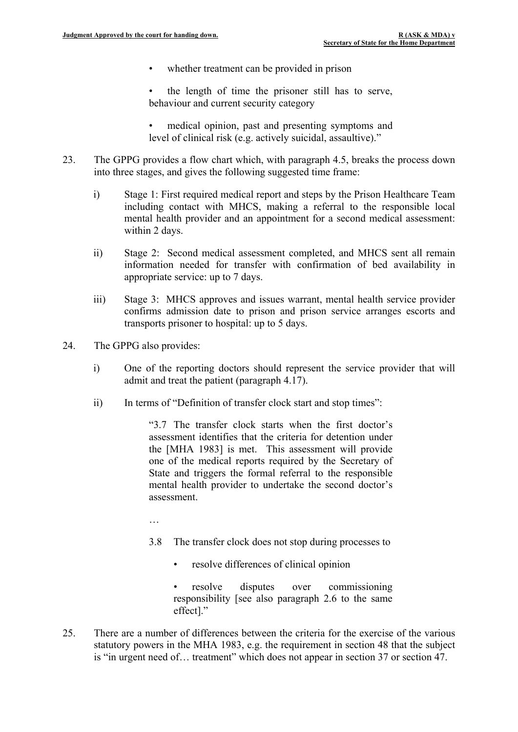- whether treatment can be provided in prison
- the length of time the prisoner still has to serve, behaviour and current security category
- medical opinion, past and presenting symptoms and level of clinical risk (e.g. actively suicidal, assaultive)."
- 23. The GPPG provides a flow chart which, with paragraph 4.5, breaks the process down into three stages, and gives the following suggested time frame:
	- i) Stage 1: First required medical report and steps by the Prison Healthcare Team including contact with MHCS, making a referral to the responsible local mental health provider and an appointment for a second medical assessment: within 2 days.
	- ii) Stage 2: Second medical assessment completed, and MHCS sent all remain information needed for transfer with confirmation of bed availability in appropriate service: up to 7 days.
	- iii) Stage 3: MHCS approves and issues warrant, mental health service provider confirms admission date to prison and prison service arranges escorts and transports prisoner to hospital: up to 5 days.
- 24. The GPPG also provides:
	- i) One of the reporting doctors should represent the service provider that will admit and treat the patient (paragraph 4.17).
	- ii) In terms of "Definition of transfer clock start and stop times":

"3.7 The transfer clock starts when the first doctor's assessment identifies that the criteria for detention under the [MHA 1983] is met. This assessment will provide one of the medical reports required by the Secretary of State and triggers the formal referral to the responsible mental health provider to undertake the second doctor's assessment.

…

- 3.8 The transfer clock does not stop during processes to
	- resolve differences of clinical opinion

resolve disputes over commissioning responsibility [see also paragraph 2.6 to the same effect]."

25. There are a number of differences between the criteria for the exercise of the various statutory powers in the MHA 1983, e.g. the requirement in section 48 that the subject is "in urgent need of… treatment" which does not appear in section 37 or section 47.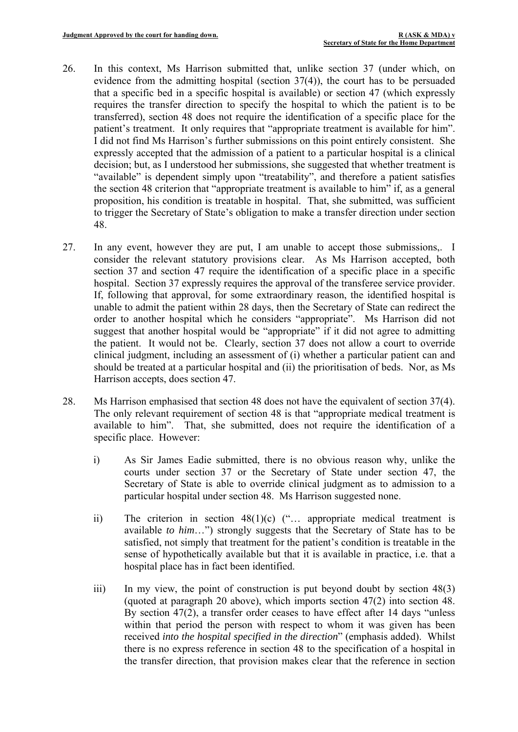- 26. In this context, Ms Harrison submitted that, unlike section 37 (under which, on evidence from the admitting hospital (section 37(4)), the court has to be persuaded that a specific bed in a specific hospital is available) or section 47 (which expressly requires the transfer direction to specify the hospital to which the patient is to be transferred), section 48 does not require the identification of a specific place for the patient's treatment. It only requires that "appropriate treatment is available for him". I did not find Ms Harrison's further submissions on this point entirely consistent. She expressly accepted that the admission of a patient to a particular hospital is a clinical decision; but, as I understood her submissions, she suggested that whether treatment is "available" is dependent simply upon "treatability", and therefore a patient satisfies the section 48 criterion that "appropriate treatment is available to him" if, as a general proposition, his condition is treatable in hospital. That, she submitted, was sufficient to trigger the Secretary of State's obligation to make a transfer direction under section 48.
- 27. In any event, however they are put, I am unable to accept those submissions,. I consider the relevant statutory provisions clear. As Ms Harrison accepted, both section 37 and section 47 require the identification of a specific place in a specific hospital. Section 37 expressly requires the approval of the transferee service provider. If, following that approval, for some extraordinary reason, the identified hospital is unable to admit the patient within 28 days, then the Secretary of State can redirect the order to another hospital which he considers "appropriate". Ms Harrison did not suggest that another hospital would be "appropriate" if it did not agree to admitting the patient. It would not be. Clearly, section 37 does not allow a court to override clinical judgment, including an assessment of (i) whether a particular patient can and should be treated at a particular hospital and (ii) the prioritisation of beds. Nor, as Ms Harrison accepts, does section 47.
- 28. Ms Harrison emphasised that section 48 does not have the equivalent of section 37(4). The only relevant requirement of section 48 is that "appropriate medical treatment is available to him". That, she submitted, does not require the identification of a specific place. However:
	- i) As Sir James Eadie submitted, there is no obvious reason why, unlike the courts under section 37 or the Secretary of State under section 47, the Secretary of State is able to override clinical judgment as to admission to a particular hospital under section 48. Ms Harrison suggested none.
	- ii) The criterion in section 48(1)(c) ("… appropriate medical treatment is available *to him*…") strongly suggests that the Secretary of State has to be satisfied, not simply that treatment for the patient's condition is treatable in the sense of hypothetically available but that it is available in practice, i.e. that a hospital place has in fact been identified.
	- iii) In my view, the point of construction is put beyond doubt by section 48(3) (quoted at paragraph 20 above), which imports section 47(2) into section 48. By section 47(2), a transfer order ceases to have effect after 14 days "unless within that period the person with respect to whom it was given has been received *into the hospital specified in the direction*" (emphasis added). Whilst there is no express reference in section 48 to the specification of a hospital in the transfer direction, that provision makes clear that the reference in section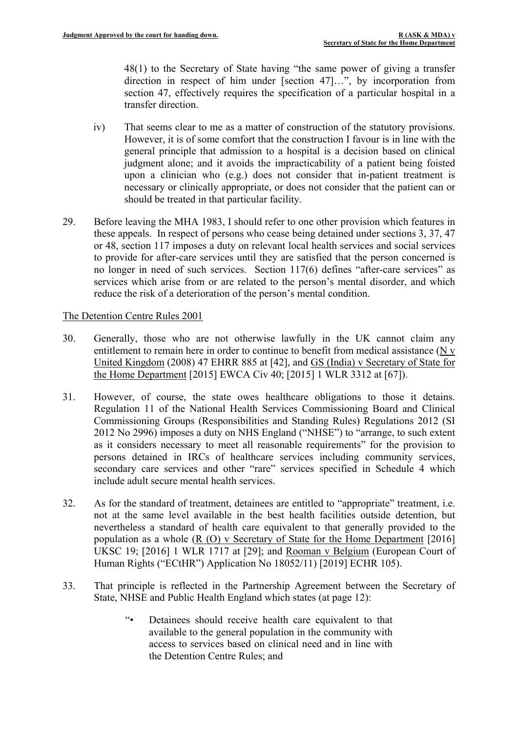48(1) to the Secretary of State having "the same power of giving a transfer direction in respect of him under [section 47]…", by incorporation from section 47, effectively requires the specification of a particular hospital in a transfer direction.

- iv) That seems clear to me as a matter of construction of the statutory provisions. However, it is of some comfort that the construction I favour is in line with the general principle that admission to a hospital is a decision based on clinical judgment alone; and it avoids the impracticability of a patient being foisted upon a clinician who (e.g.) does not consider that in-patient treatment is necessary or clinically appropriate, or does not consider that the patient can or should be treated in that particular facility.
- 29. Before leaving the MHA 1983, I should refer to one other provision which features in these appeals. In respect of persons who cease being detained under sections 3, 37, 47 or 48, section 117 imposes a duty on relevant local health services and social services to provide for after-care services until they are satisfied that the person concerned is no longer in need of such services. Section 117(6) defines "after-care services" as services which arise from or are related to the person's mental disorder, and which reduce the risk of a deterioration of the person's mental condition.

## The Detention Centre Rules 2001

- 30. Generally, those who are not otherwise lawfully in the UK cannot claim any entitlement to remain here in order to continue to benefit from medical assistance (N v United Kingdom (2008) 47 EHRR 885 at [42], and GS (India) v Secretary of State for the Home Department [2015] EWCA Civ 40; [2015] 1 WLR 3312 at [67]).
- 31. However, of course, the state owes healthcare obligations to those it detains. Regulation 11 of the National Health Services Commissioning Board and Clinical Commissioning Groups (Responsibilities and Standing Rules) Regulations 2012 (SI 2012 No 2996) imposes a duty on NHS England ("NHSE") to "arrange, to such extent as it considers necessary to meet all reasonable requirements" for the provision to persons detained in IRCs of healthcare services including community services, secondary care services and other "rare" services specified in Schedule 4 which include adult secure mental health services.
- 32. As for the standard of treatment, detainees are entitled to "appropriate" treatment, i.e. not at the same level available in the best health facilities outside detention, but nevertheless a standard of health care equivalent to that generally provided to the population as a whole (R (O) v Secretary of State for the Home Department [2016] UKSC 19; [2016] 1 WLR 1717 at [29]; and Rooman v Belgium (European Court of Human Rights ("ECtHR") Application No 18052/11) [2019] ECHR 105).
- 33. That principle is reflected in the Partnership Agreement between the Secretary of State, NHSE and Public Health England which states (at page 12):
	- "• Detainees should receive health care equivalent to that available to the general population in the community with access to services based on clinical need and in line with the Detention Centre Rules; and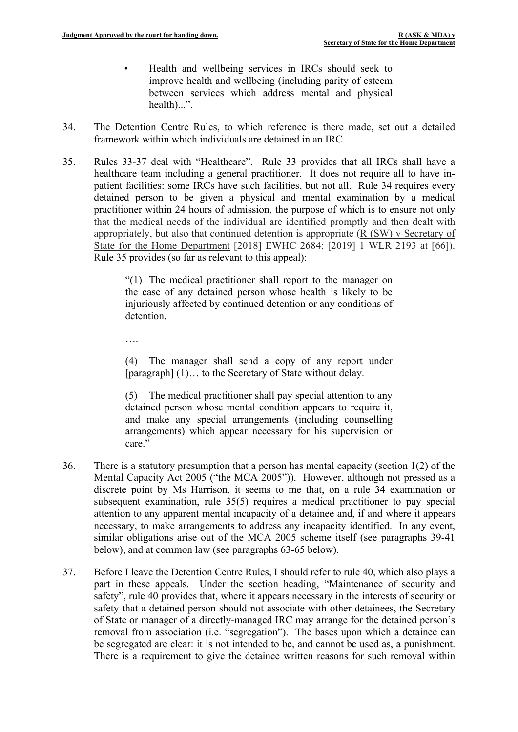- Health and wellbeing services in IRCs should seek to improve health and wellbeing (including parity of esteem between services which address mental and physical health)...".
- 34. The Detention Centre Rules, to which reference is there made, set out a detailed framework within which individuals are detained in an IRC.
- 35. Rules 33-37 deal with "Healthcare". Rule 33 provides that all IRCs shall have a healthcare team including a general practitioner. It does not require all to have inpatient facilities: some IRCs have such facilities, but not all. Rule 34 requires every detained person to be given a physical and mental examination by a medical practitioner within 24 hours of admission, the purpose of which is to ensure not only that the medical needs of the individual are identified promptly and then dealt with appropriately, but also that continued detention is appropriate (R (SW) v Secretary of State for the Home Department [2018] EWHC 2684; [2019] 1 WLR 2193 at [66]). Rule 35 provides (so far as relevant to this appeal):

"(1) The medical practitioner shall report to the manager on the case of any detained person whose health is likely to be injuriously affected by continued detention or any conditions of detention.

….

(4) The manager shall send a copy of any report under [paragraph] (1)... to the Secretary of State without delay.

(5) The medical practitioner shall pay special attention to any detained person whose mental condition appears to require it, and make any special arrangements (including counselling arrangements) which appear necessary for his supervision or care."

- 36. There is a statutory presumption that a person has mental capacity (section 1(2) of the Mental Capacity Act 2005 ("the MCA 2005")). However, although not pressed as a discrete point by Ms Harrison, it seems to me that, on a rule 34 examination or subsequent examination, rule 35(5) requires a medical practitioner to pay special attention to any apparent mental incapacity of a detainee and, if and where it appears necessary, to make arrangements to address any incapacity identified. In any event, similar obligations arise out of the MCA 2005 scheme itself (see paragraphs 39-41 below), and at common law (see paragraphs 63-65 below).
- 37. Before I leave the Detention Centre Rules, I should refer to rule 40, which also plays a part in these appeals. Under the section heading, "Maintenance of security and safety", rule 40 provides that, where it appears necessary in the interests of security or safety that a detained person should not associate with other detainees, the Secretary of State or manager of a directly-managed IRC may arrange for the detained person's removal from association (i.e. "segregation"). The bases upon which a detainee can be segregated are clear: it is not intended to be, and cannot be used as, a punishment. There is a requirement to give the detainee written reasons for such removal within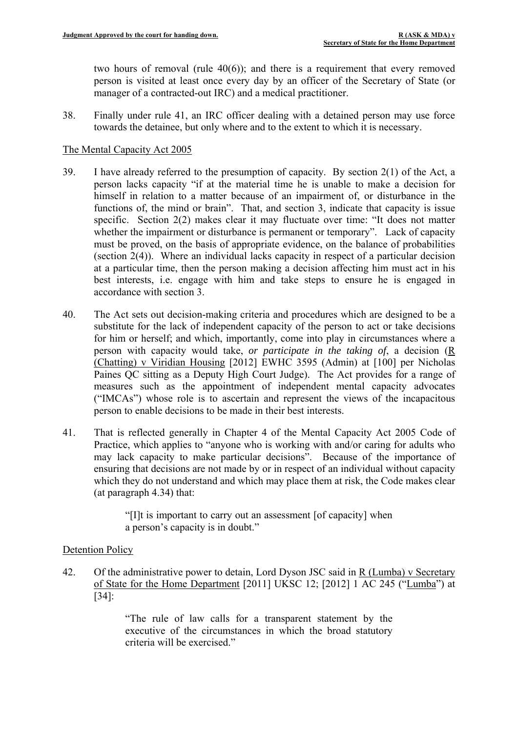two hours of removal (rule  $40(6)$ ); and there is a requirement that every removed person is visited at least once every day by an officer of the Secretary of State (or manager of a contracted-out IRC) and a medical practitioner.

38. Finally under rule 41, an IRC officer dealing with a detained person may use force towards the detainee, but only where and to the extent to which it is necessary.

## The Mental Capacity Act 2005

- 39. I have already referred to the presumption of capacity. By section 2(1) of the Act, a person lacks capacity "if at the material time he is unable to make a decision for himself in relation to a matter because of an impairment of, or disturbance in the functions of, the mind or brain". That, and section 3, indicate that capacity is issue specific. Section 2(2) makes clear it may fluctuate over time: "It does not matter whether the impairment or disturbance is permanent or temporary". Lack of capacity must be proved, on the basis of appropriate evidence, on the balance of probabilities (section 2(4)). Where an individual lacks capacity in respect of a particular decision at a particular time, then the person making a decision affecting him must act in his best interests, i.e. engage with him and take steps to ensure he is engaged in accordance with section 3.
- 40. The Act sets out decision-making criteria and procedures which are designed to be a substitute for the lack of independent capacity of the person to act or take decisions for him or herself; and which, importantly, come into play in circumstances where a person with capacity would take, *or participate in the taking of*, a decision (R (Chatting) v Viridian Housing [2012] EWHC 3595 (Admin) at [100] per Nicholas Paines QC sitting as a Deputy High Court Judge). The Act provides for a range of measures such as the appointment of independent mental capacity advocates ("IMCAs") whose role is to ascertain and represent the views of the incapacitous person to enable decisions to be made in their best interests.
- 41. That is reflected generally in Chapter 4 of the Mental Capacity Act 2005 Code of Practice, which applies to "anyone who is working with and/or caring for adults who may lack capacity to make particular decisions". Because of the importance of ensuring that decisions are not made by or in respect of an individual without capacity which they do not understand and which may place them at risk, the Code makes clear (at paragraph 4.34) that:

"[I]t is important to carry out an assessment [of capacity] when a person's capacity is in doubt."

## Detention Policy

42. Of the administrative power to detain, Lord Dyson JSC said in R (Lumba) v Secretary of State for the Home Department [2011] UKSC 12; [2012] 1 AC 245 ("Lumba") at [34]:

> "The rule of law calls for a transparent statement by the executive of the circumstances in which the broad statutory criteria will be exercised."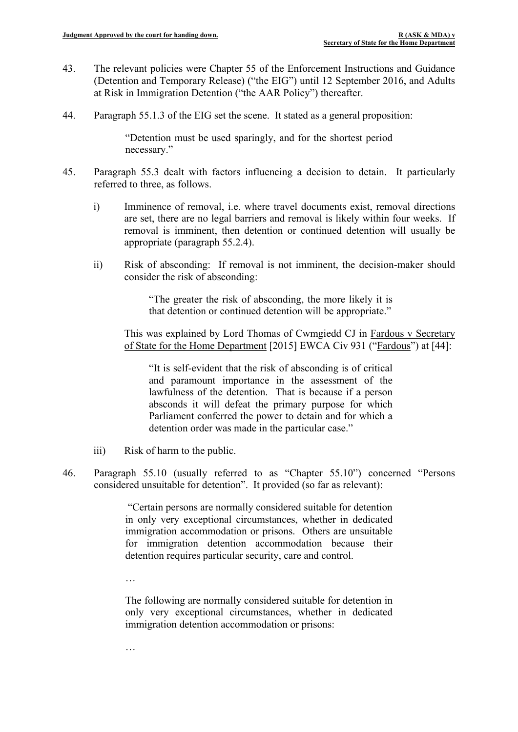- 43. The relevant policies were Chapter 55 of the Enforcement Instructions and Guidance (Detention and Temporary Release) ("the EIG") until 12 September 2016, and Adults at Risk in Immigration Detention ("the AAR Policy") thereafter.
- 44. Paragraph 55.1.3 of the EIG set the scene. It stated as a general proposition:

"Detention must be used sparingly, and for the shortest period necessary."

- 45. Paragraph 55.3 dealt with factors influencing a decision to detain. It particularly referred to three, as follows.
	- i) Imminence of removal, i.e. where travel documents exist, removal directions are set, there are no legal barriers and removal is likely within four weeks. If removal is imminent, then detention or continued detention will usually be appropriate (paragraph 55.2.4).
	- ii) Risk of absconding: If removal is not imminent, the decision-maker should consider the risk of absconding:

"The greater the risk of absconding, the more likely it is that detention or continued detention will be appropriate."

This was explained by Lord Thomas of Cwmgiedd CJ in Fardous v Secretary of State for the Home Department [2015] EWCA Civ 931 ("Fardous") at [44]:

"It is self-evident that the risk of absconding is of critical and paramount importance in the assessment of the lawfulness of the detention. That is because if a person absconds it will defeat the primary purpose for which Parliament conferred the power to detain and for which a detention order was made in the particular case."

- iii) Risk of harm to the public.
- 46. Paragraph 55.10 (usually referred to as "Chapter 55.10") concerned "Persons considered unsuitable for detention". It provided (so far as relevant):

 "Certain persons are normally considered suitable for detention in only very exceptional circumstances, whether in dedicated immigration accommodation or prisons. Others are unsuitable for immigration detention accommodation because their detention requires particular security, care and control.

…

The following are normally considered suitable for detention in only very exceptional circumstances, whether in dedicated immigration detention accommodation or prisons:

…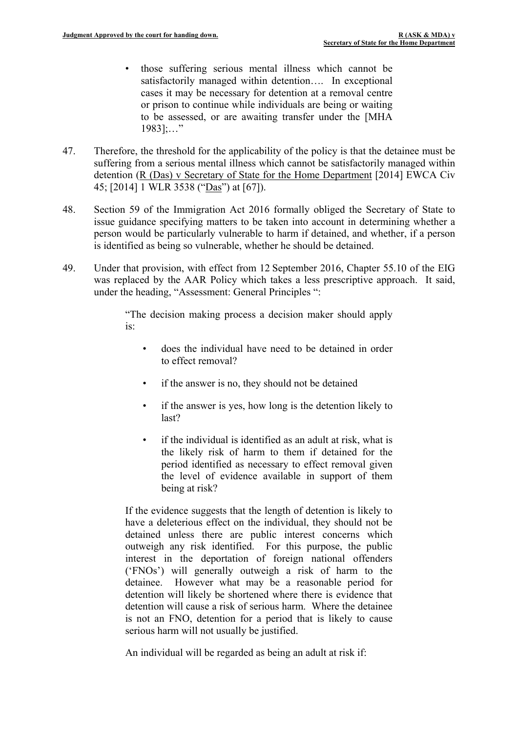- those suffering serious mental illness which cannot be satisfactorily managed within detention…. In exceptional cases it may be necessary for detention at a removal centre or prison to continue while individuals are being or waiting to be assessed, or are awaiting transfer under the [MHA 1983];…"
- 47. Therefore, the threshold for the applicability of the policy is that the detainee must be suffering from a serious mental illness which cannot be satisfactorily managed within detention (R (Das) v Secretary of State for the Home Department [2014] EWCA Civ 45; [2014] 1 WLR 3538 ("Das") at [67]).
- 48. Section 59 of the Immigration Act 2016 formally obliged the Secretary of State to issue guidance specifying matters to be taken into account in determining whether a person would be particularly vulnerable to harm if detained, and whether, if a person is identified as being so vulnerable, whether he should be detained.
- 49. Under that provision, with effect from 12 September 2016, Chapter 55.10 of the EIG was replaced by the AAR Policy which takes a less prescriptive approach. It said, under the heading, "Assessment: General Principles ":

"The decision making process a decision maker should apply is:

- does the individual have need to be detained in order to effect removal?
- if the answer is no, they should not be detained
- if the answer is yes, how long is the detention likely to last?
- if the individual is identified as an adult at risk, what is the likely risk of harm to them if detained for the period identified as necessary to effect removal given the level of evidence available in support of them being at risk?

If the evidence suggests that the length of detention is likely to have a deleterious effect on the individual, they should not be detained unless there are public interest concerns which outweigh any risk identified. For this purpose, the public interest in the deportation of foreign national offenders ('FNOs') will generally outweigh a risk of harm to the detainee. However what may be a reasonable period for detention will likely be shortened where there is evidence that detention will cause a risk of serious harm. Where the detainee is not an FNO, detention for a period that is likely to cause serious harm will not usually be justified.

An individual will be regarded as being an adult at risk if: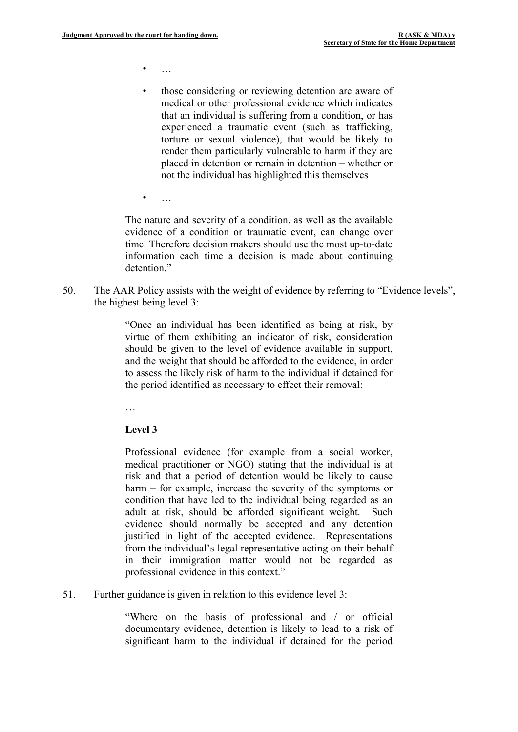- …
- those considering or reviewing detention are aware of medical or other professional evidence which indicates that an individual is suffering from a condition, or has experienced a traumatic event (such as trafficking, torture or sexual violence), that would be likely to render them particularly vulnerable to harm if they are placed in detention or remain in detention – whether or not the individual has highlighted this themselves
- …

The nature and severity of a condition, as well as the available evidence of a condition or traumatic event, can change over time. Therefore decision makers should use the most up-to-date information each time a decision is made about continuing detention."

50. The AAR Policy assists with the weight of evidence by referring to "Evidence levels", the highest being level 3:

> "Once an individual has been identified as being at risk, by virtue of them exhibiting an indicator of risk, consideration should be given to the level of evidence available in support, and the weight that should be afforded to the evidence, in order to assess the likely risk of harm to the individual if detained for the period identified as necessary to effect their removal:

…

## **Level 3**

Professional evidence (for example from a social worker, medical practitioner or NGO) stating that the individual is at risk and that a period of detention would be likely to cause harm – for example, increase the severity of the symptoms or condition that have led to the individual being regarded as an adult at risk, should be afforded significant weight. Such evidence should normally be accepted and any detention justified in light of the accepted evidence. Representations from the individual's legal representative acting on their behalf in their immigration matter would not be regarded as professional evidence in this context."

51. Further guidance is given in relation to this evidence level 3:

"Where on the basis of professional and / or official documentary evidence, detention is likely to lead to a risk of significant harm to the individual if detained for the period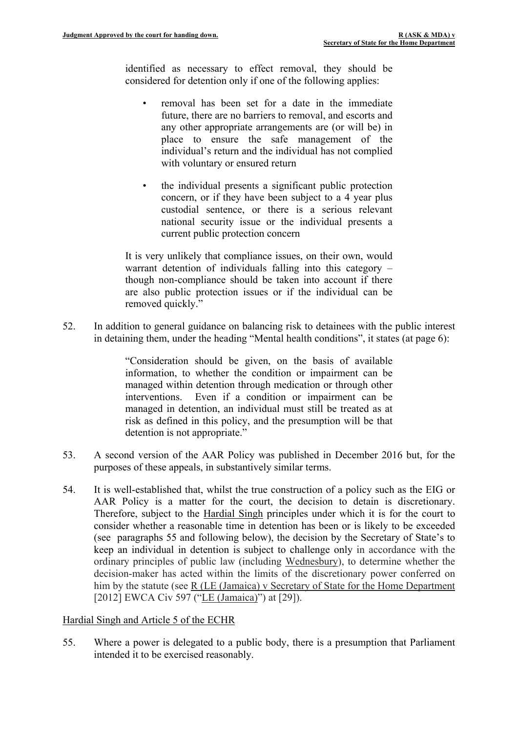identified as necessary to effect removal, they should be considered for detention only if one of the following applies:

- removal has been set for a date in the immediate future, there are no barriers to removal, and escorts and any other appropriate arrangements are (or will be) in place to ensure the safe management of the individual's return and the individual has not complied with voluntary or ensured return
- the individual presents a significant public protection concern, or if they have been subject to a 4 year plus custodial sentence, or there is a serious relevant national security issue or the individual presents a current public protection concern

It is very unlikely that compliance issues, on their own, would warrant detention of individuals falling into this category – though non-compliance should be taken into account if there are also public protection issues or if the individual can be removed quickly."

52. In addition to general guidance on balancing risk to detainees with the public interest in detaining them, under the heading "Mental health conditions", it states (at page 6):

> "Consideration should be given, on the basis of available information, to whether the condition or impairment can be managed within detention through medication or through other interventions. Even if a condition or impairment can be managed in detention, an individual must still be treated as at risk as defined in this policy, and the presumption will be that detention is not appropriate."

- 53. A second version of the AAR Policy was published in December 2016 but, for the purposes of these appeals, in substantively similar terms.
- 54. It is well-established that, whilst the true construction of a policy such as the EIG or AAR Policy is a matter for the court, the decision to detain is discretionary. Therefore, subject to the Hardial Singh principles under which it is for the court to consider whether a reasonable time in detention has been or is likely to be exceeded (see paragraphs 55 and following below), the decision by the Secretary of State's to keep an individual in detention is subject to challenge only in accordance with the ordinary principles of public law (including Wednesbury), to determine whether the decision-maker has acted within the limits of the discretionary power conferred on him by the statute (see R (LE (Jamaica) v Secretary of State for the Home Department [2012] EWCA Civ 597 ("LE (Jamaica)") at [29]).

## Hardial Singh and Article 5 of the ECHR

55. Where a power is delegated to a public body, there is a presumption that Parliament intended it to be exercised reasonably.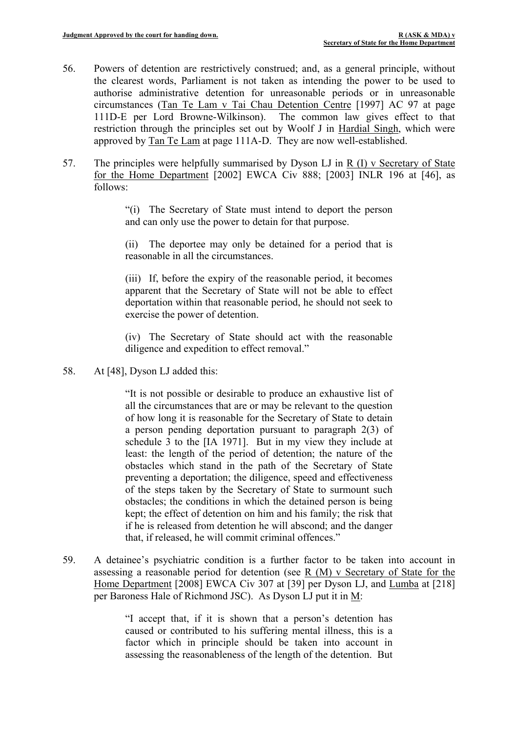- 56. Powers of detention are restrictively construed; and, as a general principle, without the clearest words, Parliament is not taken as intending the power to be used to authorise administrative detention for unreasonable periods or in unreasonable circumstances (Tan Te Lam v Tai Chau Detention Centre [1997] AC 97 at page 111D-E per Lord Browne-Wilkinson). The common law gives effect to that restriction through the principles set out by Woolf J in Hardial Singh, which were approved by Tan Te Lam at page 111A-D. They are now well-established.
- 57. The principles were helpfully summarised by Dyson LJ in R (I) v Secretary of State for the Home Department [2002] EWCA Civ 888; [2003] INLR 196 at [46], as follows:

"(i) The Secretary of State must intend to deport the person and can only use the power to detain for that purpose.

(ii) The deportee may only be detained for a period that is reasonable in all the circumstances.

(iii) If, before the expiry of the reasonable period, it becomes apparent that the Secretary of State will not be able to effect deportation within that reasonable period, he should not seek to exercise the power of detention.

(iv) The Secretary of State should act with the reasonable diligence and expedition to effect removal."

58. At [48], Dyson LJ added this:

"It is not possible or desirable to produce an exhaustive list of all the circumstances that are or may be relevant to the question of how long it is reasonable for the Secretary of State to detain a person pending deportation pursuant to paragraph 2(3) of schedule 3 to the [IA 1971]. But in my view they include at least: the length of the period of detention; the nature of the obstacles which stand in the path of the Secretary of State preventing a deportation; the diligence, speed and effectiveness of the steps taken by the Secretary of State to surmount such obstacles; the conditions in which the detained person is being kept; the effect of detention on him and his family; the risk that if he is released from detention he will abscond; and the danger that, if released, he will commit criminal offences."

59. A detainee's psychiatric condition is a further factor to be taken into account in assessing a reasonable period for detention (see R (M) v Secretary of State for the Home Department [2008] EWCA Civ 307 at [39] per Dyson LJ, and Lumba at [218] per Baroness Hale of Richmond JSC). As Dyson LJ put it in M:

> "I accept that, if it is shown that a person's detention has caused or contributed to his suffering mental illness, this is a factor which in principle should be taken into account in assessing the reasonableness of the length of the detention. But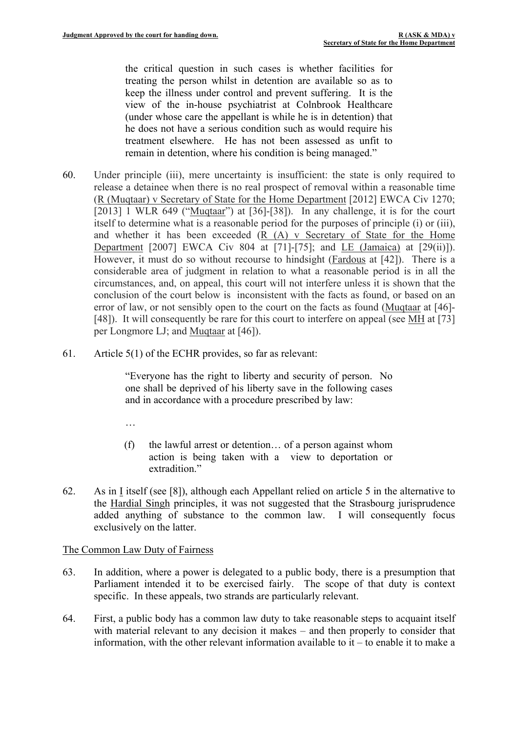the critical question in such cases is whether facilities for treating the person whilst in detention are available so as to keep the illness under control and prevent suffering. It is the view of the in-house psychiatrist at Colnbrook Healthcare (under whose care the appellant is while he is in detention) that he does not have a serious condition such as would require his treatment elsewhere. He has not been assessed as unfit to remain in detention, where his condition is being managed."

- 60. Under principle (iii), mere uncertainty is insufficient: the state is only required to release a detainee when there is no real prospect of removal within a reasonable time (R (Muqtaar) v Secretary of State for the Home Department [2012] EWCA Civ 1270; [2013] 1 WLR 649 ("Muqtaar") at [36]-[38]). In any challenge, it is for the court itself to determine what is a reasonable period for the purposes of principle (i) or (iii), and whether it has been exceeded (R (A) v Secretary of State for the Home Department  $[2007]$  EWCA Civ 804 at  $[71]$ - $[75]$ ; and LE (Jamaica) at  $[29(ii)]$ ). However, it must do so without recourse to hindsight (Fardous at [42]). There is a considerable area of judgment in relation to what a reasonable period is in all the circumstances, and, on appeal, this court will not interfere unless it is shown that the conclusion of the court below is inconsistent with the facts as found, or based on an error of law, or not sensibly open to the court on the facts as found (Muqtaar at [46]- [48]). It will consequently be rare for this court to interfere on appeal (see MH at [73] per Longmore LJ; and Muqtaar at [46]).
- 61. Article 5(1) of the ECHR provides, so far as relevant:

"Everyone has the right to liberty and security of person. No one shall be deprived of his liberty save in the following cases and in accordance with a procedure prescribed by law:

- …
- (f) the lawful arrest or detention… of a person against whom action is being taken with a view to deportation or extradition."
- 62. As in I itself (see [8]), although each Appellant relied on article 5 in the alternative to the Hardial Singh principles, it was not suggested that the Strasbourg jurisprudence added anything of substance to the common law. I will consequently focus exclusively on the latter.

## The Common Law Duty of Fairness

- 63. In addition, where a power is delegated to a public body, there is a presumption that Parliament intended it to be exercised fairly. The scope of that duty is context specific. In these appeals, two strands are particularly relevant.
- 64. First, a public body has a common law duty to take reasonable steps to acquaint itself with material relevant to any decision it makes – and then properly to consider that information, with the other relevant information available to it – to enable it to make a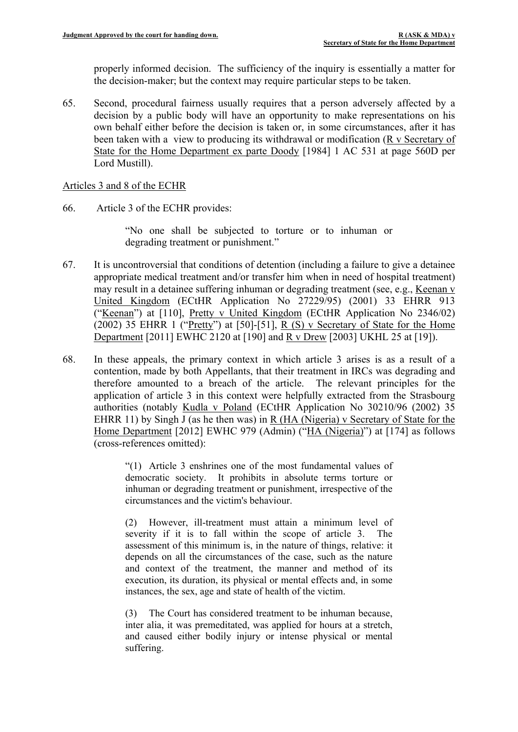properly informed decision. The sufficiency of the inquiry is essentially a matter for the decision-maker; but the context may require particular steps to be taken.

65. Second, procedural fairness usually requires that a person adversely affected by a decision by a public body will have an opportunity to make representations on his own behalf either before the decision is taken or, in some circumstances, after it has been taken with a view to producing its withdrawal or modification (R v Secretary of State for the Home Department ex parte Doody [1984] 1 AC 531 at page 560D per Lord Mustill).

Articles 3 and 8 of the ECHR

66. Article 3 of the ECHR provides:

"No one shall be subjected to torture or to inhuman or degrading treatment or punishment."

- 67. It is uncontroversial that conditions of detention (including a failure to give a detainee appropriate medical treatment and/or transfer him when in need of hospital treatment) may result in a detainee suffering inhuman or degrading treatment (see, e.g., Keenan v United Kingdom (ECtHR Application No 27229/95) (2001) 33 EHRR 913 ("Keenan") at [110], Pretty v United Kingdom (ECtHR Application No 2346/02) (2002) 35 EHRR 1 (" $Pretty$ ") at [50]-[51], R (S) v Secretary of State for the Home Department [2011] EWHC 2120 at [190] and  $R \text{ v}$  Drew [2003] UKHL 25 at [19]).
- 68. In these appeals, the primary context in which article 3 arises is as a result of a contention, made by both Appellants, that their treatment in IRCs was degrading and therefore amounted to a breach of the article. The relevant principles for the application of article 3 in this context were helpfully extracted from the Strasbourg authorities (notably Kudla v Poland (ECtHR Application No 30210/96 (2002) 35 EHRR 11) by Singh J (as he then was) in R (HA (Nigeria) v Secretary of State for the Home Department [2012] EWHC 979 (Admin) ("HA (Nigeria)") at [174] as follows (cross-references omitted):

"(1) Article 3 enshrines one of the most fundamental values of democratic society. It prohibits in absolute terms torture or inhuman or degrading treatment or punishment, irrespective of the circumstances and the victim's behaviour.

(2) However, ill-treatment must attain a minimum level of severity if it is to fall within the scope of article 3. The assessment of this minimum is, in the nature of things, relative: it depends on all the circumstances of the case, such as the nature and context of the treatment, the manner and method of its execution, its duration, its physical or mental effects and, in some instances, the sex, age and state of health of the victim.

(3) The Court has considered treatment to be inhuman because, inter alia, it was premeditated, was applied for hours at a stretch, and caused either bodily injury or intense physical or mental suffering.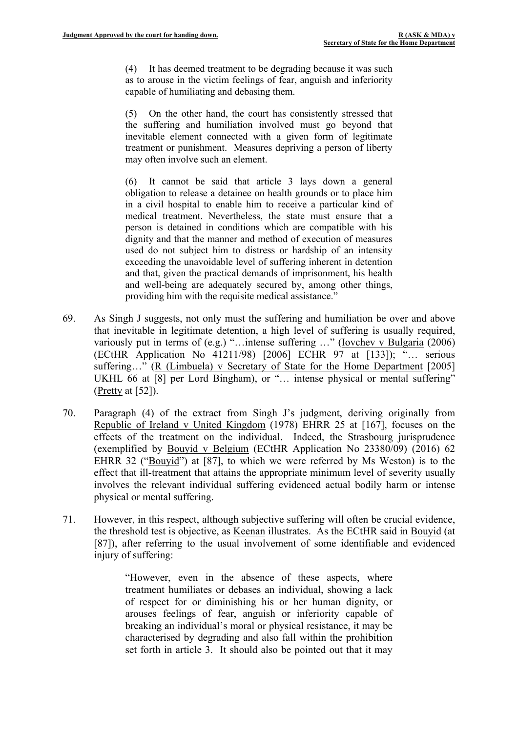(4) It has deemed treatment to be degrading because it was such as to arouse in the victim feelings of fear, anguish and inferiority capable of humiliating and debasing them.

(5) On the other hand, the court has consistently stressed that the suffering and humiliation involved must go beyond that inevitable element connected with a given form of legitimate treatment or punishment. Measures depriving a person of liberty may often involve such an element.

(6) It cannot be said that article 3 lays down a general obligation to release a detainee on health grounds or to place him in a civil hospital to enable him to receive a particular kind of medical treatment. Nevertheless, the state must ensure that a person is detained in conditions which are compatible with his dignity and that the manner and method of execution of measures used do not subject him to distress or hardship of an intensity exceeding the unavoidable level of suffering inherent in detention and that, given the practical demands of imprisonment, his health and well-being are adequately secured by, among other things, providing him with the requisite medical assistance."

- 69. As Singh J suggests, not only must the suffering and humiliation be over and above that inevitable in legitimate detention, a high level of suffering is usually required, variously put in terms of (e.g.) "…intense suffering …" (Iovchev v Bulgaria (2006) (ECtHR Application No 41211/98) [2006] ECHR 97 at [133]); "… serious suffering…" (R (Limbuela) v Secretary of State for the Home Department [2005] UKHL 66 at [8] per Lord Bingham), or "… intense physical or mental suffering" (Pretty at [52]).
- 70. Paragraph (4) of the extract from Singh J's judgment, deriving originally from Republic of Ireland v United Kingdom (1978) EHRR 25 at [167], focuses on the effects of the treatment on the individual. Indeed, the Strasbourg jurisprudence (exemplified by Bouyid v Belgium (ECtHR Application No 23380/09) (2016) 62 EHRR 32 ("Bouyid") at [87], to which we were referred by Ms Weston) is to the effect that ill-treatment that attains the appropriate minimum level of severity usually involves the relevant individual suffering evidenced actual bodily harm or intense physical or mental suffering.
- 71. However, in this respect, although subjective suffering will often be crucial evidence, the threshold test is objective, as Keenan illustrates. As the ECtHR said in Bouyid (at [87]), after referring to the usual involvement of some identifiable and evidenced injury of suffering:

"However, even in the absence of these aspects, where treatment humiliates or debases an individual, showing a lack of respect for or diminishing his or her human dignity, or arouses feelings of fear, anguish or inferiority capable of breaking an individual's moral or physical resistance, it may be characterised by degrading and also fall within the prohibition set forth in article 3. It should also be pointed out that it may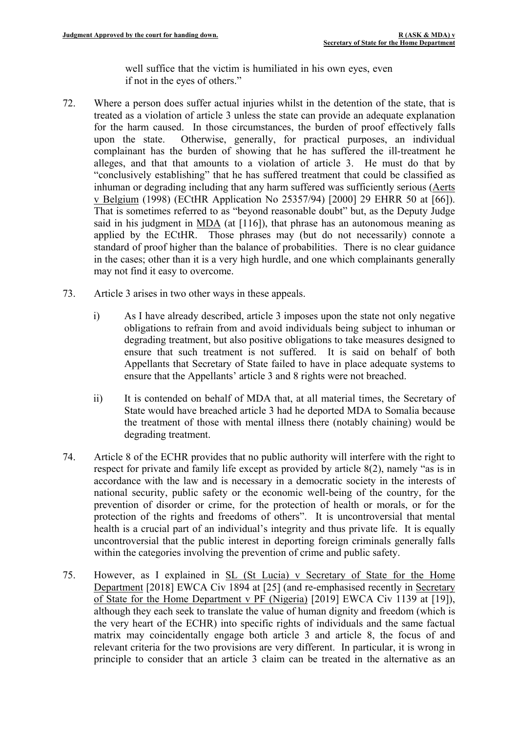well suffice that the victim is humiliated in his own eyes, even if not in the eyes of others."

- 72. Where a person does suffer actual injuries whilst in the detention of the state, that is treated as a violation of article 3 unless the state can provide an adequate explanation for the harm caused. In those circumstances, the burden of proof effectively falls upon the state. Otherwise, generally, for practical purposes, an individual complainant has the burden of showing that he has suffered the ill-treatment he alleges, and that that amounts to a violation of article 3. He must do that by "conclusively establishing" that he has suffered treatment that could be classified as inhuman or degrading including that any harm suffered was sufficiently serious (Aerts v Belgium (1998) (ECtHR Application No 25357/94) [2000] 29 EHRR 50 at [66]). That is sometimes referred to as "beyond reasonable doubt" but, as the Deputy Judge said in his judgment in MDA (at [116]), that phrase has an autonomous meaning as applied by the ECtHR. Those phrases may (but do not necessarily) connote a standard of proof higher than the balance of probabilities. There is no clear guidance in the cases; other than it is a very high hurdle, and one which complainants generally may not find it easy to overcome.
- 73. Article 3 arises in two other ways in these appeals.
	- i) As I have already described, article 3 imposes upon the state not only negative obligations to refrain from and avoid individuals being subject to inhuman or degrading treatment, but also positive obligations to take measures designed to ensure that such treatment is not suffered. It is said on behalf of both Appellants that Secretary of State failed to have in place adequate systems to ensure that the Appellants' article 3 and 8 rights were not breached.
	- ii) It is contended on behalf of MDA that, at all material times, the Secretary of State would have breached article 3 had he deported MDA to Somalia because the treatment of those with mental illness there (notably chaining) would be degrading treatment.
- 74. Article 8 of the ECHR provides that no public authority will interfere with the right to respect for private and family life except as provided by article 8(2), namely "as is in accordance with the law and is necessary in a democratic society in the interests of national security, public safety or the economic well-being of the country, for the prevention of disorder or crime, for the protection of health or morals, or for the protection of the rights and freedoms of others". It is uncontroversial that mental health is a crucial part of an individual's integrity and thus private life. It is equally uncontroversial that the public interest in deporting foreign criminals generally falls within the categories involving the prevention of crime and public safety.
- 75. However, as I explained in SL (St Lucia) v Secretary of State for the Home Department [2018] EWCA Civ 1894 at [25] (and re-emphasised recently in Secretary of State for the Home Department v PF (Nigeria) [2019] EWCA Civ 1139 at [19]), although they each seek to translate the value of human dignity and freedom (which is the very heart of the ECHR) into specific rights of individuals and the same factual matrix may coincidentally engage both article 3 and article 8, the focus of and relevant criteria for the two provisions are very different. In particular, it is wrong in principle to consider that an article 3 claim can be treated in the alternative as an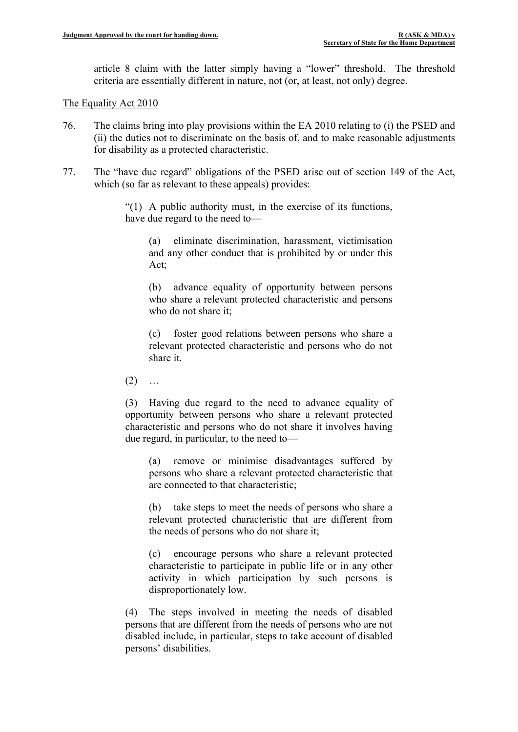article 8 claim with the latter simply having a "lower" threshold. The threshold criteria are essentially different in nature, not (or, at least, not only) degree.

#### The Equality Act 2010

- 76. The claims bring into play provisions within the EA 2010 relating to (i) the PSED and (ii) the duties not to discriminate on the basis of, and to make reasonable adjustments for disability as a protected characteristic.
- 77. The "have due regard" obligations of the PSED arise out of section 149 of the Act, which (so far as relevant to these appeals) provides:

"(1) A public authority must, in the exercise of its functions, have due regard to the need to—

(a) eliminate discrimination, harassment, victimisation and any other conduct that is prohibited by or under this Act;

(b) advance equality of opportunity between persons who share a relevant protected characteristic and persons who do not share it;

(c) foster good relations between persons who share a relevant protected characteristic and persons who do not share it.

 $(2)$  ...

(3) Having due regard to the need to advance equality of opportunity between persons who share a relevant protected characteristic and persons who do not share it involves having due regard, in particular, to the need to—

(a) remove or minimise disadvantages suffered by persons who share a relevant protected characteristic that are connected to that characteristic;

(b) take steps to meet the needs of persons who share a relevant protected characteristic that are different from the needs of persons who do not share it;

(c) encourage persons who share a relevant protected characteristic to participate in public life or in any other activity in which participation by such persons is disproportionately low.

(4) The steps involved in meeting the needs of disabled persons that are different from the needs of persons who are not disabled include, in particular, steps to take account of disabled persons' disabilities.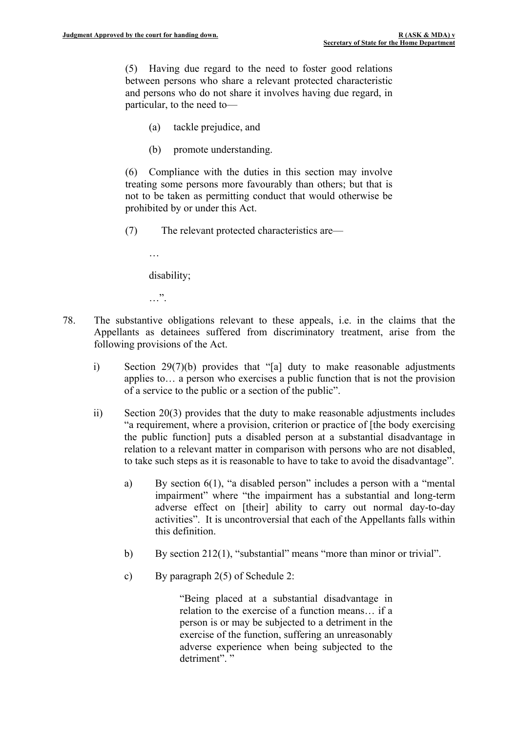(5) Having due regard to the need to foster good relations between persons who share a relevant protected characteristic and persons who do not share it involves having due regard, in particular, to the need to—

- (a) tackle prejudice, and
- (b) promote understanding.

(6) Compliance with the duties in this section may involve treating some persons more favourably than others; but that is not to be taken as permitting conduct that would otherwise be prohibited by or under this Act.

(7) The relevant protected characteristics are—

…

disability;

…".

- 78. The substantive obligations relevant to these appeals, i.e. in the claims that the Appellants as detainees suffered from discriminatory treatment, arise from the following provisions of the Act.
	- i) Section 29(7)(b) provides that "[a] duty to make reasonable adjustments applies to… a person who exercises a public function that is not the provision of a service to the public or a section of the public".
	- ii) Section 20(3) provides that the duty to make reasonable adjustments includes "a requirement, where a provision, criterion or practice of [the body exercising the public function] puts a disabled person at a substantial disadvantage in relation to a relevant matter in comparison with persons who are not disabled, to take such steps as it is reasonable to have to take to avoid the disadvantage".
		- a) By section 6(1), "a disabled person" includes a person with a "mental impairment" where "the impairment has a substantial and long-term adverse effect on [their] ability to carry out normal day-to-day activities". It is uncontroversial that each of the Appellants falls within this definition.
		- b) By section 212(1), "substantial" means "more than minor or trivial".
		- c) By paragraph 2(5) of Schedule 2:

"Being placed at a substantial disadvantage in relation to the exercise of a function means… if a person is or may be subjected to a detriment in the exercise of the function, suffering an unreasonably adverse experience when being subjected to the detriment". "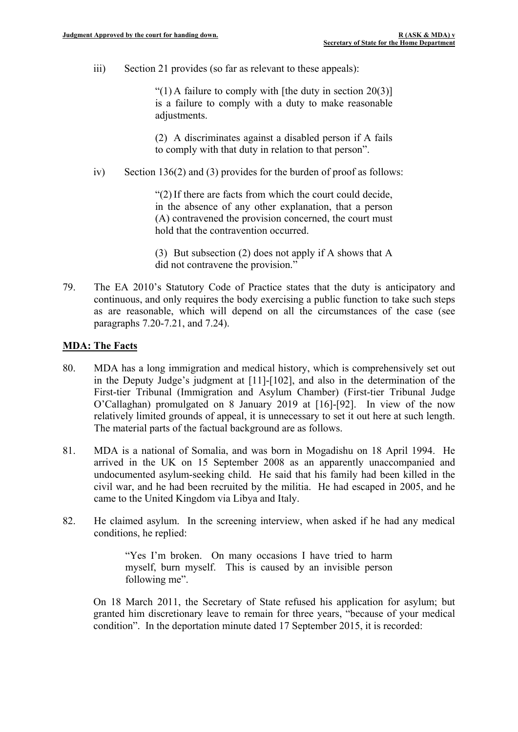iii) Section 21 provides (so far as relevant to these appeals):

"(1) A failure to comply with [the duty in section  $20(3)$ ] is a failure to comply with a duty to make reasonable adjustments.

(2) A discriminates against a disabled person if A fails to comply with that duty in relation to that person".

iv) Section 136(2) and (3) provides for the burden of proof as follows:

"(2) If there are facts from which the court could decide, in the absence of any other explanation, that a person (A) contravened the provision concerned, the court must hold that the contravention occurred.

(3) But subsection (2) does not apply if A shows that A did not contravene the provision."

79. The EA 2010's Statutory Code of Practice states that the duty is anticipatory and continuous, and only requires the body exercising a public function to take such steps as are reasonable, which will depend on all the circumstances of the case (see paragraphs 7.20-7.21, and 7.24).

## **MDA: The Facts**

- 80. MDA has a long immigration and medical history, which is comprehensively set out in the Deputy Judge's judgment at [11]-[102], and also in the determination of the First-tier Tribunal (Immigration and Asylum Chamber) (First-tier Tribunal Judge O'Callaghan) promulgated on 8 January 2019 at [16]-[92]. In view of the now relatively limited grounds of appeal, it is unnecessary to set it out here at such length. The material parts of the factual background are as follows.
- 81. MDA is a national of Somalia, and was born in Mogadishu on 18 April 1994. He arrived in the UK on 15 September 2008 as an apparently unaccompanied and undocumented asylum-seeking child. He said that his family had been killed in the civil war, and he had been recruited by the militia. He had escaped in 2005, and he came to the United Kingdom via Libya and Italy.
- 82. He claimed asylum. In the screening interview, when asked if he had any medical conditions, he replied:

"Yes I'm broken. On many occasions I have tried to harm myself, burn myself. This is caused by an invisible person following me".

On 18 March 2011, the Secretary of State refused his application for asylum; but granted him discretionary leave to remain for three years, "because of your medical condition". In the deportation minute dated 17 September 2015, it is recorded: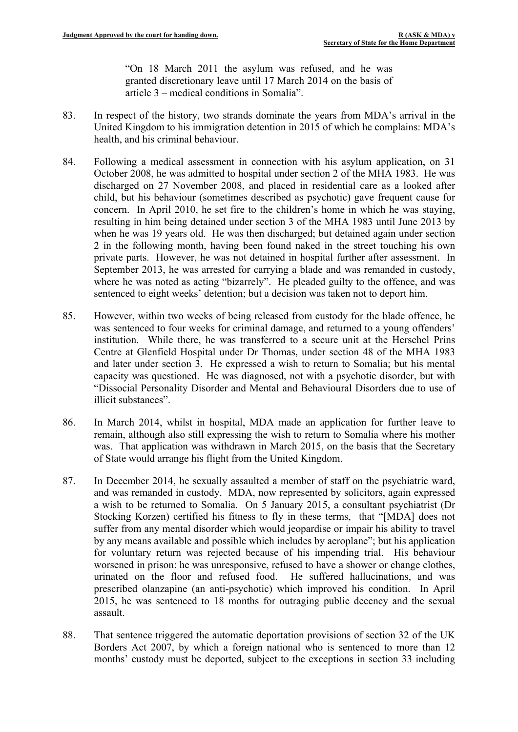"On 18 March 2011 the asylum was refused, and he was granted discretionary leave until 17 March 2014 on the basis of article 3 – medical conditions in Somalia".

- 83. In respect of the history, two strands dominate the years from MDA's arrival in the United Kingdom to his immigration detention in 2015 of which he complains: MDA's health, and his criminal behaviour.
- 84. Following a medical assessment in connection with his asylum application, on 31 October 2008, he was admitted to hospital under section 2 of the MHA 1983. He was discharged on 27 November 2008, and placed in residential care as a looked after child, but his behaviour (sometimes described as psychotic) gave frequent cause for concern. In April 2010, he set fire to the children's home in which he was staying, resulting in him being detained under section 3 of the MHA 1983 until June 2013 by when he was 19 years old. He was then discharged; but detained again under section 2 in the following month, having been found naked in the street touching his own private parts. However, he was not detained in hospital further after assessment. In September 2013, he was arrested for carrying a blade and was remanded in custody, where he was noted as acting "bizarrely". He pleaded guilty to the offence, and was sentenced to eight weeks' detention; but a decision was taken not to deport him.
- 85. However, within two weeks of being released from custody for the blade offence, he was sentenced to four weeks for criminal damage, and returned to a young offenders' institution. While there, he was transferred to a secure unit at the Herschel Prins Centre at Glenfield Hospital under Dr Thomas, under section 48 of the MHA 1983 and later under section 3. He expressed a wish to return to Somalia; but his mental capacity was questioned. He was diagnosed, not with a psychotic disorder, but with "Dissocial Personality Disorder and Mental and Behavioural Disorders due to use of illicit substances".
- 86. In March 2014, whilst in hospital, MDA made an application for further leave to remain, although also still expressing the wish to return to Somalia where his mother was. That application was withdrawn in March 2015, on the basis that the Secretary of State would arrange his flight from the United Kingdom.
- 87. In December 2014, he sexually assaulted a member of staff on the psychiatric ward, and was remanded in custody. MDA, now represented by solicitors, again expressed a wish to be returned to Somalia. On 5 January 2015, a consultant psychiatrist (Dr Stocking Korzen) certified his fitness to fly in these terms, that "[MDA] does not suffer from any mental disorder which would jeopardise or impair his ability to travel by any means available and possible which includes by aeroplane"; but his application for voluntary return was rejected because of his impending trial. His behaviour worsened in prison: he was unresponsive, refused to have a shower or change clothes, urinated on the floor and refused food. He suffered hallucinations, and was prescribed olanzapine (an anti-psychotic) which improved his condition. In April 2015, he was sentenced to 18 months for outraging public decency and the sexual assault.
- 88. That sentence triggered the automatic deportation provisions of section 32 of the UK Borders Act 2007, by which a foreign national who is sentenced to more than 12 months' custody must be deported, subject to the exceptions in section 33 including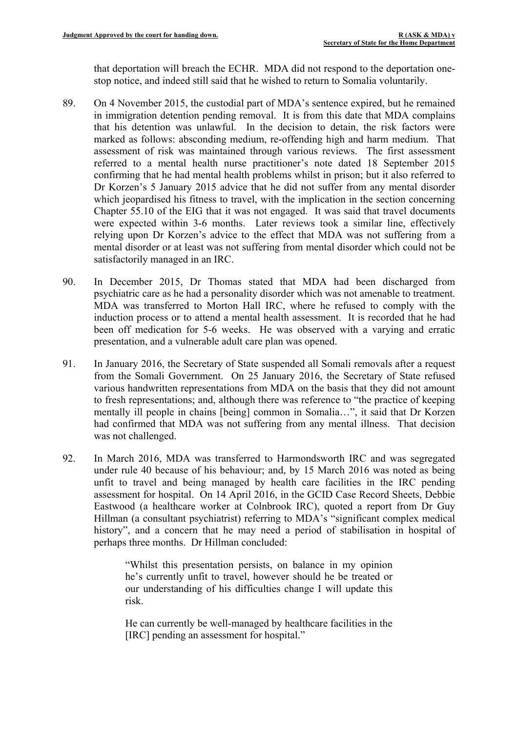that deportation will breach the ECHR. MDA did not respond to the deportation onestop notice, and indeed still said that he wished to return to Somalia voluntarily.

- 89. On 4 November 2015, the custodial part of MDA's sentence expired, but he remained in immigration detention pending removal. It is from this date that MDA complains that his detention was unlawful. In the decision to detain, the risk factors were marked as follows: absconding medium, re-offending high and harm medium. That assessment of risk was maintained through various reviews. The first assessment referred to a mental health nurse practitioner's note dated 18 September 2015 confirming that he had mental health problems whilst in prison; but it also referred to Dr Korzen's 5 January 2015 advice that he did not suffer from any mental disorder which jeopardised his fitness to travel, with the implication in the section concerning Chapter 55.10 of the EIG that it was not engaged. It was said that travel documents were expected within 3-6 months. Later reviews took a similar line, effectively relying upon Dr Korzen's advice to the effect that MDA was not suffering from a mental disorder or at least was not suffering from mental disorder which could not be satisfactorily managed in an IRC.
- 90. In December 2015, Dr Thomas stated that MDA had been discharged from psychiatric care as he had a personality disorder which was not amenable to treatment. MDA was transferred to Morton Hall IRC, where he refused to comply with the induction process or to attend a mental health assessment. It is recorded that he had been off medication for 5-6 weeks. He was observed with a varying and erratic presentation, and a vulnerable adult care plan was opened.
- 91. In January 2016, the Secretary of State suspended all Somali removals after a request from the Somali Government. On 25 January 2016, the Secretary of State refused various handwritten representations from MDA on the basis that they did not amount to fresh representations; and, although there was reference to "the practice of keeping mentally ill people in chains [being] common in Somalia…", it said that Dr Korzen had confirmed that MDA was not suffering from any mental illness. That decision was not challenged.
- 92. In March 2016, MDA was transferred to Harmondsworth IRC and was segregated under rule 40 because of his behaviour; and, by 15 March 2016 was noted as being unfit to travel and being managed by health care facilities in the IRC pending assessment for hospital. On 14 April 2016, in the GCID Case Record Sheets, Debbie Eastwood (a healthcare worker at Colnbrook IRC), quoted a report from Dr Guy Hillman (a consultant psychiatrist) referring to MDA's "significant complex medical history", and a concern that he may need a period of stabilisation in hospital of perhaps three months. Dr Hillman concluded:

"Whilst this presentation persists, on balance in my opinion he's currently unfit to travel, however should he be treated or our understanding of his difficulties change I will update this risk.

He can currently be well-managed by healthcare facilities in the [IRC] pending an assessment for hospital."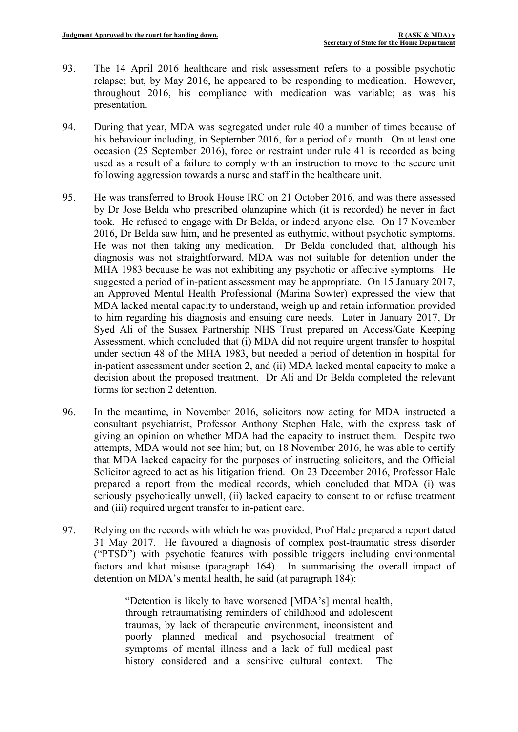- 93. The 14 April 2016 healthcare and risk assessment refers to a possible psychotic relapse; but, by May 2016, he appeared to be responding to medication. However, throughout 2016, his compliance with medication was variable; as was his presentation.
- 94. During that year, MDA was segregated under rule 40 a number of times because of his behaviour including, in September 2016, for a period of a month. On at least one occasion (25 September 2016), force or restraint under rule 41 is recorded as being used as a result of a failure to comply with an instruction to move to the secure unit following aggression towards a nurse and staff in the healthcare unit.
- 95. He was transferred to Brook House IRC on 21 October 2016, and was there assessed by Dr Jose Belda who prescribed olanzapine which (it is recorded) he never in fact took. He refused to engage with Dr Belda, or indeed anyone else. On 17 November 2016, Dr Belda saw him, and he presented as euthymic, without psychotic symptoms. He was not then taking any medication. Dr Belda concluded that, although his diagnosis was not straightforward, MDA was not suitable for detention under the MHA 1983 because he was not exhibiting any psychotic or affective symptoms. He suggested a period of in-patient assessment may be appropriate. On 15 January 2017, an Approved Mental Health Professional (Marina Sowter) expressed the view that MDA lacked mental capacity to understand, weigh up and retain information provided to him regarding his diagnosis and ensuing care needs. Later in January 2017, Dr Syed Ali of the Sussex Partnership NHS Trust prepared an Access/Gate Keeping Assessment, which concluded that (i) MDA did not require urgent transfer to hospital under section 48 of the MHA 1983, but needed a period of detention in hospital for in-patient assessment under section 2, and (ii) MDA lacked mental capacity to make a decision about the proposed treatment. Dr Ali and Dr Belda completed the relevant forms for section 2 detention.
- 96. In the meantime, in November 2016, solicitors now acting for MDA instructed a consultant psychiatrist, Professor Anthony Stephen Hale, with the express task of giving an opinion on whether MDA had the capacity to instruct them. Despite two attempts, MDA would not see him; but, on 18 November 2016, he was able to certify that MDA lacked capacity for the purposes of instructing solicitors, and the Official Solicitor agreed to act as his litigation friend. On 23 December 2016, Professor Hale prepared a report from the medical records, which concluded that MDA (i) was seriously psychotically unwell, (ii) lacked capacity to consent to or refuse treatment and (iii) required urgent transfer to in-patient care.
- 97. Relying on the records with which he was provided, Prof Hale prepared a report dated 31 May 2017. He favoured a diagnosis of complex post-traumatic stress disorder ("PTSD") with psychotic features with possible triggers including environmental factors and khat misuse (paragraph 164). In summarising the overall impact of detention on MDA's mental health, he said (at paragraph 184):

"Detention is likely to have worsened [MDA's] mental health, through retraumatising reminders of childhood and adolescent traumas, by lack of therapeutic environment, inconsistent and poorly planned medical and psychosocial treatment of symptoms of mental illness and a lack of full medical past history considered and a sensitive cultural context. The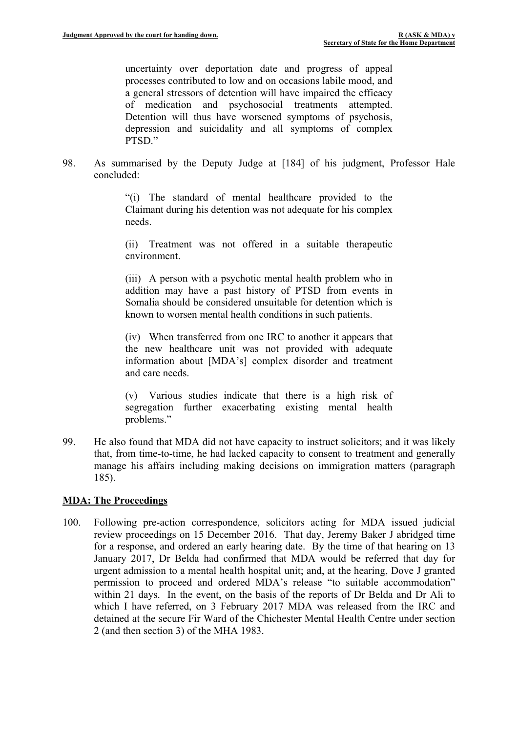uncertainty over deportation date and progress of appeal processes contributed to low and on occasions labile mood, and a general stressors of detention will have impaired the efficacy of medication and psychosocial treatments attempted. Detention will thus have worsened symptoms of psychosis, depression and suicidality and all symptoms of complex PTSD."

98. As summarised by the Deputy Judge at [184] of his judgment, Professor Hale concluded:

> "(i) The standard of mental healthcare provided to the Claimant during his detention was not adequate for his complex needs.

> (ii) Treatment was not offered in a suitable therapeutic environment.

> (iii) A person with a psychotic mental health problem who in addition may have a past history of PTSD from events in Somalia should be considered unsuitable for detention which is known to worsen mental health conditions in such patients.

> (iv) When transferred from one IRC to another it appears that the new healthcare unit was not provided with adequate information about [MDA's] complex disorder and treatment and care needs.

> (v) Various studies indicate that there is a high risk of segregation further exacerbating existing mental health problems."

99. He also found that MDA did not have capacity to instruct solicitors; and it was likely that, from time-to-time, he had lacked capacity to consent to treatment and generally manage his affairs including making decisions on immigration matters (paragraph 185).

## **MDA: The Proceedings**

100. Following pre-action correspondence, solicitors acting for MDA issued judicial review proceedings on 15 December 2016. That day, Jeremy Baker J abridged time for a response, and ordered an early hearing date. By the time of that hearing on 13 January 2017, Dr Belda had confirmed that MDA would be referred that day for urgent admission to a mental health hospital unit; and, at the hearing, Dove J granted permission to proceed and ordered MDA's release "to suitable accommodation" within 21 days. In the event, on the basis of the reports of Dr Belda and Dr Ali to which I have referred, on 3 February 2017 MDA was released from the IRC and detained at the secure Fir Ward of the Chichester Mental Health Centre under section 2 (and then section 3) of the MHA 1983.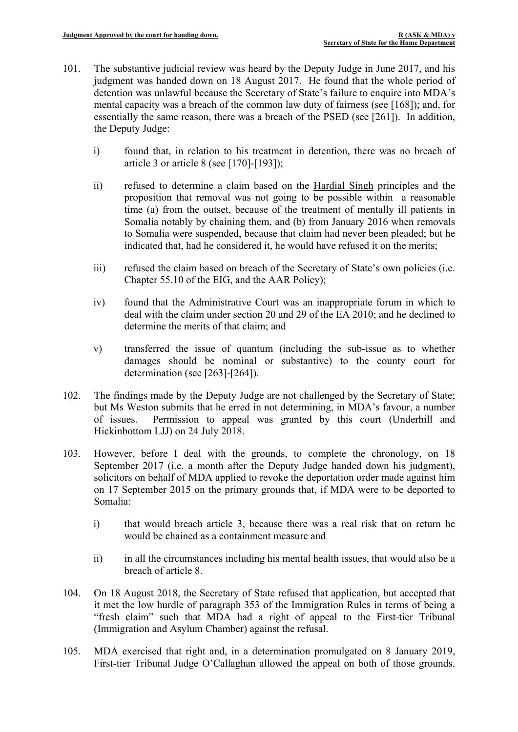- 101. The substantive judicial review was heard by the Deputy Judge in June 2017, and his judgment was handed down on 18 August 2017. He found that the whole period of detention was unlawful because the Secretary of State's failure to enquire into MDA's mental capacity was a breach of the common law duty of fairness (see [168]); and, for essentially the same reason, there was a breach of the PSED (see [261]). In addition, the Deputy Judge:
	- i) found that, in relation to his treatment in detention, there was no breach of article 3 or article 8 (see [170]-[193]);
	- ii) refused to determine a claim based on the Hardial Singh principles and the proposition that removal was not going to be possible within a reasonable time (a) from the outset, because of the treatment of mentally ill patients in Somalia notably by chaining them, and (b) from January 2016 when removals to Somalia were suspended, because that claim had never been pleaded; but he indicated that, had he considered it, he would have refused it on the merits;
	- iii) refused the claim based on breach of the Secretary of State's own policies (i.e. Chapter 55.10 of the EIG, and the AAR Policy);
	- iv) found that the Administrative Court was an inappropriate forum in which to deal with the claim under section 20 and 29 of the EA 2010; and he declined to determine the merits of that claim; and
	- v) transferred the issue of quantum (including the sub-issue as to whether damages should be nominal or substantive) to the county court for determination (see [263]-[264]).
- 102. The findings made by the Deputy Judge are not challenged by the Secretary of State; but Ms Weston submits that he erred in not determining, in MDA's favour, a number of issues. Permission to appeal was granted by this court (Underhill and Hickinbottom LJJ) on 24 July 2018.
- 103. However, before I deal with the grounds, to complete the chronology, on 18 September 2017 (i.e. a month after the Deputy Judge handed down his judgment), solicitors on behalf of MDA applied to revoke the deportation order made against him on 17 September 2015 on the primary grounds that, if MDA were to be deported to Somalia:
	- i) that would breach article 3, because there was a real risk that on return he would be chained as a containment measure and
	- ii) in all the circumstances including his mental health issues, that would also be a breach of article 8.
- 104. On 18 August 2018, the Secretary of State refused that application, but accepted that it met the low hurdle of paragraph 353 of the Immigration Rules in terms of being a "fresh claim" such that MDA had a right of appeal to the First-tier Tribunal (Immigration and Asylum Chamber) against the refusal.
- 105. MDA exercised that right and, in a determination promulgated on 8 January 2019, First-tier Tribunal Judge O'Callaghan allowed the appeal on both of those grounds.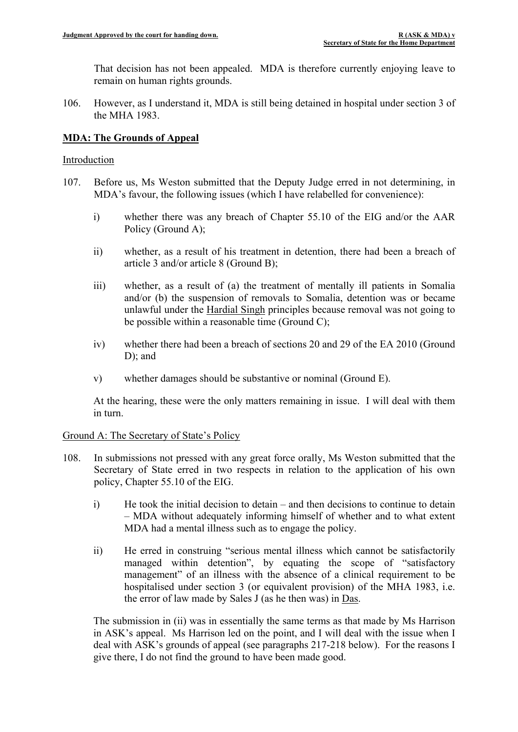That decision has not been appealed. MDA is therefore currently enjoying leave to remain on human rights grounds.

106. However, as I understand it, MDA is still being detained in hospital under section 3 of the MHA 1983.

## **MDA: The Grounds of Appeal**

#### Introduction

- 107. Before us, Ms Weston submitted that the Deputy Judge erred in not determining, in MDA's favour, the following issues (which I have relabelled for convenience):
	- i) whether there was any breach of Chapter 55.10 of the EIG and/or the AAR Policy (Ground A);
	- ii) whether, as a result of his treatment in detention, there had been a breach of article 3 and/or article 8 (Ground B);
	- iii) whether, as a result of (a) the treatment of mentally ill patients in Somalia and/or (b) the suspension of removals to Somalia, detention was or became unlawful under the Hardial Singh principles because removal was not going to be possible within a reasonable time (Ground C);
	- iv) whether there had been a breach of sections 20 and 29 of the EA 2010 (Ground D); and
	- v) whether damages should be substantive or nominal (Ground E).

At the hearing, these were the only matters remaining in issue. I will deal with them in turn.

Ground A: The Secretary of State's Policy

- 108. In submissions not pressed with any great force orally, Ms Weston submitted that the Secretary of State erred in two respects in relation to the application of his own policy, Chapter 55.10 of the EIG.
	- i) He took the initial decision to detain and then decisions to continue to detain – MDA without adequately informing himself of whether and to what extent MDA had a mental illness such as to engage the policy.
	- ii) He erred in construing "serious mental illness which cannot be satisfactorily managed within detention", by equating the scope of "satisfactory management" of an illness with the absence of a clinical requirement to be hospitalised under section 3 (or equivalent provision) of the MHA 1983, i.e. the error of law made by Sales J (as he then was) in  $Das$ .

The submission in (ii) was in essentially the same terms as that made by Ms Harrison in ASK's appeal. Ms Harrison led on the point, and I will deal with the issue when I deal with ASK's grounds of appeal (see paragraphs 217-218 below). For the reasons I give there, I do not find the ground to have been made good.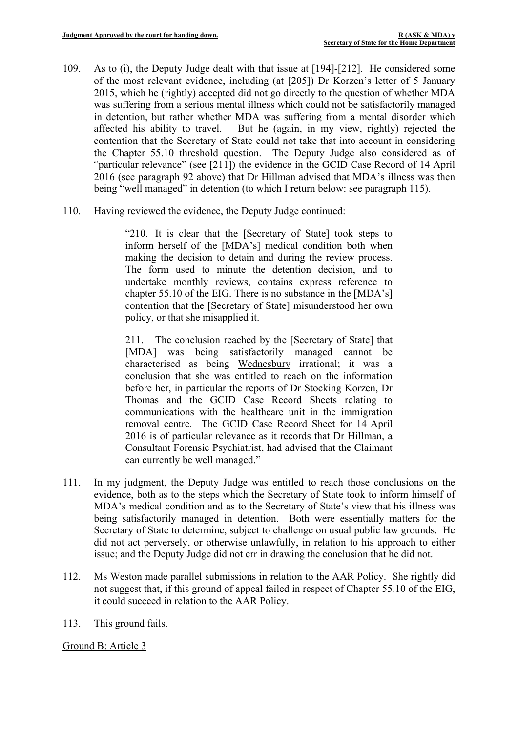- 109. As to (i), the Deputy Judge dealt with that issue at [194]-[212]. He considered some of the most relevant evidence, including (at [205]) Dr Korzen's letter of 5 January 2015, which he (rightly) accepted did not go directly to the question of whether MDA was suffering from a serious mental illness which could not be satisfactorily managed in detention, but rather whether MDA was suffering from a mental disorder which affected his ability to travel. But he (again, in my view, rightly) rejected the contention that the Secretary of State could not take that into account in considering the Chapter 55.10 threshold question. The Deputy Judge also considered as of "particular relevance" (see [211]) the evidence in the GCID Case Record of 14 April 2016 (see paragraph 92 above) that Dr Hillman advised that MDA's illness was then being "well managed" in detention (to which I return below: see paragraph 115).
- 110. Having reviewed the evidence, the Deputy Judge continued:

"210. It is clear that the [Secretary of State] took steps to inform herself of the [MDA's] medical condition both when making the decision to detain and during the review process. The form used to minute the detention decision, and to undertake monthly reviews, contains express reference to chapter 55.10 of the EIG. There is no substance in the [MDA's] contention that the [Secretary of State] misunderstood her own policy, or that she misapplied it.

211. The conclusion reached by the [Secretary of State] that [MDA] was being satisfactorily managed cannot be characterised as being Wednesbury irrational; it was a conclusion that she was entitled to reach on the information before her, in particular the reports of Dr Stocking Korzen, Dr Thomas and the GCID Case Record Sheets relating to communications with the healthcare unit in the immigration removal centre. The GCID Case Record Sheet for 14 April 2016 is of particular relevance as it records that Dr Hillman, a Consultant Forensic Psychiatrist, had advised that the Claimant can currently be well managed."

- 111. In my judgment, the Deputy Judge was entitled to reach those conclusions on the evidence, both as to the steps which the Secretary of State took to inform himself of MDA's medical condition and as to the Secretary of State's view that his illness was being satisfactorily managed in detention. Both were essentially matters for the Secretary of State to determine, subject to challenge on usual public law grounds. He did not act perversely, or otherwise unlawfully, in relation to his approach to either issue; and the Deputy Judge did not err in drawing the conclusion that he did not.
- 112. Ms Weston made parallel submissions in relation to the AAR Policy. She rightly did not suggest that, if this ground of appeal failed in respect of Chapter 55.10 of the EIG, it could succeed in relation to the AAR Policy.
- 113. This ground fails.

#### Ground B: Article 3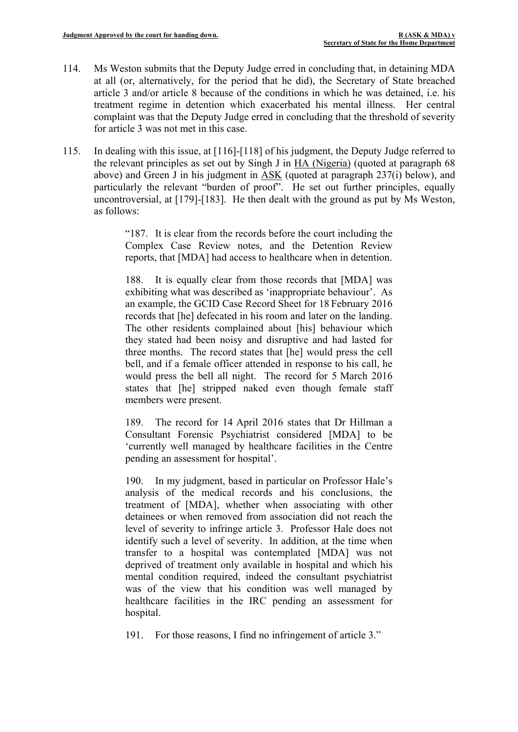- 114. Ms Weston submits that the Deputy Judge erred in concluding that, in detaining MDA at all (or, alternatively, for the period that he did), the Secretary of State breached article 3 and/or article 8 because of the conditions in which he was detained, i.e. his treatment regime in detention which exacerbated his mental illness. Her central complaint was that the Deputy Judge erred in concluding that the threshold of severity for article 3 was not met in this case.
- 115. In dealing with this issue, at [116]-[118] of his judgment, the Deputy Judge referred to the relevant principles as set out by Singh J in HA (Nigeria) (quoted at paragraph 68 above) and Green J in his judgment in  $\underline{ASK}$  (quoted at paragraph 237(i) below), and particularly the relevant "burden of proof". He set out further principles, equally uncontroversial, at [179]-[183]. He then dealt with the ground as put by Ms Weston, as follows:

"187. It is clear from the records before the court including the Complex Case Review notes, and the Detention Review reports, that [MDA] had access to healthcare when in detention.

188. It is equally clear from those records that [MDA] was exhibiting what was described as 'inappropriate behaviour'. As an example, the GCID Case Record Sheet for 18 February 2016 records that [he] defecated in his room and later on the landing. The other residents complained about [his] behaviour which they stated had been noisy and disruptive and had lasted for three months. The record states that [he] would press the cell bell, and if a female officer attended in response to his call, he would press the bell all night. The record for 5 March 2016 states that [he] stripped naked even though female staff members were present.

189. The record for 14 April 2016 states that Dr Hillman a Consultant Forensic Psychiatrist considered [MDA] to be 'currently well managed by healthcare facilities in the Centre pending an assessment for hospital'.

190. In my judgment, based in particular on Professor Hale's analysis of the medical records and his conclusions, the treatment of [MDA], whether when associating with other detainees or when removed from association did not reach the level of severity to infringe article 3. Professor Hale does not identify such a level of severity. In addition, at the time when transfer to a hospital was contemplated [MDA] was not deprived of treatment only available in hospital and which his mental condition required, indeed the consultant psychiatrist was of the view that his condition was well managed by healthcare facilities in the IRC pending an assessment for hospital.

191. For those reasons, I find no infringement of article 3."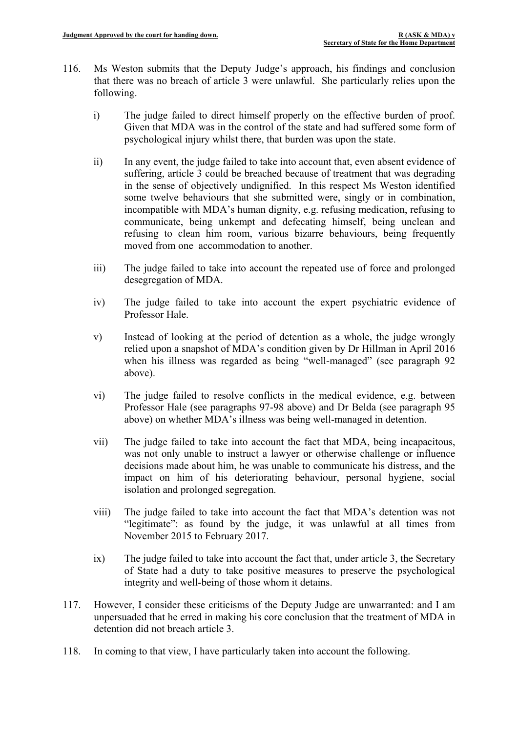- 116. Ms Weston submits that the Deputy Judge's approach, his findings and conclusion that there was no breach of article 3 were unlawful. She particularly relies upon the following.
	- i) The judge failed to direct himself properly on the effective burden of proof. Given that MDA was in the control of the state and had suffered some form of psychological injury whilst there, that burden was upon the state.
	- ii) In any event, the judge failed to take into account that, even absent evidence of suffering, article 3 could be breached because of treatment that was degrading in the sense of objectively undignified. In this respect Ms Weston identified some twelve behaviours that she submitted were, singly or in combination, incompatible with MDA's human dignity, e.g. refusing medication, refusing to communicate, being unkempt and defecating himself, being unclean and refusing to clean him room, various bizarre behaviours, being frequently moved from one accommodation to another.
	- iii) The judge failed to take into account the repeated use of force and prolonged desegregation of MDA.
	- iv) The judge failed to take into account the expert psychiatric evidence of Professor Hale.
	- v) Instead of looking at the period of detention as a whole, the judge wrongly relied upon a snapshot of MDA's condition given by Dr Hillman in April 2016 when his illness was regarded as being "well-managed" (see paragraph 92 above).
	- vi) The judge failed to resolve conflicts in the medical evidence, e.g. between Professor Hale (see paragraphs 97-98 above) and Dr Belda (see paragraph 95 above) on whether MDA's illness was being well-managed in detention.
	- vii) The judge failed to take into account the fact that MDA, being incapacitous, was not only unable to instruct a lawyer or otherwise challenge or influence decisions made about him, he was unable to communicate his distress, and the impact on him of his deteriorating behaviour, personal hygiene, social isolation and prolonged segregation.
	- viii) The judge failed to take into account the fact that MDA's detention was not "legitimate": as found by the judge, it was unlawful at all times from November 2015 to February 2017.
	- ix) The judge failed to take into account the fact that, under article 3, the Secretary of State had a duty to take positive measures to preserve the psychological integrity and well-being of those whom it detains.
- 117. However, I consider these criticisms of the Deputy Judge are unwarranted: and I am unpersuaded that he erred in making his core conclusion that the treatment of MDA in detention did not breach article 3.
- 118. In coming to that view, I have particularly taken into account the following.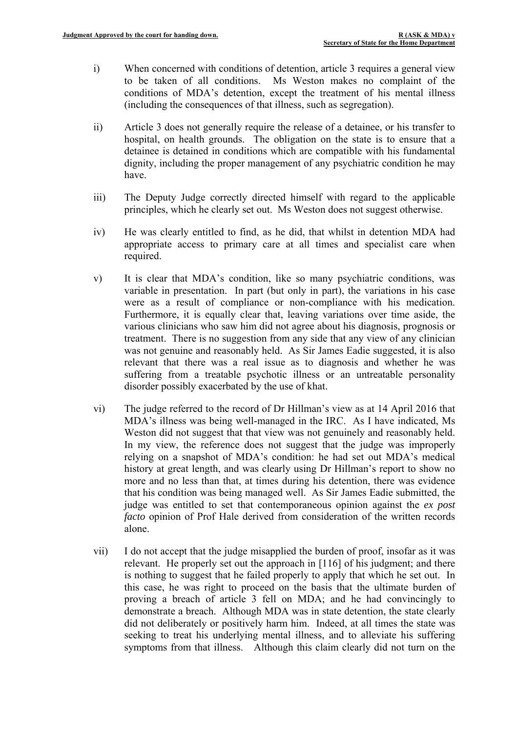- i) When concerned with conditions of detention, article 3 requires a general view to be taken of all conditions. Ms Weston makes no complaint of the conditions of MDA's detention, except the treatment of his mental illness (including the consequences of that illness, such as segregation).
- ii) Article 3 does not generally require the release of a detainee, or his transfer to hospital, on health grounds. The obligation on the state is to ensure that a detainee is detained in conditions which are compatible with his fundamental dignity, including the proper management of any psychiatric condition he may have.
- iii) The Deputy Judge correctly directed himself with regard to the applicable principles, which he clearly set out. Ms Weston does not suggest otherwise.
- iv) He was clearly entitled to find, as he did, that whilst in detention MDA had appropriate access to primary care at all times and specialist care when required.
- v) It is clear that MDA's condition, like so many psychiatric conditions, was variable in presentation. In part (but only in part), the variations in his case were as a result of compliance or non-compliance with his medication. Furthermore, it is equally clear that, leaving variations over time aside, the various clinicians who saw him did not agree about his diagnosis, prognosis or treatment. There is no suggestion from any side that any view of any clinician was not genuine and reasonably held. As Sir James Eadie suggested, it is also relevant that there was a real issue as to diagnosis and whether he was suffering from a treatable psychotic illness or an untreatable personality disorder possibly exacerbated by the use of khat.
- vi) The judge referred to the record of Dr Hillman's view as at 14 April 2016 that MDA's illness was being well-managed in the IRC. As I have indicated, Ms Weston did not suggest that that view was not genuinely and reasonably held. In my view, the reference does not suggest that the judge was improperly relying on a snapshot of MDA's condition: he had set out MDA's medical history at great length, and was clearly using Dr Hillman's report to show no more and no less than that, at times during his detention, there was evidence that his condition was being managed well. As Sir James Eadie submitted, the judge was entitled to set that contemporaneous opinion against the *ex post facto* opinion of Prof Hale derived from consideration of the written records alone.
- vii) I do not accept that the judge misapplied the burden of proof, insofar as it was relevant. He properly set out the approach in [116] of his judgment; and there is nothing to suggest that he failed properly to apply that which he set out. In this case, he was right to proceed on the basis that the ultimate burden of proving a breach of article 3 fell on MDA; and he had convincingly to demonstrate a breach. Although MDA was in state detention, the state clearly did not deliberately or positively harm him. Indeed, at all times the state was seeking to treat his underlying mental illness, and to alleviate his suffering symptoms from that illness. Although this claim clearly did not turn on the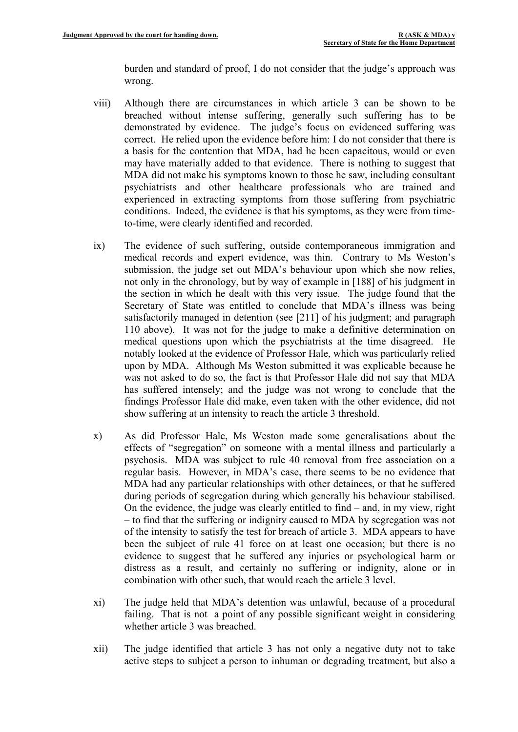burden and standard of proof, I do not consider that the judge's approach was wrong.

- viii) Although there are circumstances in which article 3 can be shown to be breached without intense suffering, generally such suffering has to be demonstrated by evidence. The judge's focus on evidenced suffering was correct. He relied upon the evidence before him: I do not consider that there is a basis for the contention that MDA, had he been capacitous, would or even may have materially added to that evidence. There is nothing to suggest that MDA did not make his symptoms known to those he saw, including consultant psychiatrists and other healthcare professionals who are trained and experienced in extracting symptoms from those suffering from psychiatric conditions. Indeed, the evidence is that his symptoms, as they were from timeto-time, were clearly identified and recorded.
- ix) The evidence of such suffering, outside contemporaneous immigration and medical records and expert evidence, was thin. Contrary to Ms Weston's submission, the judge set out MDA's behaviour upon which she now relies, not only in the chronology, but by way of example in [188] of his judgment in the section in which he dealt with this very issue. The judge found that the Secretary of State was entitled to conclude that MDA's illness was being satisfactorily managed in detention (see [211] of his judgment; and paragraph 110 above). It was not for the judge to make a definitive determination on medical questions upon which the psychiatrists at the time disagreed. He notably looked at the evidence of Professor Hale, which was particularly relied upon by MDA. Although Ms Weston submitted it was explicable because he was not asked to do so, the fact is that Professor Hale did not say that MDA has suffered intensely; and the judge was not wrong to conclude that the findings Professor Hale did make, even taken with the other evidence, did not show suffering at an intensity to reach the article 3 threshold.
- x) As did Professor Hale, Ms Weston made some generalisations about the effects of "segregation" on someone with a mental illness and particularly a psychosis. MDA was subject to rule 40 removal from free association on a regular basis. However, in MDA's case, there seems to be no evidence that MDA had any particular relationships with other detainees, or that he suffered during periods of segregation during which generally his behaviour stabilised. On the evidence, the judge was clearly entitled to find – and, in my view, right – to find that the suffering or indignity caused to MDA by segregation was not of the intensity to satisfy the test for breach of article 3. MDA appears to have been the subject of rule 41 force on at least one occasion; but there is no evidence to suggest that he suffered any injuries or psychological harm or distress as a result, and certainly no suffering or indignity, alone or in combination with other such, that would reach the article 3 level.
- xi) The judge held that MDA's detention was unlawful, because of a procedural failing. That is not a point of any possible significant weight in considering whether article 3 was breached.
- xii) The judge identified that article 3 has not only a negative duty not to take active steps to subject a person to inhuman or degrading treatment, but also a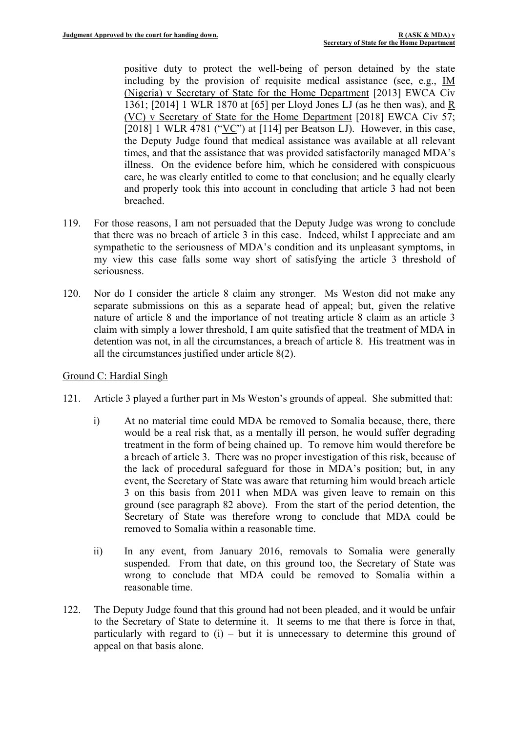positive duty to protect the well-being of person detained by the state including by the provision of requisite medical assistance (see, e.g., IM (Nigeria) v Secretary of State for the Home Department [2013] EWCA Civ 1361; [2014] 1 WLR 1870 at [65] per Lloyd Jones LJ (as he then was), and R (VC) v Secretary of State for the Home Department [2018] EWCA Civ 57; [2018] 1 WLR 4781 ("VC") at [114] per Beatson LJ). However, in this case, the Deputy Judge found that medical assistance was available at all relevant times, and that the assistance that was provided satisfactorily managed MDA's illness. On the evidence before him, which he considered with conspicuous care, he was clearly entitled to come to that conclusion; and he equally clearly and properly took this into account in concluding that article 3 had not been breached.

- 119. For those reasons, I am not persuaded that the Deputy Judge was wrong to conclude that there was no breach of article 3 in this case. Indeed, whilst I appreciate and am sympathetic to the seriousness of MDA's condition and its unpleasant symptoms, in my view this case falls some way short of satisfying the article 3 threshold of seriousness.
- 120. Nor do I consider the article 8 claim any stronger. Ms Weston did not make any separate submissions on this as a separate head of appeal; but, given the relative nature of article 8 and the importance of not treating article 8 claim as an article 3 claim with simply a lower threshold, I am quite satisfied that the treatment of MDA in detention was not, in all the circumstances, a breach of article 8. His treatment was in all the circumstances justified under article 8(2).

## Ground C: Hardial Singh

- 121. Article 3 played a further part in Ms Weston's grounds of appeal. She submitted that:
	- i) At no material time could MDA be removed to Somalia because, there, there would be a real risk that, as a mentally ill person, he would suffer degrading treatment in the form of being chained up. To remove him would therefore be a breach of article 3. There was no proper investigation of this risk, because of the lack of procedural safeguard for those in MDA's position; but, in any event, the Secretary of State was aware that returning him would breach article 3 on this basis from 2011 when MDA was given leave to remain on this ground (see paragraph 82 above). From the start of the period detention, the Secretary of State was therefore wrong to conclude that MDA could be removed to Somalia within a reasonable time.
	- ii) In any event, from January 2016, removals to Somalia were generally suspended. From that date, on this ground too, the Secretary of State was wrong to conclude that MDA could be removed to Somalia within a reasonable time.
- 122. The Deputy Judge found that this ground had not been pleaded, and it would be unfair to the Secretary of State to determine it. It seems to me that there is force in that, particularly with regard to  $(i)$  – but it is unnecessary to determine this ground of appeal on that basis alone.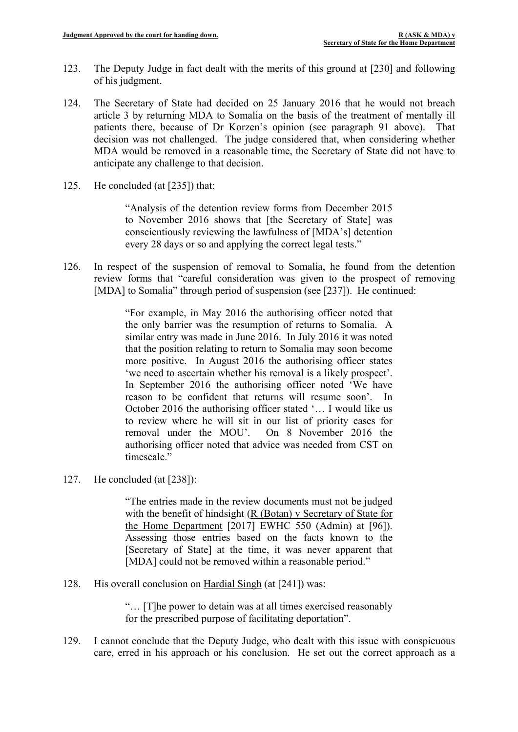- 123. The Deputy Judge in fact dealt with the merits of this ground at [230] and following of his judgment.
- 124. The Secretary of State had decided on 25 January 2016 that he would not breach article 3 by returning MDA to Somalia on the basis of the treatment of mentally ill patients there, because of Dr Korzen's opinion (see paragraph 91 above). That decision was not challenged. The judge considered that, when considering whether MDA would be removed in a reasonable time, the Secretary of State did not have to anticipate any challenge to that decision.
- 125. He concluded (at [235]) that:

"Analysis of the detention review forms from December 2015 to November 2016 shows that [the Secretary of State] was conscientiously reviewing the lawfulness of [MDA's] detention every 28 days or so and applying the correct legal tests."

126. In respect of the suspension of removal to Somalia, he found from the detention review forms that "careful consideration was given to the prospect of removing [MDA] to Somalia" through period of suspension (see [237]). He continued:

> "For example, in May 2016 the authorising officer noted that the only barrier was the resumption of returns to Somalia. A similar entry was made in June 2016. In July 2016 it was noted that the position relating to return to Somalia may soon become more positive. In August 2016 the authorising officer states 'we need to ascertain whether his removal is a likely prospect'. In September 2016 the authorising officer noted 'We have reason to be confident that returns will resume soon'. In October 2016 the authorising officer stated '… I would like us to review where he will sit in our list of priority cases for removal under the MOU'. On 8 November 2016 the authorising officer noted that advice was needed from CST on timescale."

127. He concluded (at [238]):

"The entries made in the review documents must not be judged with the benefit of hindsight (R (Botan) v Secretary of State for the Home Department [2017] EWHC 550 (Admin) at [96]). Assessing those entries based on the facts known to the [Secretary of State] at the time, it was never apparent that [MDA] could not be removed within a reasonable period."

128. His overall conclusion on Hardial Singh (at [241]) was:

"… [T]he power to detain was at all times exercised reasonably for the prescribed purpose of facilitating deportation".

129. I cannot conclude that the Deputy Judge, who dealt with this issue with conspicuous care, erred in his approach or his conclusion. He set out the correct approach as a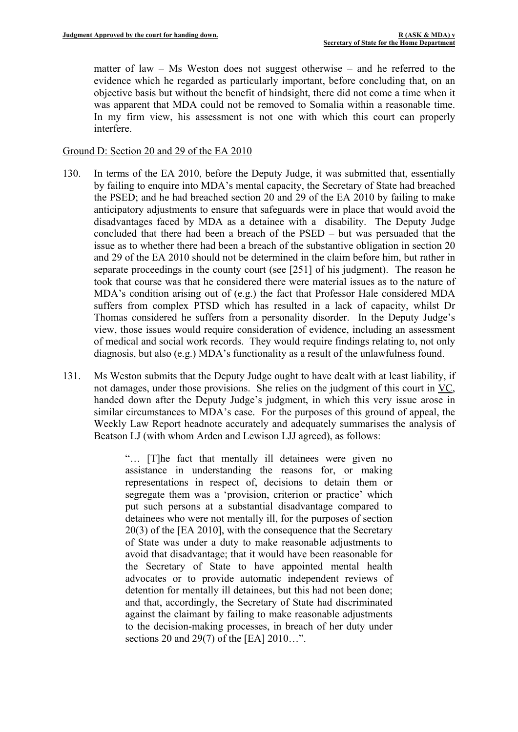matter of law – Ms Weston does not suggest otherwise – and he referred to the evidence which he regarded as particularly important, before concluding that, on an objective basis but without the benefit of hindsight, there did not come a time when it was apparent that MDA could not be removed to Somalia within a reasonable time. In my firm view, his assessment is not one with which this court can properly interfere.

### Ground D: Section 20 and 29 of the EA 2010

- 130. In terms of the EA 2010, before the Deputy Judge, it was submitted that, essentially by failing to enquire into MDA's mental capacity, the Secretary of State had breached the PSED; and he had breached section 20 and 29 of the EA 2010 by failing to make anticipatory adjustments to ensure that safeguards were in place that would avoid the disadvantages faced by MDA as a detainee with a disability. The Deputy Judge concluded that there had been a breach of the PSED – but was persuaded that the issue as to whether there had been a breach of the substantive obligation in section 20 and 29 of the EA 2010 should not be determined in the claim before him, but rather in separate proceedings in the county court (see [251] of his judgment). The reason he took that course was that he considered there were material issues as to the nature of MDA's condition arising out of (e.g.) the fact that Professor Hale considered MDA suffers from complex PTSD which has resulted in a lack of capacity, whilst Dr Thomas considered he suffers from a personality disorder. In the Deputy Judge's view, those issues would require consideration of evidence, including an assessment of medical and social work records. They would require findings relating to, not only diagnosis, but also (e.g.) MDA's functionality as a result of the unlawfulness found.
- 131. Ms Weston submits that the Deputy Judge ought to have dealt with at least liability, if not damages, under those provisions. She relies on the judgment of this court in VC, handed down after the Deputy Judge's judgment, in which this very issue arose in similar circumstances to MDA's case. For the purposes of this ground of appeal, the Weekly Law Report headnote accurately and adequately summarises the analysis of Beatson LJ (with whom Arden and Lewison LJJ agreed), as follows:

"… [T]he fact that mentally ill detainees were given no assistance in understanding the reasons for, or making representations in respect of, decisions to detain them or segregate them was a 'provision, criterion or practice' which put such persons at a substantial disadvantage compared to detainees who were not mentally ill, for the purposes of section 20(3) of the [EA 2010], with the consequence that the Secretary of State was under a duty to make reasonable adjustments to avoid that disadvantage; that it would have been reasonable for the Secretary of State to have appointed mental health advocates or to provide automatic independent reviews of detention for mentally ill detainees, but this had not been done; and that, accordingly, the Secretary of State had discriminated against the claimant by failing to make reasonable adjustments to the decision-making processes, in breach of her duty under sections 20 and 29(7) of the [EA] 2010…".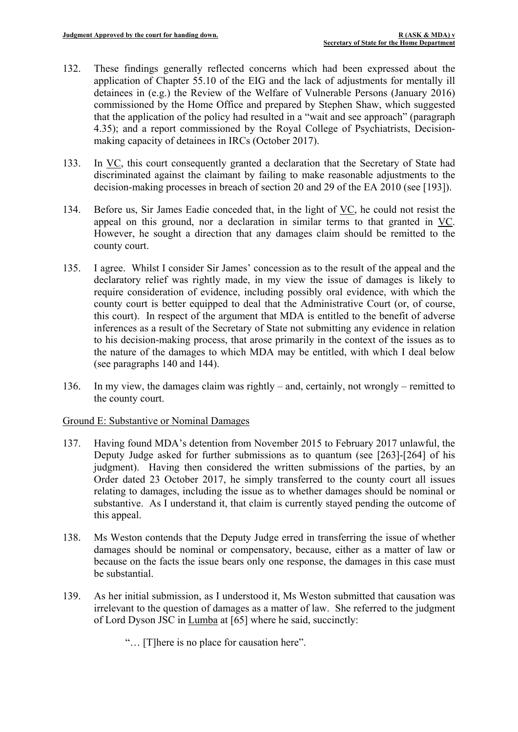- 132. These findings generally reflected concerns which had been expressed about the application of Chapter 55.10 of the EIG and the lack of adjustments for mentally ill detainees in (e.g.) the Review of the Welfare of Vulnerable Persons (January 2016) commissioned by the Home Office and prepared by Stephen Shaw, which suggested that the application of the policy had resulted in a "wait and see approach" (paragraph 4.35); and a report commissioned by the Royal College of Psychiatrists, Decisionmaking capacity of detainees in IRCs (October 2017).
- 133. In VC, this court consequently granted a declaration that the Secretary of State had discriminated against the claimant by failing to make reasonable adjustments to the decision-making processes in breach of section 20 and 29 of the EA 2010 (see [193]).
- 134. Before us, Sir James Eadie conceded that, in the light of VC, he could not resist the appeal on this ground, nor a declaration in similar terms to that granted in VC. However, he sought a direction that any damages claim should be remitted to the county court.
- 135. I agree. Whilst I consider Sir James' concession as to the result of the appeal and the declaratory relief was rightly made, in my view the issue of damages is likely to require consideration of evidence, including possibly oral evidence, with which the county court is better equipped to deal that the Administrative Court (or, of course, this court). In respect of the argument that MDA is entitled to the benefit of adverse inferences as a result of the Secretary of State not submitting any evidence in relation to his decision-making process, that arose primarily in the context of the issues as to the nature of the damages to which MDA may be entitled, with which I deal below (see paragraphs 140 and 144).
- 136. In my view, the damages claim was rightly and, certainly, not wrongly remitted to the county court.

Ground E: Substantive or Nominal Damages

- 137. Having found MDA's detention from November 2015 to February 2017 unlawful, the Deputy Judge asked for further submissions as to quantum (see [263]-[264] of his judgment). Having then considered the written submissions of the parties, by an Order dated 23 October 2017, he simply transferred to the county court all issues relating to damages, including the issue as to whether damages should be nominal or substantive. As I understand it, that claim is currently stayed pending the outcome of this appeal.
- 138. Ms Weston contends that the Deputy Judge erred in transferring the issue of whether damages should be nominal or compensatory, because, either as a matter of law or because on the facts the issue bears only one response, the damages in this case must be substantial.
- 139. As her initial submission, as I understood it, Ms Weston submitted that causation was irrelevant to the question of damages as a matter of law. She referred to the judgment of Lord Dyson JSC in Lumba at [65] where he said, succinctly:

"… [T]here is no place for causation here".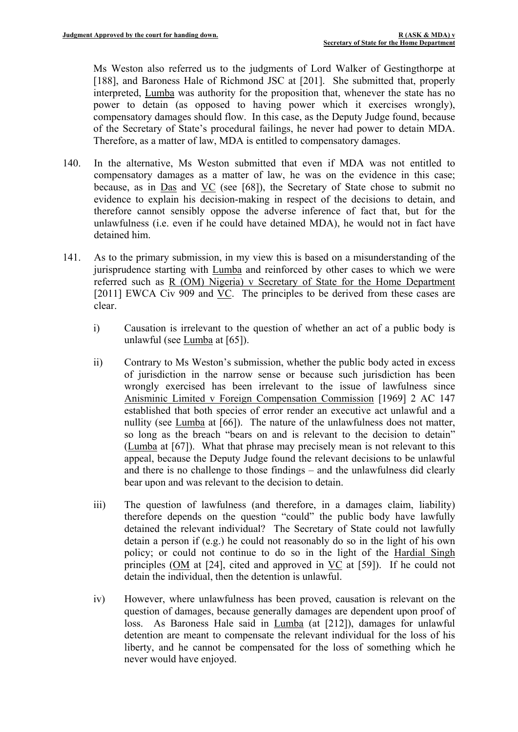Ms Weston also referred us to the judgments of Lord Walker of Gestingthorpe at [188], and Baroness Hale of Richmond JSC at [201]. She submitted that, properly interpreted, Lumba was authority for the proposition that, whenever the state has no power to detain (as opposed to having power which it exercises wrongly), compensatory damages should flow. In this case, as the Deputy Judge found, because of the Secretary of State's procedural failings, he never had power to detain MDA. Therefore, as a matter of law, MDA is entitled to compensatory damages.

- 140. In the alternative, Ms Weston submitted that even if MDA was not entitled to compensatory damages as a matter of law, he was on the evidence in this case; because, as in Das and VC (see [68]), the Secretary of State chose to submit no evidence to explain his decision-making in respect of the decisions to detain, and therefore cannot sensibly oppose the adverse inference of fact that, but for the unlawfulness (i.e. even if he could have detained MDA), he would not in fact have detained him.
- 141. As to the primary submission, in my view this is based on a misunderstanding of the jurisprudence starting with Lumba and reinforced by other cases to which we were referred such as R (OM) Nigeria) v Secretary of State for the Home Department [2011] EWCA Civ 909 and VC. The principles to be derived from these cases are clear.
	- i) Causation is irrelevant to the question of whether an act of a public body is unlawful (see Lumba at [65]).
	- ii) Contrary to Ms Weston's submission, whether the public body acted in excess of jurisdiction in the narrow sense or because such jurisdiction has been wrongly exercised has been irrelevant to the issue of lawfulness since Anisminic Limited v Foreign Compensation Commission [1969] 2 AC 147 established that both species of error render an executive act unlawful and a nullity (see Lumba at [66]). The nature of the unlawfulness does not matter, so long as the breach "bears on and is relevant to the decision to detain" (Lumba at [67]). What that phrase may precisely mean is not relevant to this appeal, because the Deputy Judge found the relevant decisions to be unlawful and there is no challenge to those findings – and the unlawfulness did clearly bear upon and was relevant to the decision to detain.
	- iii) The question of lawfulness (and therefore, in a damages claim, liability) therefore depends on the question "could" the public body have lawfully detained the relevant individual? The Secretary of State could not lawfully detain a person if (e.g.) he could not reasonably do so in the light of his own policy; or could not continue to do so in the light of the Hardial Singh principles (OM at [24], cited and approved in VC at [59]). If he could not detain the individual, then the detention is unlawful.
	- iv) However, where unlawfulness has been proved, causation is relevant on the question of damages, because generally damages are dependent upon proof of loss. As Baroness Hale said in Lumba (at [212]), damages for unlawful detention are meant to compensate the relevant individual for the loss of his liberty, and he cannot be compensated for the loss of something which he never would have enjoyed.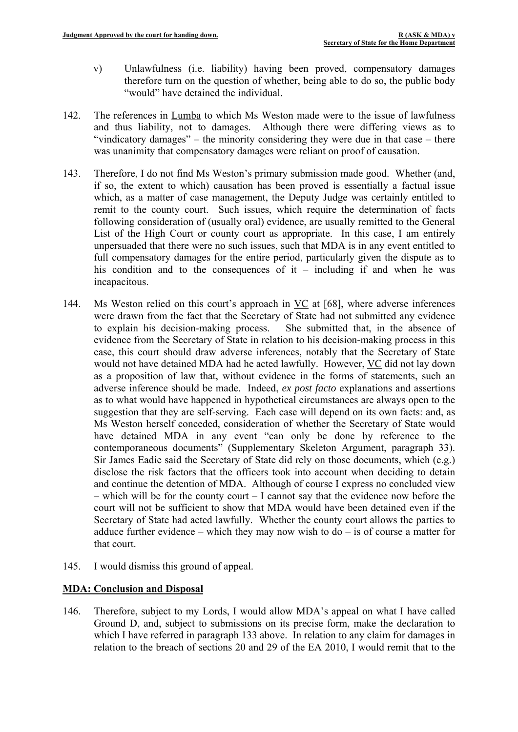- v) Unlawfulness (i.e. liability) having been proved, compensatory damages therefore turn on the question of whether, being able to do so, the public body "would" have detained the individual.
- 142. The references in Lumba to which Ms Weston made were to the issue of lawfulness and thus liability, not to damages. Although there were differing views as to "vindicatory damages" – the minority considering they were due in that case – there was unanimity that compensatory damages were reliant on proof of causation.
- 143. Therefore, I do not find Ms Weston's primary submission made good. Whether (and, if so, the extent to which) causation has been proved is essentially a factual issue which, as a matter of case management, the Deputy Judge was certainly entitled to remit to the county court. Such issues, which require the determination of facts following consideration of (usually oral) evidence, are usually remitted to the General List of the High Court or county court as appropriate. In this case, I am entirely unpersuaded that there were no such issues, such that MDA is in any event entitled to full compensatory damages for the entire period, particularly given the dispute as to his condition and to the consequences of it – including if and when he was incapacitous.
- 144. Ms Weston relied on this court's approach in VC at [68], where adverse inferences were drawn from the fact that the Secretary of State had not submitted any evidence to explain his decision-making process. She submitted that, in the absence of evidence from the Secretary of State in relation to his decision-making process in this case, this court should draw adverse inferences, notably that the Secretary of State would not have detained MDA had he acted lawfully. However, VC did not lay down as a proposition of law that, without evidence in the forms of statements, such an adverse inference should be made. Indeed, *ex post facto* explanations and assertions as to what would have happened in hypothetical circumstances are always open to the suggestion that they are self-serving. Each case will depend on its own facts: and, as Ms Weston herself conceded, consideration of whether the Secretary of State would have detained MDA in any event "can only be done by reference to the contemporaneous documents" (Supplementary Skeleton Argument, paragraph 33). Sir James Eadie said the Secretary of State did rely on those documents, which (e.g.) disclose the risk factors that the officers took into account when deciding to detain and continue the detention of MDA. Although of course I express no concluded view – which will be for the county court – I cannot say that the evidence now before the court will not be sufficient to show that MDA would have been detained even if the Secretary of State had acted lawfully. Whether the county court allows the parties to adduce further evidence – which they may now wish to  $do - is of course a matter for$ that court.
- 145. I would dismiss this ground of appeal.

## **MDA: Conclusion and Disposal**

146. Therefore, subject to my Lords, I would allow MDA's appeal on what I have called Ground D, and, subject to submissions on its precise form, make the declaration to which I have referred in paragraph 133 above. In relation to any claim for damages in relation to the breach of sections 20 and 29 of the EA 2010, I would remit that to the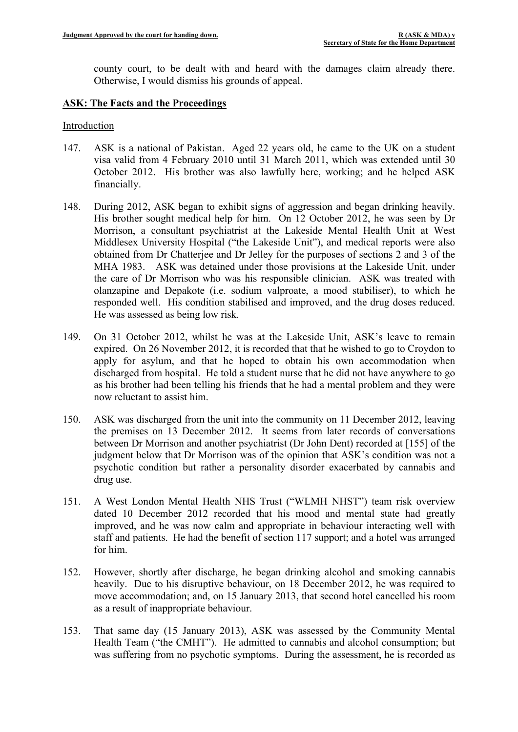county court, to be dealt with and heard with the damages claim already there. Otherwise, I would dismiss his grounds of appeal.

## **ASK: The Facts and the Proceedings**

#### Introduction

- 147. ASK is a national of Pakistan. Aged 22 years old, he came to the UK on a student visa valid from 4 February 2010 until 31 March 2011, which was extended until 30 October 2012. His brother was also lawfully here, working; and he helped ASK financially.
- 148. During 2012, ASK began to exhibit signs of aggression and began drinking heavily. His brother sought medical help for him. On 12 October 2012, he was seen by Dr Morrison, a consultant psychiatrist at the Lakeside Mental Health Unit at West Middlesex University Hospital ("the Lakeside Unit"), and medical reports were also obtained from Dr Chatterjee and Dr Jelley for the purposes of sections 2 and 3 of the MHA 1983. ASK was detained under those provisions at the Lakeside Unit, under the care of Dr Morrison who was his responsible clinician. ASK was treated with olanzapine and Depakote (i.e. sodium valproate, a mood stabiliser), to which he responded well. His condition stabilised and improved, and the drug doses reduced. He was assessed as being low risk.
- 149. On 31 October 2012, whilst he was at the Lakeside Unit, ASK's leave to remain expired. On 26 November 2012, it is recorded that that he wished to go to Croydon to apply for asylum, and that he hoped to obtain his own accommodation when discharged from hospital. He told a student nurse that he did not have anywhere to go as his brother had been telling his friends that he had a mental problem and they were now reluctant to assist him.
- 150. ASK was discharged from the unit into the community on 11 December 2012, leaving the premises on 13 December 2012. It seems from later records of conversations between Dr Morrison and another psychiatrist (Dr John Dent) recorded at [155] of the judgment below that Dr Morrison was of the opinion that ASK's condition was not a psychotic condition but rather a personality disorder exacerbated by cannabis and drug use.
- 151. A West London Mental Health NHS Trust ("WLMH NHST") team risk overview dated 10 December 2012 recorded that his mood and mental state had greatly improved, and he was now calm and appropriate in behaviour interacting well with staff and patients. He had the benefit of section 117 support; and a hotel was arranged for him.
- 152. However, shortly after discharge, he began drinking alcohol and smoking cannabis heavily. Due to his disruptive behaviour, on 18 December 2012, he was required to move accommodation; and, on 15 January 2013, that second hotel cancelled his room as a result of inappropriate behaviour.
- 153. That same day (15 January 2013), ASK was assessed by the Community Mental Health Team ("the CMHT"). He admitted to cannabis and alcohol consumption; but was suffering from no psychotic symptoms. During the assessment, he is recorded as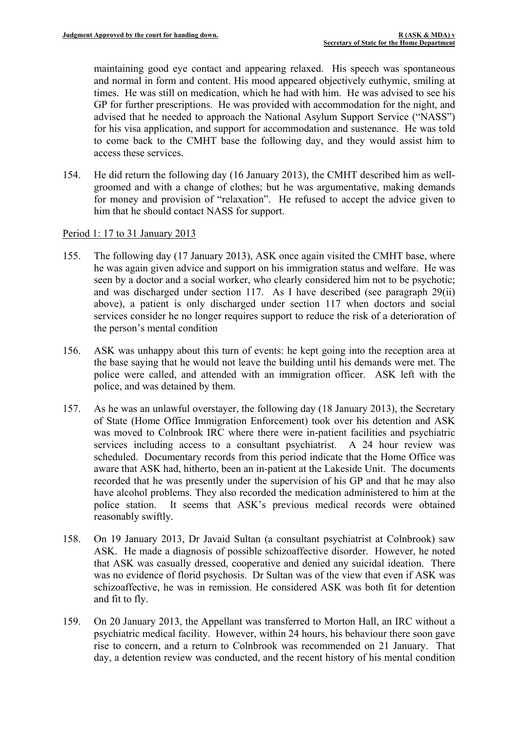maintaining good eye contact and appearing relaxed. His speech was spontaneous and normal in form and content. His mood appeared objectively euthymic, smiling at times. He was still on medication, which he had with him. He was advised to see his GP for further prescriptions. He was provided with accommodation for the night, and advised that he needed to approach the National Asylum Support Service ("NASS") for his visa application, and support for accommodation and sustenance. He was told to come back to the CMHT base the following day, and they would assist him to access these services.

154. He did return the following day (16 January 2013), the CMHT described him as wellgroomed and with a change of clothes; but he was argumentative, making demands for money and provision of "relaxation". He refused to accept the advice given to him that he should contact NASS for support.

Period 1: 17 to 31 January 2013

- 155. The following day (17 January 2013), ASK once again visited the CMHT base, where he was again given advice and support on his immigration status and welfare. He was seen by a doctor and a social worker, who clearly considered him not to be psychotic; and was discharged under section 117. As I have described (see paragraph 29(ii) above), a patient is only discharged under section 117 when doctors and social services consider he no longer requires support to reduce the risk of a deterioration of the person's mental condition
- 156. ASK was unhappy about this turn of events: he kept going into the reception area at the base saying that he would not leave the building until his demands were met. The police were called, and attended with an immigration officer. ASK left with the police, and was detained by them.
- 157. As he was an unlawful overstayer, the following day (18 January 2013), the Secretary of State (Home Office Immigration Enforcement) took over his detention and ASK was moved to Colnbrook IRC where there were in-patient facilities and psychiatric services including access to a consultant psychiatrist. A 24 hour review was scheduled. Documentary records from this period indicate that the Home Office was aware that ASK had, hitherto, been an in-patient at the Lakeside Unit. The documents recorded that he was presently under the supervision of his GP and that he may also have alcohol problems. They also recorded the medication administered to him at the police station. It seems that ASK's previous medical records were obtained reasonably swiftly.
- 158. On 19 January 2013, Dr Javaid Sultan (a consultant psychiatrist at Colnbrook) saw ASK. He made a diagnosis of possible schizoaffective disorder. However, he noted that ASK was casually dressed, cooperative and denied any suicidal ideation. There was no evidence of florid psychosis. Dr Sultan was of the view that even if ASK was schizoaffective, he was in remission. He considered ASK was both fit for detention and fit to fly.
- 159. On 20 January 2013, the Appellant was transferred to Morton Hall, an IRC without a psychiatric medical facility. However, within 24 hours, his behaviour there soon gave rise to concern, and a return to Colnbrook was recommended on 21 January. That day, a detention review was conducted, and the recent history of his mental condition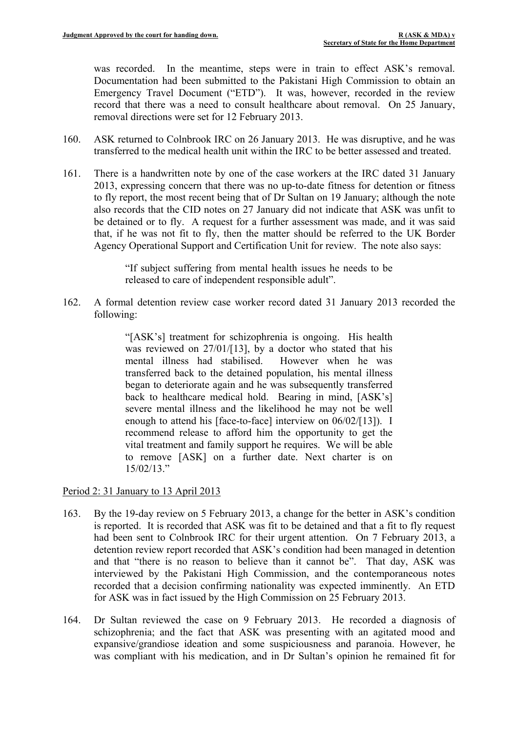was recorded. In the meantime, steps were in train to effect ASK's removal. Documentation had been submitted to the Pakistani High Commission to obtain an Emergency Travel Document ("ETD"). It was, however, recorded in the review record that there was a need to consult healthcare about removal. On 25 January, removal directions were set for 12 February 2013.

- 160. ASK returned to Colnbrook IRC on 26 January 2013. He was disruptive, and he was transferred to the medical health unit within the IRC to be better assessed and treated.
- 161. There is a handwritten note by one of the case workers at the IRC dated 31 January 2013, expressing concern that there was no up-to-date fitness for detention or fitness to fly report, the most recent being that of Dr Sultan on 19 January; although the note also records that the CID notes on 27 January did not indicate that ASK was unfit to be detained or to fly. A request for a further assessment was made, and it was said that, if he was not fit to fly, then the matter should be referred to the UK Border Agency Operational Support and Certification Unit for review. The note also says:

"If subject suffering from mental health issues he needs to be released to care of independent responsible adult".

162. A formal detention review case worker record dated 31 January 2013 recorded the following:

> "[ASK's] treatment for schizophrenia is ongoing. His health was reviewed on 27/01/[13], by a doctor who stated that his mental illness had stabilised. However when he was transferred back to the detained population, his mental illness began to deteriorate again and he was subsequently transferred back to healthcare medical hold. Bearing in mind, [ASK's] severe mental illness and the likelihood he may not be well enough to attend his [face-to-face] interview on 06/02/[13]). I recommend release to afford him the opportunity to get the vital treatment and family support he requires. We will be able to remove [ASK] on a further date. Next charter is on 15/02/13."

## Period 2: 31 January to 13 April 2013

- 163. By the 19-day review on 5 February 2013, a change for the better in ASK's condition is reported. It is recorded that ASK was fit to be detained and that a fit to fly request had been sent to Colnbrook IRC for their urgent attention. On 7 February 2013, a detention review report recorded that ASK's condition had been managed in detention and that "there is no reason to believe than it cannot be". That day, ASK was interviewed by the Pakistani High Commission, and the contemporaneous notes recorded that a decision confirming nationality was expected imminently. An ETD for ASK was in fact issued by the High Commission on 25 February 2013.
- 164. Dr Sultan reviewed the case on 9 February 2013. He recorded a diagnosis of schizophrenia; and the fact that ASK was presenting with an agitated mood and expansive/grandiose ideation and some suspiciousness and paranoia. However, he was compliant with his medication, and in Dr Sultan's opinion he remained fit for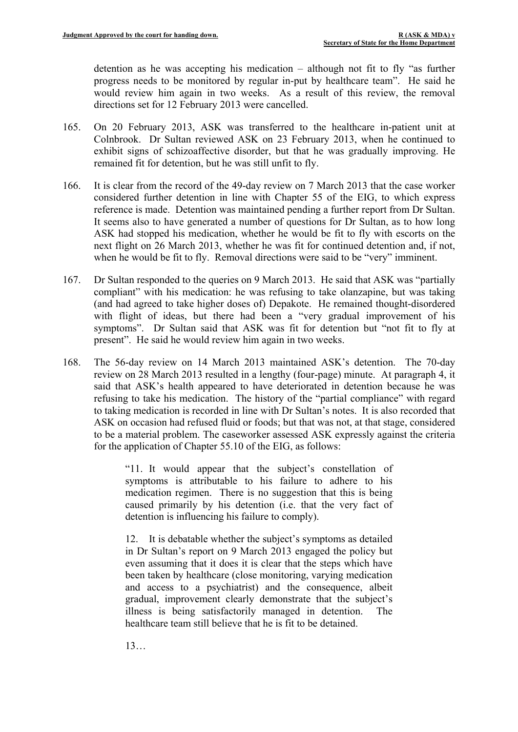detention as he was accepting his medication – although not fit to fly "as further progress needs to be monitored by regular in-put by healthcare team". He said he would review him again in two weeks. As a result of this review, the removal directions set for 12 February 2013 were cancelled.

- 165. On 20 February 2013, ASK was transferred to the healthcare in-patient unit at Colnbrook. Dr Sultan reviewed ASK on 23 February 2013, when he continued to exhibit signs of schizoaffective disorder, but that he was gradually improving. He remained fit for detention, but he was still unfit to fly.
- 166. It is clear from the record of the 49-day review on 7 March 2013 that the case worker considered further detention in line with Chapter 55 of the EIG, to which express reference is made. Detention was maintained pending a further report from Dr Sultan. It seems also to have generated a number of questions for Dr Sultan, as to how long ASK had stopped his medication, whether he would be fit to fly with escorts on the next flight on 26 March 2013, whether he was fit for continued detention and, if not, when he would be fit to fly. Removal directions were said to be "very" imminent.
- 167. Dr Sultan responded to the queries on 9 March 2013. He said that ASK was "partially compliant" with his medication: he was refusing to take olanzapine, but was taking (and had agreed to take higher doses of) Depakote. He remained thought-disordered with flight of ideas, but there had been a "very gradual improvement of his symptoms". Dr Sultan said that ASK was fit for detention but "not fit to fly at present". He said he would review him again in two weeks.
- 168. The 56-day review on 14 March 2013 maintained ASK's detention. The 70-day review on 28 March 2013 resulted in a lengthy (four-page) minute. At paragraph 4, it said that ASK's health appeared to have deteriorated in detention because he was refusing to take his medication. The history of the "partial compliance" with regard to taking medication is recorded in line with Dr Sultan's notes. It is also recorded that ASK on occasion had refused fluid or foods; but that was not, at that stage, considered to be a material problem. The caseworker assessed ASK expressly against the criteria for the application of Chapter 55.10 of the EIG, as follows:

"11. It would appear that the subject's constellation of symptoms is attributable to his failure to adhere to his medication regimen. There is no suggestion that this is being caused primarily by his detention (i.e. that the very fact of detention is influencing his failure to comply).

12. It is debatable whether the subject's symptoms as detailed in Dr Sultan's report on 9 March 2013 engaged the policy but even assuming that it does it is clear that the steps which have been taken by healthcare (close monitoring, varying medication and access to a psychiatrist) and the consequence, albeit gradual, improvement clearly demonstrate that the subject's illness is being satisfactorily managed in detention. The healthcare team still believe that he is fit to be detained.

13…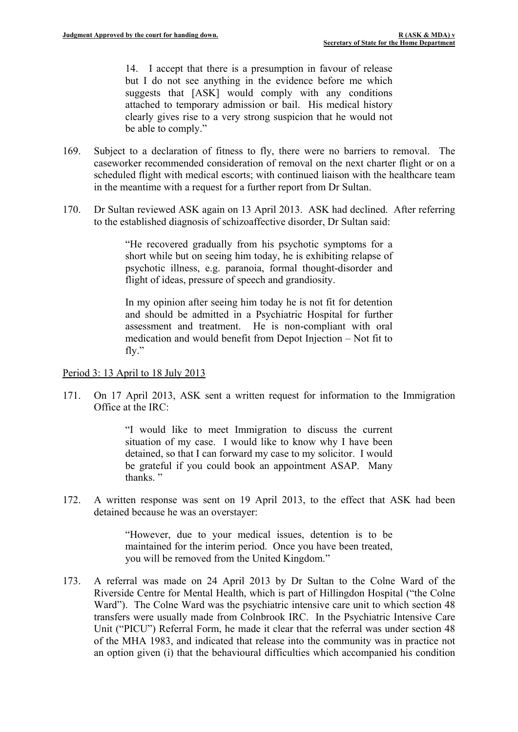14. I accept that there is a presumption in favour of release but I do not see anything in the evidence before me which suggests that [ASK] would comply with any conditions attached to temporary admission or bail. His medical history clearly gives rise to a very strong suspicion that he would not be able to comply."

- 169. Subject to a declaration of fitness to fly, there were no barriers to removal. The caseworker recommended consideration of removal on the next charter flight or on a scheduled flight with medical escorts; with continued liaison with the healthcare team in the meantime with a request for a further report from Dr Sultan.
- 170. Dr Sultan reviewed ASK again on 13 April 2013. ASK had declined. After referring to the established diagnosis of schizoaffective disorder, Dr Sultan said:

"He recovered gradually from his psychotic symptoms for a short while but on seeing him today, he is exhibiting relapse of psychotic illness, e.g. paranoia, formal thought-disorder and flight of ideas, pressure of speech and grandiosity.

In my opinion after seeing him today he is not fit for detention and should be admitted in a Psychiatric Hospital for further assessment and treatment. He is non-compliant with oral medication and would benefit from Depot Injection – Not fit to fly."

Period 3: 13 April to 18 July 2013

171. On 17 April 2013, ASK sent a written request for information to the Immigration Office at the IRC:

> "I would like to meet Immigration to discuss the current situation of my case. I would like to know why I have been detained, so that I can forward my case to my solicitor. I would be grateful if you could book an appointment ASAP. Many thanks."

172. A written response was sent on 19 April 2013, to the effect that ASK had been detained because he was an overstayer:

> "However, due to your medical issues, detention is to be maintained for the interim period. Once you have been treated, you will be removed from the United Kingdom."

173. A referral was made on 24 April 2013 by Dr Sultan to the Colne Ward of the Riverside Centre for Mental Health, which is part of Hillingdon Hospital ("the Colne Ward"). The Colne Ward was the psychiatric intensive care unit to which section 48 transfers were usually made from Colnbrook IRC. In the Psychiatric Intensive Care Unit ("PICU") Referral Form, he made it clear that the referral was under section 48 of the MHA 1983, and indicated that release into the community was in practice not an option given (i) that the behavioural difficulties which accompanied his condition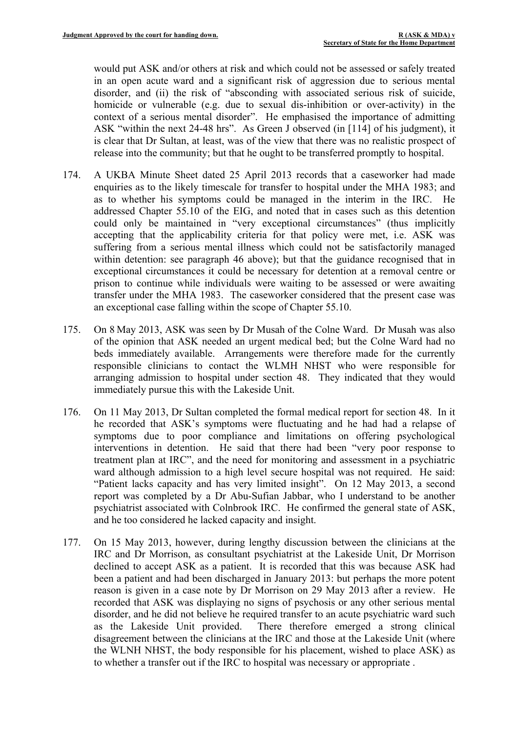would put ASK and/or others at risk and which could not be assessed or safely treated in an open acute ward and a significant risk of aggression due to serious mental disorder, and (ii) the risk of "absconding with associated serious risk of suicide, homicide or vulnerable (e.g. due to sexual dis-inhibition or over-activity) in the context of a serious mental disorder". He emphasised the importance of admitting ASK "within the next 24-48 hrs". As Green J observed (in [114] of his judgment), it is clear that Dr Sultan, at least, was of the view that there was no realistic prospect of release into the community; but that he ought to be transferred promptly to hospital.

- 174. A UKBA Minute Sheet dated 25 April 2013 records that a caseworker had made enquiries as to the likely timescale for transfer to hospital under the MHA 1983; and as to whether his symptoms could be managed in the interim in the IRC. He addressed Chapter 55.10 of the EIG, and noted that in cases such as this detention could only be maintained in "very exceptional circumstances" (thus implicitly accepting that the applicability criteria for that policy were met, i.e. ASK was suffering from a serious mental illness which could not be satisfactorily managed within detention: see paragraph 46 above); but that the guidance recognised that in exceptional circumstances it could be necessary for detention at a removal centre or prison to continue while individuals were waiting to be assessed or were awaiting transfer under the MHA 1983. The caseworker considered that the present case was an exceptional case falling within the scope of Chapter 55.10.
- 175. On 8 May 2013, ASK was seen by Dr Musah of the Colne Ward. Dr Musah was also of the opinion that ASK needed an urgent medical bed; but the Colne Ward had no beds immediately available. Arrangements were therefore made for the currently responsible clinicians to contact the WLMH NHST who were responsible for arranging admission to hospital under section 48. They indicated that they would immediately pursue this with the Lakeside Unit.
- 176. On 11 May 2013, Dr Sultan completed the formal medical report for section 48. In it he recorded that ASK's symptoms were fluctuating and he had had a relapse of symptoms due to poor compliance and limitations on offering psychological interventions in detention. He said that there had been "very poor response to treatment plan at IRC", and the need for monitoring and assessment in a psychiatric ward although admission to a high level secure hospital was not required. He said: "Patient lacks capacity and has very limited insight". On 12 May 2013, a second report was completed by a Dr Abu-Sufian Jabbar, who I understand to be another psychiatrist associated with Colnbrook IRC. He confirmed the general state of ASK, and he too considered he lacked capacity and insight.
- 177. On 15 May 2013, however, during lengthy discussion between the clinicians at the IRC and Dr Morrison, as consultant psychiatrist at the Lakeside Unit, Dr Morrison declined to accept ASK as a patient. It is recorded that this was because ASK had been a patient and had been discharged in January 2013: but perhaps the more potent reason is given in a case note by Dr Morrison on 29 May 2013 after a review. He recorded that ASK was displaying no signs of psychosis or any other serious mental disorder, and he did not believe he required transfer to an acute psychiatric ward such as the Lakeside Unit provided. There therefore emerged a strong clinical disagreement between the clinicians at the IRC and those at the Lakeside Unit (where the WLNH NHST, the body responsible for his placement, wished to place ASK) as to whether a transfer out if the IRC to hospital was necessary or appropriate .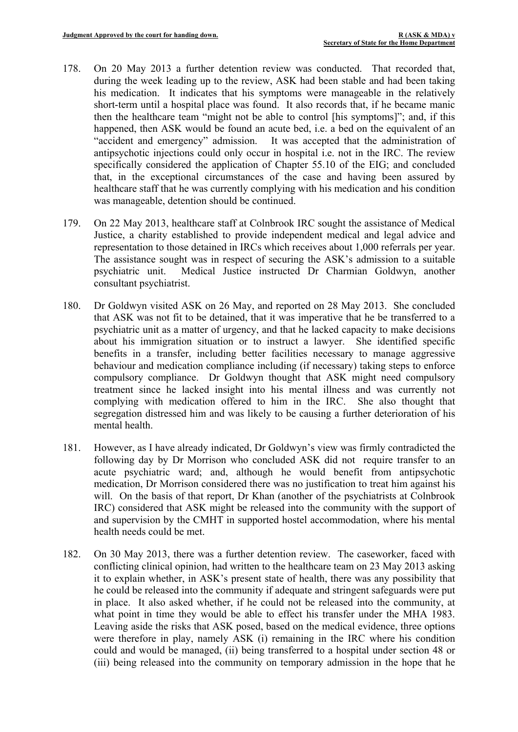- 178. On 20 May 2013 a further detention review was conducted. That recorded that, during the week leading up to the review, ASK had been stable and had been taking his medication. It indicates that his symptoms were manageable in the relatively short-term until a hospital place was found. It also records that, if he became manic then the healthcare team "might not be able to control [his symptoms]"; and, if this happened, then ASK would be found an acute bed, i.e. a bed on the equivalent of an "accident and emergency" admission. It was accepted that the administration of antipsychotic injections could only occur in hospital i.e. not in the IRC. The review specifically considered the application of Chapter 55.10 of the EIG; and concluded that, in the exceptional circumstances of the case and having been assured by healthcare staff that he was currently complying with his medication and his condition was manageable, detention should be continued.
- 179. On 22 May 2013, healthcare staff at Colnbrook IRC sought the assistance of Medical Justice, a charity established to provide independent medical and legal advice and representation to those detained in IRCs which receives about 1,000 referrals per year. The assistance sought was in respect of securing the ASK's admission to a suitable psychiatric unit. Medical Justice instructed Dr Charmian Goldwyn, another consultant psychiatrist.
- 180. Dr Goldwyn visited ASK on 26 May, and reported on 28 May 2013. She concluded that ASK was not fit to be detained, that it was imperative that he be transferred to a psychiatric unit as a matter of urgency, and that he lacked capacity to make decisions about his immigration situation or to instruct a lawyer. She identified specific benefits in a transfer, including better facilities necessary to manage aggressive behaviour and medication compliance including (if necessary) taking steps to enforce compulsory compliance. Dr Goldwyn thought that ASK might need compulsory treatment since he lacked insight into his mental illness and was currently not complying with medication offered to him in the IRC. She also thought that segregation distressed him and was likely to be causing a further deterioration of his mental health.
- 181. However, as I have already indicated, Dr Goldwyn's view was firmly contradicted the following day by Dr Morrison who concluded ASK did not require transfer to an acute psychiatric ward; and, although he would benefit from antipsychotic medication, Dr Morrison considered there was no justification to treat him against his will. On the basis of that report, Dr Khan (another of the psychiatrists at Colnbrook IRC) considered that ASK might be released into the community with the support of and supervision by the CMHT in supported hostel accommodation, where his mental health needs could be met.
- 182. On 30 May 2013, there was a further detention review. The caseworker, faced with conflicting clinical opinion, had written to the healthcare team on 23 May 2013 asking it to explain whether, in ASK's present state of health, there was any possibility that he could be released into the community if adequate and stringent safeguards were put in place. It also asked whether, if he could not be released into the community, at what point in time they would be able to effect his transfer under the MHA 1983. Leaving aside the risks that ASK posed, based on the medical evidence, three options were therefore in play, namely ASK (i) remaining in the IRC where his condition could and would be managed, (ii) being transferred to a hospital under section 48 or (iii) being released into the community on temporary admission in the hope that he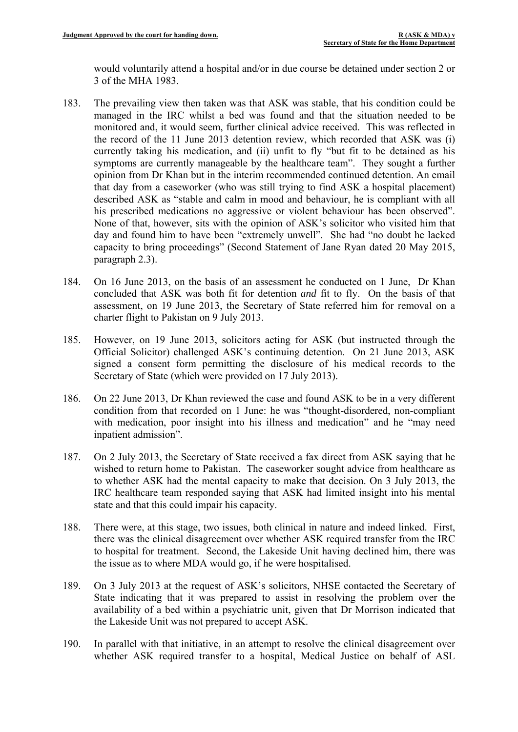would voluntarily attend a hospital and/or in due course be detained under section 2 or 3 of the MHA 1983.

- 183. The prevailing view then taken was that ASK was stable, that his condition could be managed in the IRC whilst a bed was found and that the situation needed to be monitored and, it would seem, further clinical advice received. This was reflected in the record of the 11 June 2013 detention review, which recorded that ASK was (i) currently taking his medication, and (ii) unfit to fly "but fit to be detained as his symptoms are currently manageable by the healthcare team". They sought a further opinion from Dr Khan but in the interim recommended continued detention. An email that day from a caseworker (who was still trying to find ASK a hospital placement) described ASK as "stable and calm in mood and behaviour, he is compliant with all his prescribed medications no aggressive or violent behaviour has been observed". None of that, however, sits with the opinion of ASK's solicitor who visited him that day and found him to have been "extremely unwell". She had "no doubt he lacked capacity to bring proceedings" (Second Statement of Jane Ryan dated 20 May 2015, paragraph 2.3).
- 184. On 16 June 2013, on the basis of an assessment he conducted on 1 June, Dr Khan concluded that ASK was both fit for detention *and* fit to fly. On the basis of that assessment, on 19 June 2013, the Secretary of State referred him for removal on a charter flight to Pakistan on 9 July 2013.
- 185. However, on 19 June 2013, solicitors acting for ASK (but instructed through the Official Solicitor) challenged ASK's continuing detention. On 21 June 2013, ASK signed a consent form permitting the disclosure of his medical records to the Secretary of State (which were provided on 17 July 2013).
- 186. On 22 June 2013, Dr Khan reviewed the case and found ASK to be in a very different condition from that recorded on 1 June: he was "thought-disordered, non-compliant with medication, poor insight into his illness and medication" and he "may need inpatient admission".
- 187. On 2 July 2013, the Secretary of State received a fax direct from ASK saying that he wished to return home to Pakistan. The caseworker sought advice from healthcare as to whether ASK had the mental capacity to make that decision. On 3 July 2013, the IRC healthcare team responded saying that ASK had limited insight into his mental state and that this could impair his capacity.
- 188. There were, at this stage, two issues, both clinical in nature and indeed linked. First, there was the clinical disagreement over whether ASK required transfer from the IRC to hospital for treatment. Second, the Lakeside Unit having declined him, there was the issue as to where MDA would go, if he were hospitalised.
- 189. On 3 July 2013 at the request of ASK's solicitors, NHSE contacted the Secretary of State indicating that it was prepared to assist in resolving the problem over the availability of a bed within a psychiatric unit, given that Dr Morrison indicated that the Lakeside Unit was not prepared to accept ASK.
- 190. In parallel with that initiative, in an attempt to resolve the clinical disagreement over whether ASK required transfer to a hospital, Medical Justice on behalf of ASL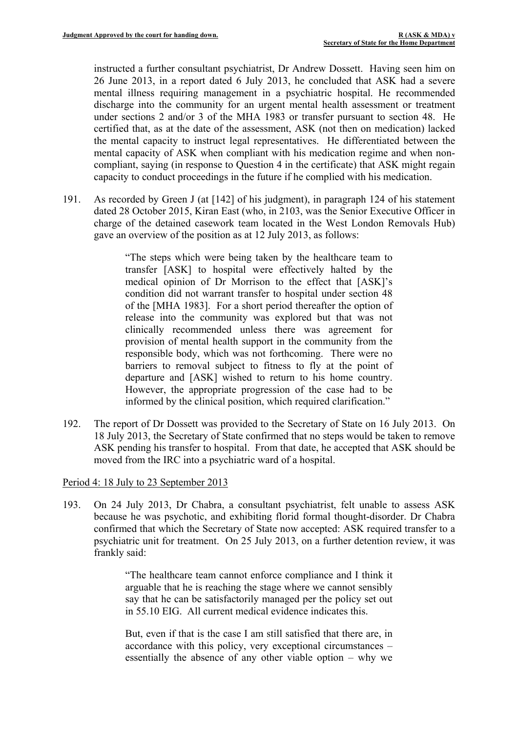instructed a further consultant psychiatrist, Dr Andrew Dossett. Having seen him on 26 June 2013, in a report dated 6 July 2013, he concluded that ASK had a severe mental illness requiring management in a psychiatric hospital. He recommended discharge into the community for an urgent mental health assessment or treatment under sections 2 and/or 3 of the MHA 1983 or transfer pursuant to section 48. He certified that, as at the date of the assessment, ASK (not then on medication) lacked the mental capacity to instruct legal representatives. He differentiated between the mental capacity of ASK when compliant with his medication regime and when noncompliant, saying (in response to Question 4 in the certificate) that ASK might regain capacity to conduct proceedings in the future if he complied with his medication.

191. As recorded by Green J (at [142] of his judgment), in paragraph 124 of his statement dated 28 October 2015, Kiran East (who, in 2103, was the Senior Executive Officer in charge of the detained casework team located in the West London Removals Hub) gave an overview of the position as at 12 July 2013, as follows:

> "The steps which were being taken by the healthcare team to transfer [ASK] to hospital were effectively halted by the medical opinion of Dr Morrison to the effect that [ASK]'s condition did not warrant transfer to hospital under section 48 of the [MHA 1983]. For a short period thereafter the option of release into the community was explored but that was not clinically recommended unless there was agreement for provision of mental health support in the community from the responsible body, which was not forthcoming. There were no barriers to removal subject to fitness to fly at the point of departure and [ASK] wished to return to his home country. However, the appropriate progression of the case had to be informed by the clinical position, which required clarification."

192. The report of Dr Dossett was provided to the Secretary of State on 16 July 2013. On 18 July 2013, the Secretary of State confirmed that no steps would be taken to remove ASK pending his transfer to hospital. From that date, he accepted that ASK should be moved from the IRC into a psychiatric ward of a hospital.

#### Period 4: 18 July to 23 September 2013

193. On 24 July 2013, Dr Chabra, a consultant psychiatrist, felt unable to assess ASK because he was psychotic, and exhibiting florid formal thought-disorder. Dr Chabra confirmed that which the Secretary of State now accepted: ASK required transfer to a psychiatric unit for treatment. On 25 July 2013, on a further detention review, it was frankly said:

> "The healthcare team cannot enforce compliance and I think it arguable that he is reaching the stage where we cannot sensibly say that he can be satisfactorily managed per the policy set out in 55.10 EIG. All current medical evidence indicates this.

> But, even if that is the case I am still satisfied that there are, in accordance with this policy, very exceptional circumstances – essentially the absence of any other viable option – why we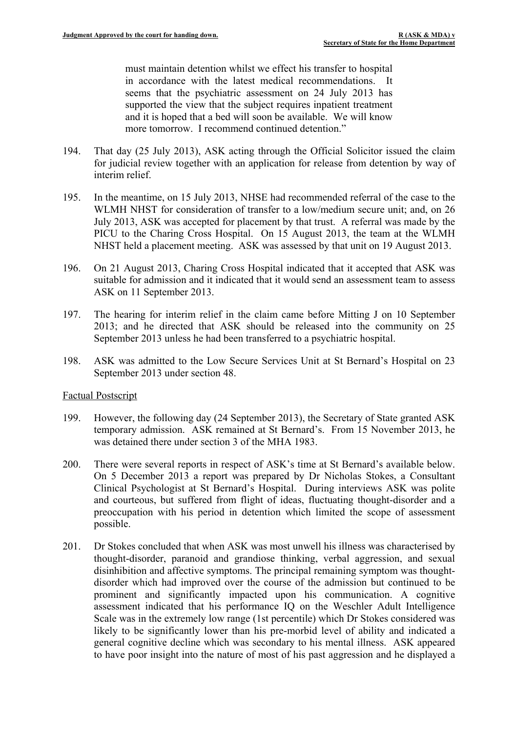must maintain detention whilst we effect his transfer to hospital in accordance with the latest medical recommendations. It seems that the psychiatric assessment on 24 July 2013 has supported the view that the subject requires inpatient treatment and it is hoped that a bed will soon be available. We will know more tomorrow. I recommend continued detention."

- 194. That day (25 July 2013), ASK acting through the Official Solicitor issued the claim for judicial review together with an application for release from detention by way of interim relief.
- 195. In the meantime, on 15 July 2013, NHSE had recommended referral of the case to the WLMH NHST for consideration of transfer to a low/medium secure unit; and, on 26 July 2013, ASK was accepted for placement by that trust. A referral was made by the PICU to the Charing Cross Hospital. On 15 August 2013, the team at the WLMH NHST held a placement meeting. ASK was assessed by that unit on 19 August 2013.
- 196. On 21 August 2013, Charing Cross Hospital indicated that it accepted that ASK was suitable for admission and it indicated that it would send an assessment team to assess ASK on 11 September 2013.
- 197. The hearing for interim relief in the claim came before Mitting J on 10 September 2013; and he directed that ASK should be released into the community on 25 September 2013 unless he had been transferred to a psychiatric hospital.
- 198. ASK was admitted to the Low Secure Services Unit at St Bernard's Hospital on 23 September 2013 under section 48.

#### Factual Postscript

- 199. However, the following day (24 September 2013), the Secretary of State granted ASK temporary admission. ASK remained at St Bernard's. From 15 November 2013, he was detained there under section 3 of the MHA 1983.
- 200. There were several reports in respect of ASK's time at St Bernard's available below. On 5 December 2013 a report was prepared by Dr Nicholas Stokes, a Consultant Clinical Psychologist at St Bernard's Hospital. During interviews ASK was polite and courteous, but suffered from flight of ideas, fluctuating thought-disorder and a preoccupation with his period in detention which limited the scope of assessment possible.
- 201. Dr Stokes concluded that when ASK was most unwell his illness was characterised by thought-disorder, paranoid and grandiose thinking, verbal aggression, and sexual disinhibition and affective symptoms. The principal remaining symptom was thoughtdisorder which had improved over the course of the admission but continued to be prominent and significantly impacted upon his communication. A cognitive assessment indicated that his performance IQ on the Weschler Adult Intelligence Scale was in the extremely low range (1st percentile) which Dr Stokes considered was likely to be significantly lower than his pre-morbid level of ability and indicated a general cognitive decline which was secondary to his mental illness. ASK appeared to have poor insight into the nature of most of his past aggression and he displayed a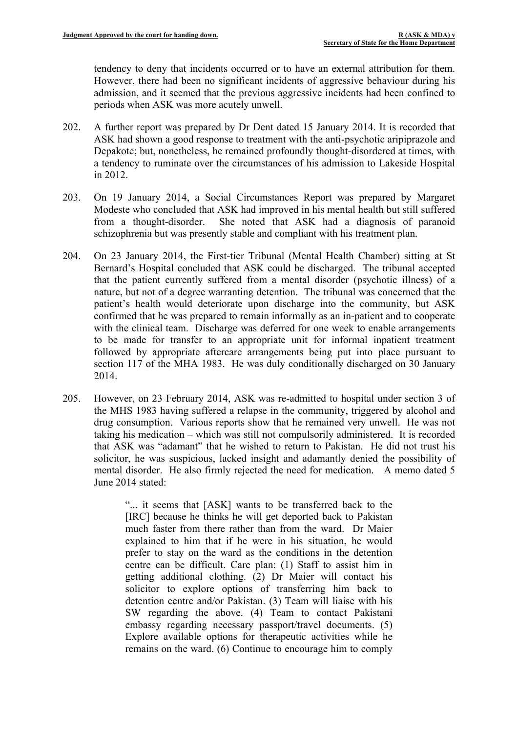tendency to deny that incidents occurred or to have an external attribution for them. However, there had been no significant incidents of aggressive behaviour during his admission, and it seemed that the previous aggressive incidents had been confined to periods when ASK was more acutely unwell.

- 202. A further report was prepared by Dr Dent dated 15 January 2014. It is recorded that ASK had shown a good response to treatment with the anti-psychotic aripiprazole and Depakote; but, nonetheless, he remained profoundly thought-disordered at times, with a tendency to ruminate over the circumstances of his admission to Lakeside Hospital in 2012.
- 203. On 19 January 2014, a Social Circumstances Report was prepared by Margaret Modeste who concluded that ASK had improved in his mental health but still suffered from a thought-disorder. She noted that ASK had a diagnosis of paranoid schizophrenia but was presently stable and compliant with his treatment plan.
- 204. On 23 January 2014, the First-tier Tribunal (Mental Health Chamber) sitting at St Bernard's Hospital concluded that ASK could be discharged. The tribunal accepted that the patient currently suffered from a mental disorder (psychotic illness) of a nature, but not of a degree warranting detention. The tribunal was concerned that the patient's health would deteriorate upon discharge into the community, but ASK confirmed that he was prepared to remain informally as an in-patient and to cooperate with the clinical team. Discharge was deferred for one week to enable arrangements to be made for transfer to an appropriate unit for informal inpatient treatment followed by appropriate aftercare arrangements being put into place pursuant to section 117 of the MHA 1983. He was duly conditionally discharged on 30 January 2014.
- 205. However, on 23 February 2014, ASK was re-admitted to hospital under section 3 of the MHS 1983 having suffered a relapse in the community, triggered by alcohol and drug consumption. Various reports show that he remained very unwell. He was not taking his medication – which was still not compulsorily administered. It is recorded that ASK was "adamant" that he wished to return to Pakistan. He did not trust his solicitor, he was suspicious, lacked insight and adamantly denied the possibility of mental disorder. He also firmly rejected the need for medication. A memo dated 5 June 2014 stated:

"... it seems that [ASK] wants to be transferred back to the [IRC] because he thinks he will get deported back to Pakistan much faster from there rather than from the ward. Dr Maier explained to him that if he were in his situation, he would prefer to stay on the ward as the conditions in the detention centre can be difficult. Care plan: (1) Staff to assist him in getting additional clothing. (2) Dr Maier will contact his solicitor to explore options of transferring him back to detention centre and/or Pakistan. (3) Team will liaise with his SW regarding the above. (4) Team to contact Pakistani embassy regarding necessary passport/travel documents. (5) Explore available options for therapeutic activities while he remains on the ward. (6) Continue to encourage him to comply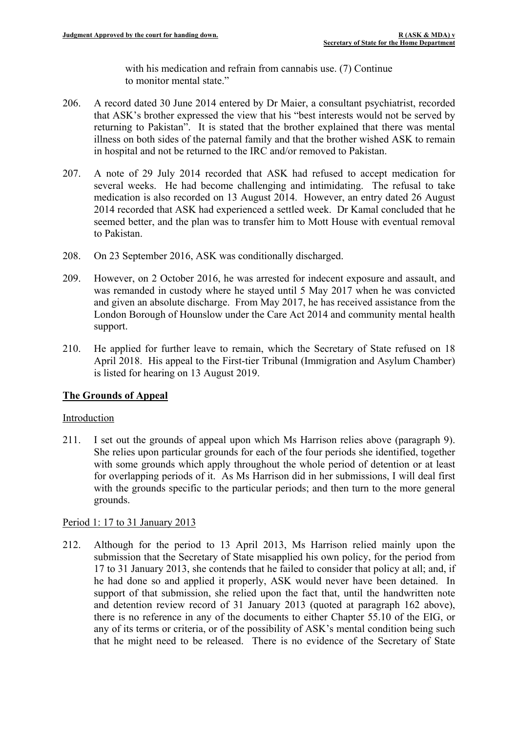with his medication and refrain from cannabis use. (7) Continue to monitor mental state."

- 206. A record dated 30 June 2014 entered by Dr Maier, a consultant psychiatrist, recorded that ASK's brother expressed the view that his "best interests would not be served by returning to Pakistan". It is stated that the brother explained that there was mental illness on both sides of the paternal family and that the brother wished ASK to remain in hospital and not be returned to the IRC and/or removed to Pakistan.
- 207. A note of 29 July 2014 recorded that ASK had refused to accept medication for several weeks. He had become challenging and intimidating. The refusal to take medication is also recorded on 13 August 2014. However, an entry dated 26 August 2014 recorded that ASK had experienced a settled week. Dr Kamal concluded that he seemed better, and the plan was to transfer him to Mott House with eventual removal to Pakistan.
- 208. On 23 September 2016, ASK was conditionally discharged.
- 209. However, on 2 October 2016, he was arrested for indecent exposure and assault, and was remanded in custody where he stayed until 5 May 2017 when he was convicted and given an absolute discharge. From May 2017, he has received assistance from the London Borough of Hounslow under the Care Act 2014 and community mental health support.
- 210. He applied for further leave to remain, which the Secretary of State refused on 18 April 2018. His appeal to the First-tier Tribunal (Immigration and Asylum Chamber) is listed for hearing on 13 August 2019.

## **The Grounds of Appeal**

#### Introduction

211. I set out the grounds of appeal upon which Ms Harrison relies above (paragraph 9). She relies upon particular grounds for each of the four periods she identified, together with some grounds which apply throughout the whole period of detention or at least for overlapping periods of it. As Ms Harrison did in her submissions, I will deal first with the grounds specific to the particular periods; and then turn to the more general grounds.

## Period 1: 17 to 31 January 2013

212. Although for the period to 13 April 2013, Ms Harrison relied mainly upon the submission that the Secretary of State misapplied his own policy, for the period from 17 to 31 January 2013, she contends that he failed to consider that policy at all; and, if he had done so and applied it properly, ASK would never have been detained. In support of that submission, she relied upon the fact that, until the handwritten note and detention review record of 31 January 2013 (quoted at paragraph 162 above), there is no reference in any of the documents to either Chapter 55.10 of the EIG, or any of its terms or criteria, or of the possibility of ASK's mental condition being such that he might need to be released. There is no evidence of the Secretary of State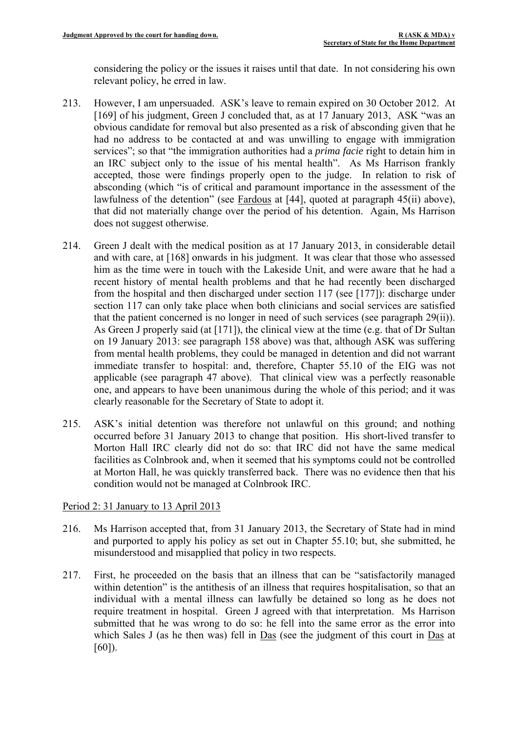considering the policy or the issues it raises until that date. In not considering his own relevant policy, he erred in law.

- 213. However, I am unpersuaded. ASK's leave to remain expired on 30 October 2012. At [169] of his judgment, Green J concluded that, as at 17 January 2013, ASK "was an obvious candidate for removal but also presented as a risk of absconding given that he had no address to be contacted at and was unwilling to engage with immigration services"; so that "the immigration authorities had a *prima facie* right to detain him in an IRC subject only to the issue of his mental health". As Ms Harrison frankly accepted, those were findings properly open to the judge. In relation to risk of absconding (which "is of critical and paramount importance in the assessment of the lawfulness of the detention" (see Fardous at [44], quoted at paragraph 45(ii) above), that did not materially change over the period of his detention. Again, Ms Harrison does not suggest otherwise.
- 214. Green J dealt with the medical position as at 17 January 2013, in considerable detail and with care, at [168] onwards in his judgment. It was clear that those who assessed him as the time were in touch with the Lakeside Unit, and were aware that he had a recent history of mental health problems and that he had recently been discharged from the hospital and then discharged under section 117 (see [177]): discharge under section 117 can only take place when both clinicians and social services are satisfied that the patient concerned is no longer in need of such services (see paragraph 29(ii)). As Green J properly said (at [171]), the clinical view at the time (e.g. that of Dr Sultan on 19 January 2013: see paragraph 158 above) was that, although ASK was suffering from mental health problems, they could be managed in detention and did not warrant immediate transfer to hospital: and, therefore, Chapter 55.10 of the EIG was not applicable (see paragraph 47 above). That clinical view was a perfectly reasonable one, and appears to have been unanimous during the whole of this period; and it was clearly reasonable for the Secretary of State to adopt it.
- 215. ASK's initial detention was therefore not unlawful on this ground; and nothing occurred before 31 January 2013 to change that position. His short-lived transfer to Morton Hall IRC clearly did not do so: that IRC did not have the same medical facilities as Colnbrook and, when it seemed that his symptoms could not be controlled at Morton Hall, he was quickly transferred back. There was no evidence then that his condition would not be managed at Colnbrook IRC.

## Period 2: 31 January to 13 April 2013

- 216. Ms Harrison accepted that, from 31 January 2013, the Secretary of State had in mind and purported to apply his policy as set out in Chapter 55.10; but, she submitted, he misunderstood and misapplied that policy in two respects.
- 217. First, he proceeded on the basis that an illness that can be "satisfactorily managed within detention" is the antithesis of an illness that requires hospitalisation, so that an individual with a mental illness can lawfully be detained so long as he does not require treatment in hospital. Green J agreed with that interpretation. Ms Harrison submitted that he was wrong to do so: he fell into the same error as the error into which Sales J (as he then was) fell in Das (see the judgment of this court in Das at [60]).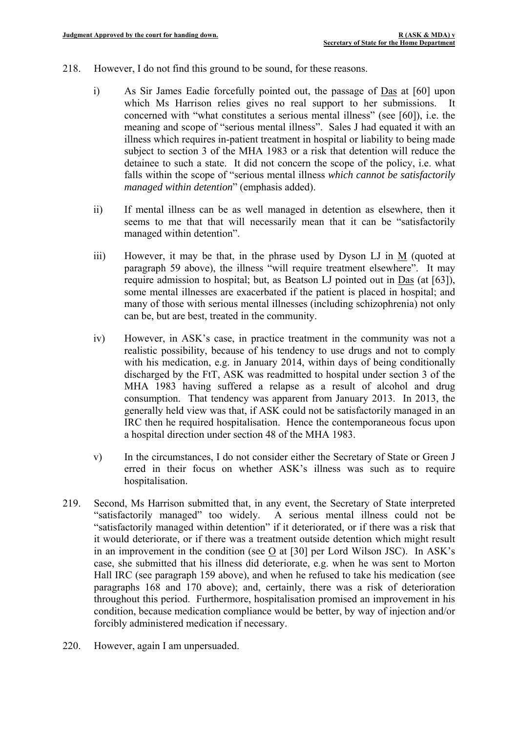- 218. However, I do not find this ground to be sound, for these reasons.
	- i) As Sir James Eadie forcefully pointed out, the passage of Das at [60] upon which Ms Harrison relies gives no real support to her submissions. It concerned with "what constitutes a serious mental illness" (see [60]), i.e. the meaning and scope of "serious mental illness". Sales J had equated it with an illness which requires in-patient treatment in hospital or liability to being made subject to section 3 of the MHA 1983 or a risk that detention will reduce the detainee to such a state. It did not concern the scope of the policy, i.e. what falls within the scope of "serious mental illness *which cannot be satisfactorily managed within detention*" (emphasis added).
	- ii) If mental illness can be as well managed in detention as elsewhere, then it seems to me that that will necessarily mean that it can be "satisfactorily managed within detention".
	- iii) However, it may be that, in the phrase used by Dyson LJ in  $\underline{M}$  (quoted at paragraph 59 above), the illness "will require treatment elsewhere". It may require admission to hospital; but, as Beatson LJ pointed out in Das (at [63]), some mental illnesses are exacerbated if the patient is placed in hospital; and many of those with serious mental illnesses (including schizophrenia) not only can be, but are best, treated in the community.
	- iv) However, in ASK's case, in practice treatment in the community was not a realistic possibility, because of his tendency to use drugs and not to comply with his medication, e.g. in January 2014, within days of being conditionally discharged by the FtT, ASK was readmitted to hospital under section 3 of the MHA 1983 having suffered a relapse as a result of alcohol and drug consumption. That tendency was apparent from January 2013. In 2013, the generally held view was that, if ASK could not be satisfactorily managed in an IRC then he required hospitalisation. Hence the contemporaneous focus upon a hospital direction under section 48 of the MHA 1983.
	- v) In the circumstances, I do not consider either the Secretary of State or Green J erred in their focus on whether ASK's illness was such as to require hospitalisation.
- 219. Second, Ms Harrison submitted that, in any event, the Secretary of State interpreted "satisfactorily managed" too widely. A serious mental illness could not be "satisfactorily managed within detention" if it deteriorated, or if there was a risk that it would deteriorate, or if there was a treatment outside detention which might result in an improvement in the condition (see  $Q$  at [30] per Lord Wilson JSC). In ASK's case, she submitted that his illness did deteriorate, e.g. when he was sent to Morton Hall IRC (see paragraph 159 above), and when he refused to take his medication (see paragraphs 168 and 170 above); and, certainly, there was a risk of deterioration throughout this period. Furthermore, hospitalisation promised an improvement in his condition, because medication compliance would be better, by way of injection and/or forcibly administered medication if necessary.
- 220. However, again I am unpersuaded.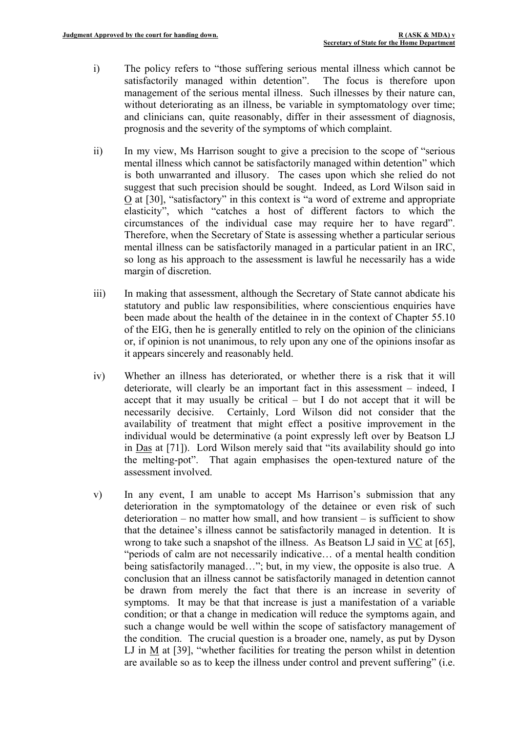- i) The policy refers to "those suffering serious mental illness which cannot be satisfactorily managed within detention". The focus is therefore upon management of the serious mental illness. Such illnesses by their nature can, without deteriorating as an illness, be variable in symptomatology over time; and clinicians can, quite reasonably, differ in their assessment of diagnosis, prognosis and the severity of the symptoms of which complaint.
- ii) In my view, Ms Harrison sought to give a precision to the scope of "serious mental illness which cannot be satisfactorily managed within detention" which is both unwarranted and illusory. The cases upon which she relied do not suggest that such precision should be sought. Indeed, as Lord Wilson said in  $\Omega$  at [30], "satisfactory" in this context is "a word of extreme and appropriate elasticity", which "catches a host of different factors to which the circumstances of the individual case may require her to have regard". Therefore, when the Secretary of State is assessing whether a particular serious mental illness can be satisfactorily managed in a particular patient in an IRC, so long as his approach to the assessment is lawful he necessarily has a wide margin of discretion.
- iii) In making that assessment, although the Secretary of State cannot abdicate his statutory and public law responsibilities, where conscientious enquiries have been made about the health of the detainee in in the context of Chapter 55.10 of the EIG, then he is generally entitled to rely on the opinion of the clinicians or, if opinion is not unanimous, to rely upon any one of the opinions insofar as it appears sincerely and reasonably held.
- iv) Whether an illness has deteriorated, or whether there is a risk that it will deteriorate, will clearly be an important fact in this assessment – indeed, I accept that it may usually be critical  $-$  but I do not accept that it will be necessarily decisive. Certainly, Lord Wilson did not consider that the availability of treatment that might effect a positive improvement in the individual would be determinative (a point expressly left over by Beatson LJ in Das at [71]). Lord Wilson merely said that "its availability should go into the melting-pot". That again emphasises the open-textured nature of the assessment involved.
- v) In any event, I am unable to accept Ms Harrison's submission that any deterioration in the symptomatology of the detainee or even risk of such deterioration – no matter how small, and how transient – is sufficient to show that the detainee's illness cannot be satisfactorily managed in detention. It is wrong to take such a snapshot of the illness. As Beatson LJ said in VC at [65], "periods of calm are not necessarily indicative… of a mental health condition being satisfactorily managed…"; but, in my view, the opposite is also true. A conclusion that an illness cannot be satisfactorily managed in detention cannot be drawn from merely the fact that there is an increase in severity of symptoms. It may be that that increase is just a manifestation of a variable condition; or that a change in medication will reduce the symptoms again, and such a change would be well within the scope of satisfactory management of the condition. The crucial question is a broader one, namely, as put by Dyson LJ in M at [39], "whether facilities for treating the person whilst in detention are available so as to keep the illness under control and prevent suffering" (i.e.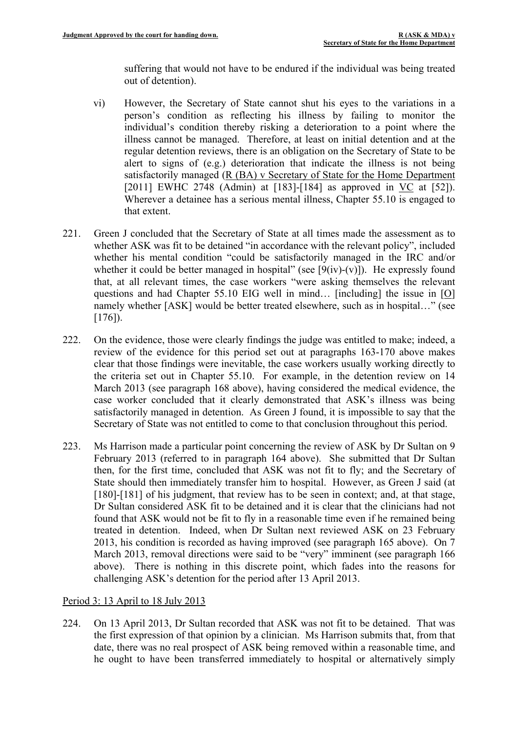suffering that would not have to be endured if the individual was being treated out of detention).

- vi) However, the Secretary of State cannot shut his eyes to the variations in a person's condition as reflecting his illness by failing to monitor the individual's condition thereby risking a deterioration to a point where the illness cannot be managed. Therefore, at least on initial detention and at the regular detention reviews, there is an obligation on the Secretary of State to be alert to signs of (e.g.) deterioration that indicate the illness is not being satisfactorily managed (R (BA) v Secretary of State for the Home Department [2011] EWHC 2748 (Admin) at [183]-[184] as approved in VC at [52]). Wherever a detainee has a serious mental illness, Chapter 55.10 is engaged to that extent.
- 221. Green J concluded that the Secretary of State at all times made the assessment as to whether ASK was fit to be detained "in accordance with the relevant policy", included whether his mental condition "could be satisfactorily managed in the IRC and/or whether it could be better managed in hospital" (see  $[9(iv)-(v)]$ ). He expressly found that, at all relevant times, the case workers "were asking themselves the relevant questions and had Chapter 55.10 EIG well in mind… [including] the issue in [O] namely whether [ASK] would be better treated elsewhere, such as in hospital…" (see [176]).
- 222. On the evidence, those were clearly findings the judge was entitled to make; indeed, a review of the evidence for this period set out at paragraphs 163-170 above makes clear that those findings were inevitable, the case workers usually working directly to the criteria set out in Chapter 55.10. For example, in the detention review on 14 March 2013 (see paragraph 168 above), having considered the medical evidence, the case worker concluded that it clearly demonstrated that ASK's illness was being satisfactorily managed in detention. As Green J found, it is impossible to say that the Secretary of State was not entitled to come to that conclusion throughout this period.
- 223. Ms Harrison made a particular point concerning the review of ASK by Dr Sultan on 9 February 2013 (referred to in paragraph 164 above). She submitted that Dr Sultan then, for the first time, concluded that ASK was not fit to fly; and the Secretary of State should then immediately transfer him to hospital. However, as Green J said (at [180]-[181] of his judgment, that review has to be seen in context; and, at that stage, Dr Sultan considered ASK fit to be detained and it is clear that the clinicians had not found that ASK would not be fit to fly in a reasonable time even if he remained being treated in detention. Indeed, when Dr Sultan next reviewed ASK on 23 February 2013, his condition is recorded as having improved (see paragraph 165 above). On 7 March 2013, removal directions were said to be "very" imminent (see paragraph 166 above). There is nothing in this discrete point, which fades into the reasons for challenging ASK's detention for the period after 13 April 2013.

## Period 3: 13 April to 18 July 2013

224. On 13 April 2013, Dr Sultan recorded that ASK was not fit to be detained. That was the first expression of that opinion by a clinician. Ms Harrison submits that, from that date, there was no real prospect of ASK being removed within a reasonable time, and he ought to have been transferred immediately to hospital or alternatively simply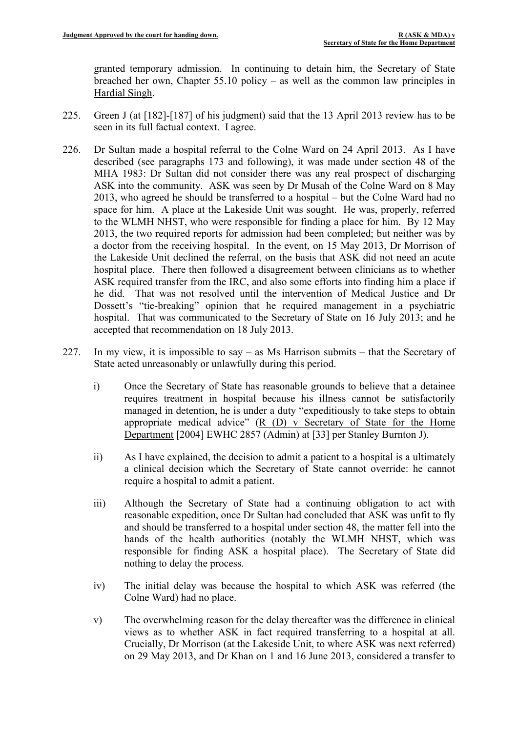granted temporary admission. In continuing to detain him, the Secretary of State breached her own, Chapter 55.10 policy – as well as the common law principles in Hardial Singh.

- 225. Green J (at [182]-[187] of his judgment) said that the 13 April 2013 review has to be seen in its full factual context. I agree.
- 226. Dr Sultan made a hospital referral to the Colne Ward on 24 April 2013. As I have described (see paragraphs 173 and following), it was made under section 48 of the MHA 1983: Dr Sultan did not consider there was any real prospect of discharging ASK into the community. ASK was seen by Dr Musah of the Colne Ward on 8 May 2013, who agreed he should be transferred to a hospital – but the Colne Ward had no space for him. A place at the Lakeside Unit was sought. He was, properly, referred to the WLMH NHST, who were responsible for finding a place for him. By 12 May 2013, the two required reports for admission had been completed; but neither was by a doctor from the receiving hospital. In the event, on 15 May 2013, Dr Morrison of the Lakeside Unit declined the referral, on the basis that ASK did not need an acute hospital place. There then followed a disagreement between clinicians as to whether ASK required transfer from the IRC, and also some efforts into finding him a place if he did. That was not resolved until the intervention of Medical Justice and Dr Dossett's "tie-breaking" opinion that he required management in a psychiatric hospital. That was communicated to the Secretary of State on 16 July 2013; and he accepted that recommendation on 18 July 2013.
- 227. In my view, it is impossible to say  $-$  as Ms Harrison submits  $-$  that the Secretary of State acted unreasonably or unlawfully during this period.
	- i) Once the Secretary of State has reasonable grounds to believe that a detainee requires treatment in hospital because his illness cannot be satisfactorily managed in detention, he is under a duty "expeditiously to take steps to obtain appropriate medical advice"  $(R (D) v$  Secretary of State for the Home Department [2004] EWHC 2857 (Admin) at [33] per Stanley Burnton J).
	- ii) As I have explained, the decision to admit a patient to a hospital is a ultimately a clinical decision which the Secretary of State cannot override: he cannot require a hospital to admit a patient.
	- iii) Although the Secretary of State had a continuing obligation to act with reasonable expedition, once Dr Sultan had concluded that ASK was unfit to fly and should be transferred to a hospital under section 48, the matter fell into the hands of the health authorities (notably the WLMH NHST, which was responsible for finding ASK a hospital place). The Secretary of State did nothing to delay the process.
	- iv) The initial delay was because the hospital to which ASK was referred (the Colne Ward) had no place.
	- v) The overwhelming reason for the delay thereafter was the difference in clinical views as to whether ASK in fact required transferring to a hospital at all. Crucially, Dr Morrison (at the Lakeside Unit, to where ASK was next referred) on 29 May 2013, and Dr Khan on 1 and 16 June 2013, considered a transfer to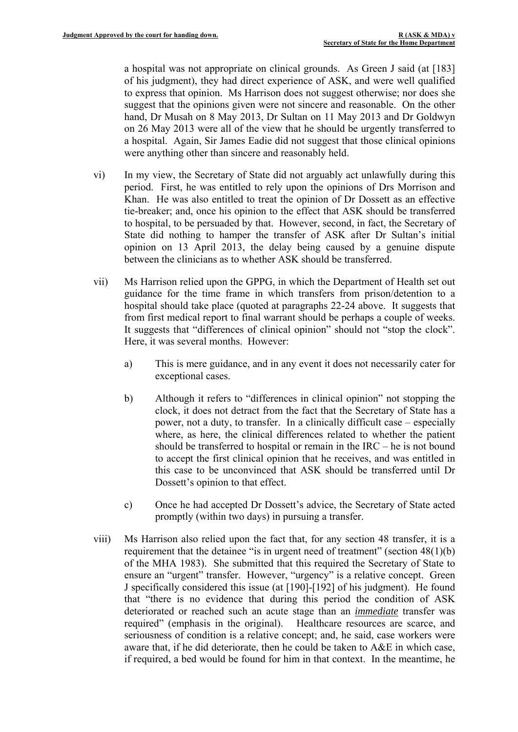a hospital was not appropriate on clinical grounds. As Green J said (at [183] of his judgment), they had direct experience of ASK, and were well qualified to express that opinion. Ms Harrison does not suggest otherwise; nor does she suggest that the opinions given were not sincere and reasonable. On the other hand, Dr Musah on 8 May 2013, Dr Sultan on 11 May 2013 and Dr Goldwyn on 26 May 2013 were all of the view that he should be urgently transferred to a hospital. Again, Sir James Eadie did not suggest that those clinical opinions were anything other than sincere and reasonably held.

- vi) In my view, the Secretary of State did not arguably act unlawfully during this period. First, he was entitled to rely upon the opinions of Drs Morrison and Khan. He was also entitled to treat the opinion of Dr Dossett as an effective tie-breaker; and, once his opinion to the effect that ASK should be transferred to hospital, to be persuaded by that. However, second, in fact, the Secretary of State did nothing to hamper the transfer of ASK after Dr Sultan's initial opinion on 13 April 2013, the delay being caused by a genuine dispute between the clinicians as to whether ASK should be transferred.
- vii) Ms Harrison relied upon the GPPG, in which the Department of Health set out guidance for the time frame in which transfers from prison/detention to a hospital should take place (quoted at paragraphs 22-24 above. It suggests that from first medical report to final warrant should be perhaps a couple of weeks. It suggests that "differences of clinical opinion" should not "stop the clock". Here, it was several months. However:
	- a) This is mere guidance, and in any event it does not necessarily cater for exceptional cases.
	- b) Although it refers to "differences in clinical opinion" not stopping the clock, it does not detract from the fact that the Secretary of State has a power, not a duty, to transfer. In a clinically difficult case – especially where, as here, the clinical differences related to whether the patient should be transferred to hospital or remain in the IRC – he is not bound to accept the first clinical opinion that he receives, and was entitled in this case to be unconvinced that ASK should be transferred until Dr Dossett's opinion to that effect.
	- c) Once he had accepted Dr Dossett's advice, the Secretary of State acted promptly (within two days) in pursuing a transfer.
- viii) Ms Harrison also relied upon the fact that, for any section 48 transfer, it is a requirement that the detainee "is in urgent need of treatment" (section  $48(1)(b)$ ) of the MHA 1983). She submitted that this required the Secretary of State to ensure an "urgent" transfer. However, "urgency" is a relative concept. Green J specifically considered this issue (at [190]-[192] of his judgment). He found that "there is no evidence that during this period the condition of ASK deteriorated or reached such an acute stage than an *immediate* transfer was required" (emphasis in the original). Healthcare resources are scarce, and seriousness of condition is a relative concept; and, he said, case workers were aware that, if he did deteriorate, then he could be taken to A&E in which case, if required, a bed would be found for him in that context. In the meantime, he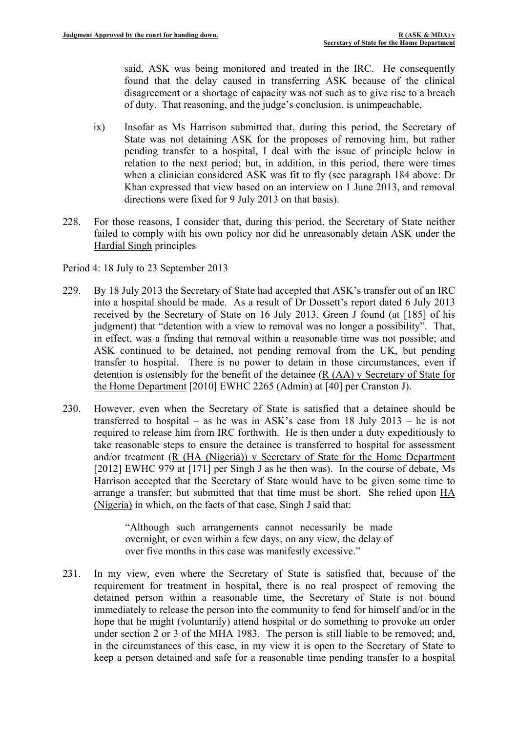said, ASK was being monitored and treated in the IRC. He consequently found that the delay caused in transferring ASK because of the clinical disagreement or a shortage of capacity was not such as to give rise to a breach of duty. That reasoning, and the judge's conclusion, is unimpeachable.

- ix) Insofar as Ms Harrison submitted that, during this period, the Secretary of State was not detaining ASK for the proposes of removing him, but rather pending transfer to a hospital, I deal with the issue of principle below in relation to the next period; but, in addition, in this period, there were times when a clinician considered ASK was fit to fly (see paragraph 184 above: Dr Khan expressed that view based on an interview on 1 June 2013, and removal directions were fixed for 9 July 2013 on that basis).
- 228. For those reasons, I consider that, during this period, the Secretary of State neither failed to comply with his own policy nor did he unreasonably detain ASK under the Hardial Singh principles

## Period 4: 18 July to 23 September 2013

- 229. By 18 July 2013 the Secretary of State had accepted that ASK's transfer out of an IRC into a hospital should be made. As a result of Dr Dossett's report dated 6 July 2013 received by the Secretary of State on 16 July 2013, Green J found (at [185] of his judgment) that "detention with a view to removal was no longer a possibility". That, in effect, was a finding that removal within a reasonable time was not possible; and ASK continued to be detained, not pending removal from the UK, but pending transfer to hospital. There is no power to detain in those circumstances, even if detention is ostensibly for the benefit of the detainee (R (AA) v Secretary of State for the Home Department [2010] EWHC 2265 (Admin) at [40] per Cranston J).
- 230. However, even when the Secretary of State is satisfied that a detainee should be transferred to hospital – as he was in ASK's case from 18 July 2013 – he is not required to release him from IRC forthwith. He is then under a duty expeditiously to take reasonable steps to ensure the detainee is transferred to hospital for assessment and/or treatment (R (HA (Nigeria)) v Secretary of State for the Home Department [2012] EWHC 979 at [171] per Singh J as he then was). In the course of debate, Ms Harrison accepted that the Secretary of State would have to be given some time to arrange a transfer; but submitted that that time must be short. She relied upon HA (Nigeria) in which, on the facts of that case, Singh J said that:

"Although such arrangements cannot necessarily be made overnight, or even within a few days, on any view, the delay of over five months in this case was manifestly excessive."

231. In my view, even where the Secretary of State is satisfied that, because of the requirement for treatment in hospital, there is no real prospect of removing the detained person within a reasonable time, the Secretary of State is not bound immediately to release the person into the community to fend for himself and/or in the hope that he might (voluntarily) attend hospital or do something to provoke an order under section 2 or 3 of the MHA 1983. The person is still liable to be removed; and, in the circumstances of this case, in my view it is open to the Secretary of State to keep a person detained and safe for a reasonable time pending transfer to a hospital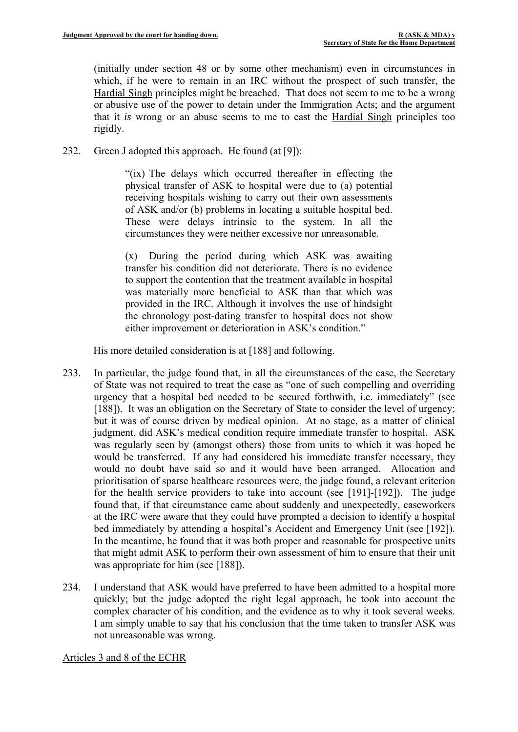(initially under section 48 or by some other mechanism) even in circumstances in which, if he were to remain in an IRC without the prospect of such transfer, the Hardial Singh principles might be breached. That does not seem to me to be a wrong or abusive use of the power to detain under the Immigration Acts; and the argument that it *is* wrong or an abuse seems to me to cast the Hardial Singh principles too rigidly.

232. Green J adopted this approach. He found (at [9]):

"(ix) The delays which occurred thereafter in effecting the physical transfer of ASK to hospital were due to (a) potential receiving hospitals wishing to carry out their own assessments of ASK and/or (b) problems in locating a suitable hospital bed. These were delays intrinsic to the system. In all the circumstances they were neither excessive nor unreasonable.

(x) During the period during which ASK was awaiting transfer his condition did not deteriorate. There is no evidence to support the contention that the treatment available in hospital was materially more beneficial to ASK than that which was provided in the IRC. Although it involves the use of hindsight the chronology post-dating transfer to hospital does not show either improvement or deterioration in ASK's condition."

His more detailed consideration is at [188] and following.

- 233. In particular, the judge found that, in all the circumstances of the case, the Secretary of State was not required to treat the case as "one of such compelling and overriding urgency that a hospital bed needed to be secured forthwith, i.e. immediately" (see [188]). It was an obligation on the Secretary of State to consider the level of urgency; but it was of course driven by medical opinion. At no stage, as a matter of clinical judgment, did ASK's medical condition require immediate transfer to hospital. ASK was regularly seen by (amongst others) those from units to which it was hoped he would be transferred. If any had considered his immediate transfer necessary, they would no doubt have said so and it would have been arranged. Allocation and prioritisation of sparse healthcare resources were, the judge found, a relevant criterion for the health service providers to take into account (see [191]-[192]). The judge found that, if that circumstance came about suddenly and unexpectedly, caseworkers at the IRC were aware that they could have prompted a decision to identify a hospital bed immediately by attending a hospital's Accident and Emergency Unit (see [192]). In the meantime, he found that it was both proper and reasonable for prospective units that might admit ASK to perform their own assessment of him to ensure that their unit was appropriate for him (see [188]).
- 234. I understand that ASK would have preferred to have been admitted to a hospital more quickly; but the judge adopted the right legal approach, he took into account the complex character of his condition, and the evidence as to why it took several weeks. I am simply unable to say that his conclusion that the time taken to transfer ASK was not unreasonable was wrong.

Articles 3 and 8 of the ECHR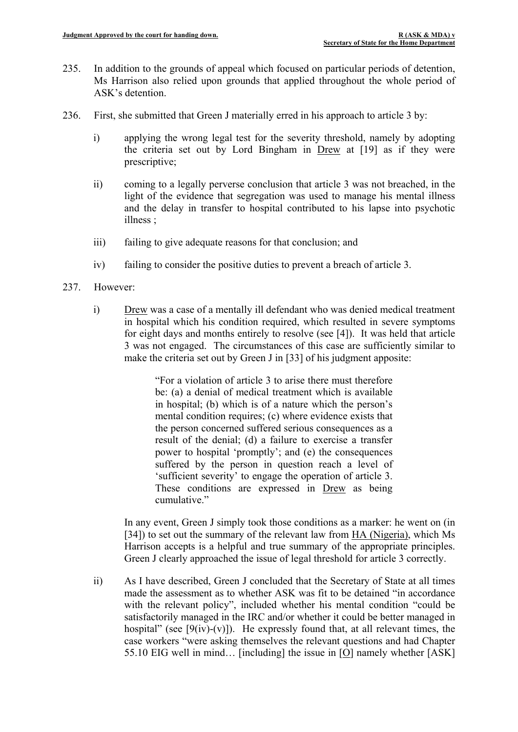- 235. In addition to the grounds of appeal which focused on particular periods of detention, Ms Harrison also relied upon grounds that applied throughout the whole period of ASK's detention.
- 236. First, she submitted that Green J materially erred in his approach to article 3 by:
	- i) applying the wrong legal test for the severity threshold, namely by adopting the criteria set out by Lord Bingham in Drew at [19] as if they were prescriptive;
	- ii) coming to a legally perverse conclusion that article 3 was not breached, in the light of the evidence that segregation was used to manage his mental illness and the delay in transfer to hospital contributed to his lapse into psychotic illness ;
	- iii) failing to give adequate reasons for that conclusion; and
	- iv) failing to consider the positive duties to prevent a breach of article 3.
- 237. However:
	- i) Drew was a case of a mentally ill defendant who was denied medical treatment in hospital which his condition required, which resulted in severe symptoms for eight days and months entirely to resolve (see [4]). It was held that article 3 was not engaged. The circumstances of this case are sufficiently similar to make the criteria set out by Green J in [33] of his judgment apposite:

"For a violation of article 3 to arise there must therefore be: (a) a denial of medical treatment which is available in hospital; (b) which is of a nature which the person's mental condition requires; (c) where evidence exists that the person concerned suffered serious consequences as a result of the denial; (d) a failure to exercise a transfer power to hospital 'promptly'; and (e) the consequences suffered by the person in question reach a level of 'sufficient severity' to engage the operation of article 3. These conditions are expressed in <u>Drew</u> as being cumulative."

In any event, Green J simply took those conditions as a marker: he went on (in [34]) to set out the summary of the relevant law from HA (Nigeria), which Ms Harrison accepts is a helpful and true summary of the appropriate principles. Green J clearly approached the issue of legal threshold for article 3 correctly.

ii) As I have described, Green J concluded that the Secretary of State at all times made the assessment as to whether ASK was fit to be detained "in accordance with the relevant policy", included whether his mental condition "could be satisfactorily managed in the IRC and/or whether it could be better managed in hospital" (see  $[9(iv)-(v)]$ ). He expressly found that, at all relevant times, the case workers "were asking themselves the relevant questions and had Chapter 55.10 EIG well in mind… [including] the issue in [O] namely whether [ASK]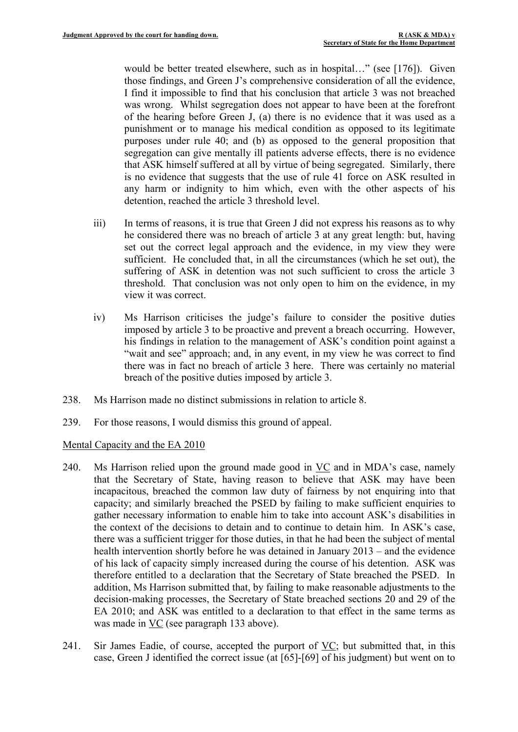would be better treated elsewhere, such as in hospital..." (see [176]). Given those findings, and Green J's comprehensive consideration of all the evidence, I find it impossible to find that his conclusion that article 3 was not breached was wrong. Whilst segregation does not appear to have been at the forefront of the hearing before Green J, (a) there is no evidence that it was used as a punishment or to manage his medical condition as opposed to its legitimate purposes under rule 40; and (b) as opposed to the general proposition that segregation can give mentally ill patients adverse effects, there is no evidence that ASK himself suffered at all by virtue of being segregated. Similarly, there is no evidence that suggests that the use of rule 41 force on ASK resulted in any harm or indignity to him which, even with the other aspects of his detention, reached the article 3 threshold level.

- iii) In terms of reasons, it is true that Green J did not express his reasons as to why he considered there was no breach of article 3 at any great length: but, having set out the correct legal approach and the evidence, in my view they were sufficient. He concluded that, in all the circumstances (which he set out), the suffering of ASK in detention was not such sufficient to cross the article 3 threshold. That conclusion was not only open to him on the evidence, in my view it was correct.
- iv) Ms Harrison criticises the judge's failure to consider the positive duties imposed by article 3 to be proactive and prevent a breach occurring. However, his findings in relation to the management of ASK's condition point against a "wait and see" approach; and, in any event, in my view he was correct to find there was in fact no breach of article 3 here. There was certainly no material breach of the positive duties imposed by article 3.
- 238. Ms Harrison made no distinct submissions in relation to article 8.
- 239. For those reasons, I would dismiss this ground of appeal.

#### Mental Capacity and the EA 2010

- 240. Ms Harrison relied upon the ground made good in VC and in MDA's case, namely that the Secretary of State, having reason to believe that ASK may have been incapacitous, breached the common law duty of fairness by not enquiring into that capacity; and similarly breached the PSED by failing to make sufficient enquiries to gather necessary information to enable him to take into account ASK's disabilities in the context of the decisions to detain and to continue to detain him. In ASK's case, there was a sufficient trigger for those duties, in that he had been the subject of mental health intervention shortly before he was detained in January 2013 – and the evidence of his lack of capacity simply increased during the course of his detention. ASK was therefore entitled to a declaration that the Secretary of State breached the PSED. In addition, Ms Harrison submitted that, by failing to make reasonable adjustments to the decision-making processes, the Secretary of State breached sections 20 and 29 of the EA 2010; and ASK was entitled to a declaration to that effect in the same terms as was made in VC (see paragraph 133 above).
- 241. Sir James Eadie, of course, accepted the purport of VC; but submitted that, in this case, Green J identified the correct issue (at [65]-[69] of his judgment) but went on to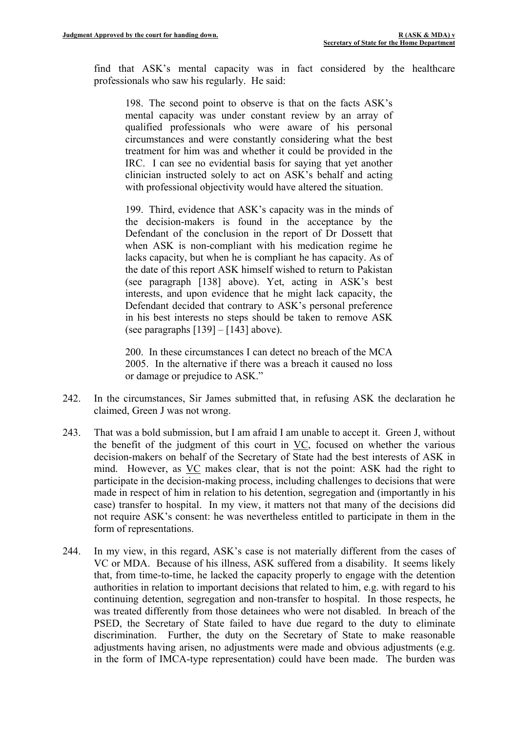find that ASK's mental capacity was in fact considered by the healthcare professionals who saw his regularly. He said:

198. The second point to observe is that on the facts ASK's mental capacity was under constant review by an array of qualified professionals who were aware of his personal circumstances and were constantly considering what the best treatment for him was and whether it could be provided in the IRC. I can see no evidential basis for saying that yet another clinician instructed solely to act on ASK's behalf and acting with professional objectivity would have altered the situation.

199. Third, evidence that ASK's capacity was in the minds of the decision-makers is found in the acceptance by the Defendant of the conclusion in the report of Dr Dossett that when ASK is non-compliant with his medication regime he lacks capacity, but when he is compliant he has capacity. As of the date of this report ASK himself wished to return to Pakistan (see paragraph [138] above). Yet, acting in ASK's best interests, and upon evidence that he might lack capacity, the Defendant decided that contrary to ASK's personal preference in his best interests no steps should be taken to remove ASK (see paragraphs  $[139] - [143]$  above).

200. In these circumstances I can detect no breach of the MCA 2005. In the alternative if there was a breach it caused no loss or damage or prejudice to ASK."

- 242. In the circumstances, Sir James submitted that, in refusing ASK the declaration he claimed, Green J was not wrong.
- 243. That was a bold submission, but I am afraid I am unable to accept it. Green J, without the benefit of the judgment of this court in VC, focused on whether the various decision-makers on behalf of the Secretary of State had the best interests of ASK in mind. However, as VC makes clear, that is not the point: ASK had the right to participate in the decision-making process, including challenges to decisions that were made in respect of him in relation to his detention, segregation and (importantly in his case) transfer to hospital. In my view, it matters not that many of the decisions did not require ASK's consent: he was nevertheless entitled to participate in them in the form of representations.
- 244. In my view, in this regard, ASK's case is not materially different from the cases of VC or MDA. Because of his illness, ASK suffered from a disability. It seems likely that, from time-to-time, he lacked the capacity properly to engage with the detention authorities in relation to important decisions that related to him, e.g. with regard to his continuing detention, segregation and non-transfer to hospital. In those respects, he was treated differently from those detainees who were not disabled. In breach of the PSED, the Secretary of State failed to have due regard to the duty to eliminate discrimination. Further, the duty on the Secretary of State to make reasonable adjustments having arisen, no adjustments were made and obvious adjustments (e.g. in the form of IMCA-type representation) could have been made. The burden was